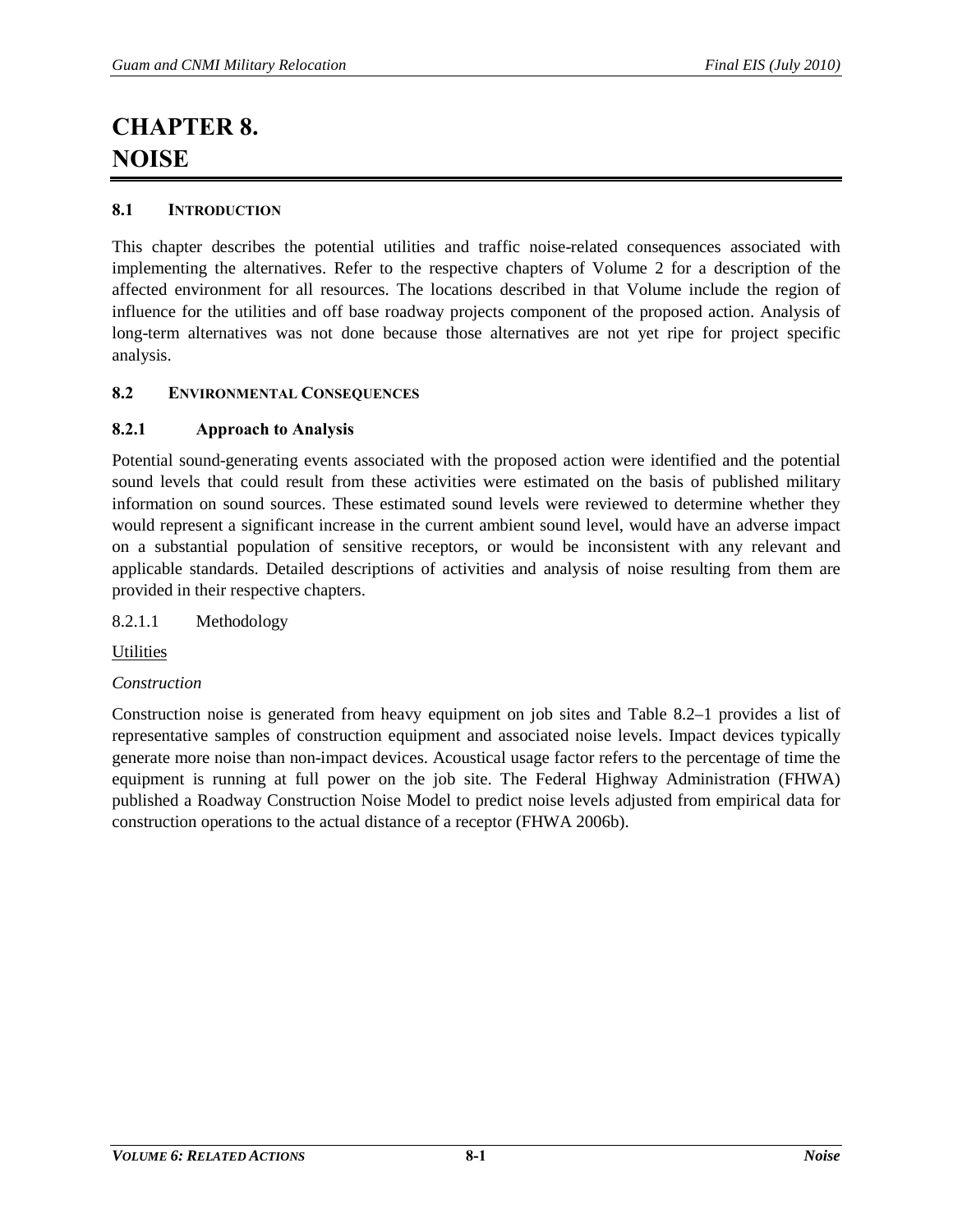# **CHAPTER 8. NOISE**

## **8.1 INTRODUCTION**

This chapter describes the potential utilities and traffic noise-related consequences associated with implementing the alternatives. Refer to the respective chapters of Volume 2 for a description of the affected environment for all resources. The locations described in that Volume include the region of influence for the utilities and off base roadway projects component of the proposed action. Analysis of long-term alternatives was not done because those alternatives are not yet ripe for project specific analysis.

## **8.2 ENVIRONMENTAL CONSEQUENCES**

## **8.2.1 Approach to Analysis**

Potential sound-generating events associated with the proposed action were identified and the potential sound levels that could result from these activities were estimated on the basis of published military information on sound sources. These estimated sound levels were reviewed to determine whether they would represent a significant increase in the current ambient sound level, would have an adverse impact on a substantial population of sensitive receptors, or would be inconsistent with any relevant and applicable standards. Detailed descriptions of activities and analysis of noise resulting from them are provided in their respective chapters.

## 8.2.1.1 Methodology

**Utilities** 

## *Construction*

Construction noise is generated from heavy equipment on job sites and [Table 8.2–1](#page-1-0) provides a list of representative samples of construction equipment and associated noise levels. Impact devices typically generate more noise than non-impact devices. Acoustical usage factor refers to the percentage of time the equipment is running at full power on the job site. The Federal Highway Administration (FHWA) published a Roadway Construction Noise Model to predict noise levels adjusted from empirical data for construction operations to the actual distance of a receptor (FHWA 2006b).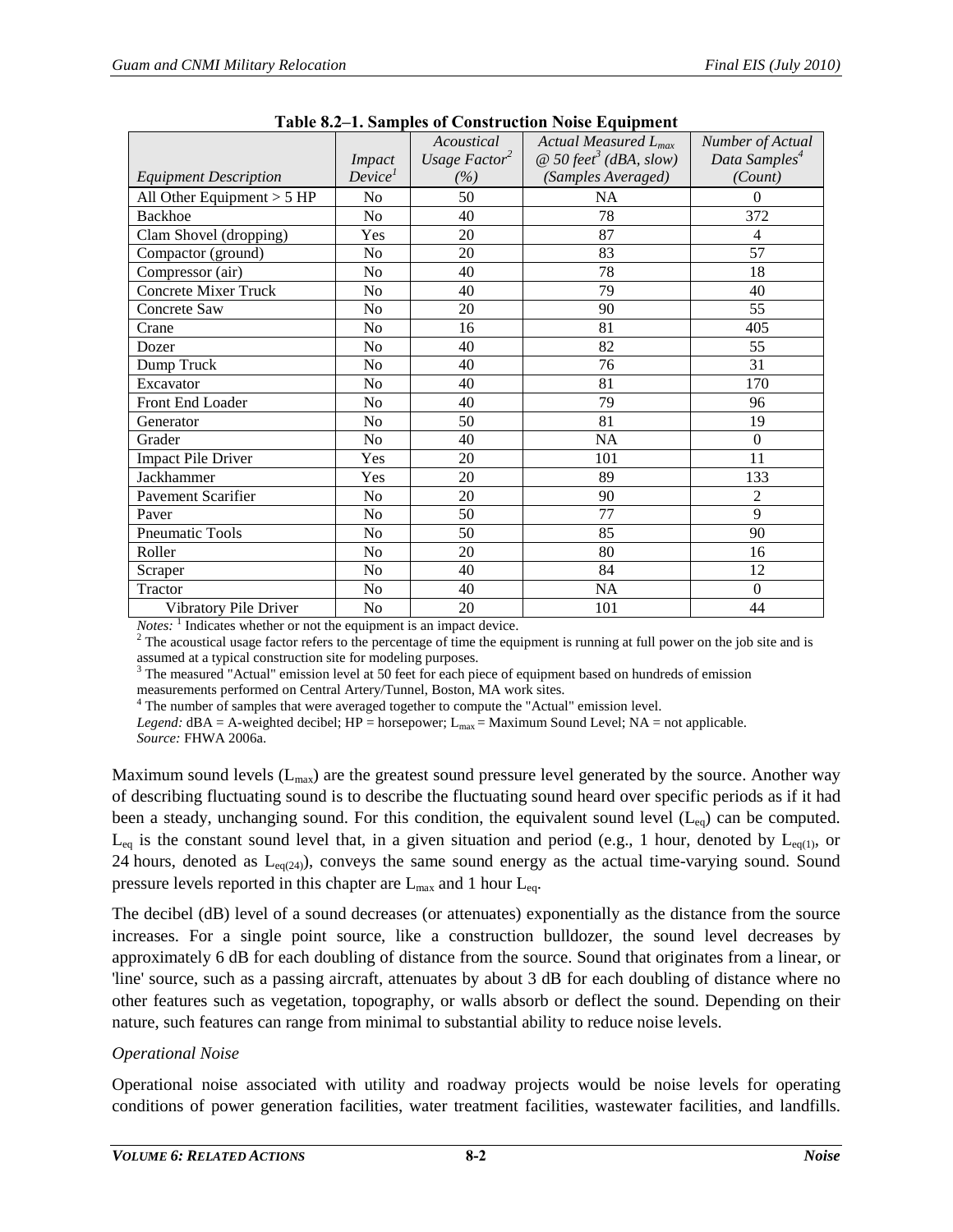<span id="page-1-0"></span>

|                              |                     | Acoustical                | Actual Measured $L_{max}$                 | Number of Actual          |
|------------------------------|---------------------|---------------------------|-------------------------------------------|---------------------------|
|                              | <i>Impact</i>       | Usage Factor <sup>2</sup> | $\omega$ 50 feet <sup>3</sup> (dBA, slow) | Data Samples <sup>4</sup> |
| <b>Equipment Description</b> | Device <sup>1</sup> | (%)                       | (Samples Averaged)                        | (Count)                   |
| All Other Equipment $> 5$ HP | N <sub>o</sub>      | 50                        | NA                                        | $\overline{0}$            |
| <b>Backhoe</b>               | No                  | 40                        | 78                                        | 372                       |
| Clam Shovel (dropping)       | Yes                 | 20                        | 87                                        | 4                         |
| Compactor (ground)           | N <sub>o</sub>      | 20                        | 83                                        | 57                        |
| Compressor (air)             | N <sub>o</sub>      | 40                        | 78                                        | 18                        |
| <b>Concrete Mixer Truck</b>  | No                  | 40                        | 79                                        | 40                        |
| Concrete Saw                 | N <sub>o</sub>      | 20                        | 90                                        | 55                        |
| Crane                        | N <sub>o</sub>      | 16                        | 81                                        | 405                       |
| Dozer                        | N <sub>o</sub>      | 40                        | 82                                        | 55                        |
| Dump Truck                   | N <sub>o</sub>      | 40                        | 76                                        | 31                        |
| Excavator                    | N <sub>o</sub>      | 40                        | 81                                        | 170                       |
| <b>Front End Loader</b>      | N <sub>o</sub>      | 40                        | 79                                        | 96                        |
| Generator                    | N <sub>o</sub>      | 50                        | 81                                        | 19                        |
| Grader                       | N <sub>o</sub>      | 40                        | NA                                        | $\boldsymbol{0}$          |
| <b>Impact Pile Driver</b>    | Yes                 | 20                        | 101                                       | 11                        |
| Jackhammer                   | Yes                 | 20                        | 89                                        | 133                       |
| <b>Pavement Scarifier</b>    | N <sub>o</sub>      | 20                        | 90                                        | $\overline{2}$            |
| Paver                        | N <sub>o</sub>      | 50                        | 77                                        | 9                         |
| Pneumatic Tools              | N <sub>o</sub>      | 50                        | 85                                        | 90                        |
| Roller                       | N <sub>0</sub>      | 20                        | 80                                        | 16                        |
| Scraper                      | N <sub>o</sub>      | 40                        | 84                                        | 12                        |
| Tractor                      | N <sub>o</sub>      | 40                        | <b>NA</b>                                 | $\Omega$                  |
| Vibratory Pile Driver        | N <sub>o</sub>      | 20                        | 101                                       | 44                        |

|  |  | Table 8.2–1. Samples of Construction Noise Equipment |
|--|--|------------------------------------------------------|
|--|--|------------------------------------------------------|

*Notes:* <sup>1</sup> Indicates whether or not the equipment is an impact device. <sup>2</sup> The acoustical usage factor refers to the percentage of time the equipment is running at full power on the job site and is assumed at a typical c

 $3$  The measured "Actual" emission level at 50 feet for each piece of equipment based on hundreds of emission

measurements performed on Central Artery/Tunnel, Boston, MA work sites. 4 The number of samples that were averaged together to compute the "Actual" emission level.

*Legend:*  $dBA = A$ -weighted decibel;  $HP = \text{horsepower}$ ;  $L_{\text{max}} = \text{Maximum Sound Level}$ ;  $NA = \text{not applicable}$ .

*Source:* FHWA 2006a.

Maximum sound levels  $(L_{max})$  are the greatest sound pressure level generated by the source. Another way of describing fluctuating sound is to describe the fluctuating sound heard over specific periods as if it had been a steady, unchanging sound. For this condition, the equivalent sound level  $(L_{eq})$  can be computed.  $L_{eq}$  is the constant sound level that, in a given situation and period (e.g., 1 hour, denoted by  $L_{eq(1)}$ , or 24 hours, denoted as  $L_{eq(24)}$ , conveys the same sound energy as the actual time-varying sound. Sound pressure levels reported in this chapter are  $L_{\text{max}}$  and 1 hour  $L_{\text{eq}}$ .

The decibel (dB) level of a sound decreases (or attenuates) exponentially as the distance from the source increases. For a single point source, like a construction bulldozer, the sound level decreases by approximately 6 dB for each doubling of distance from the source. Sound that originates from a linear, or 'line' source, such as a passing aircraft, attenuates by about 3 dB for each doubling of distance where no other features such as vegetation, topography, or walls absorb or deflect the sound. Depending on their nature, such features can range from minimal to substantial ability to reduce noise levels.

## *Operational Noise*

Operational noise associated with utility and roadway projects would be noise levels for operating conditions of power generation facilities, water treatment facilities, wastewater facilities, and landfills.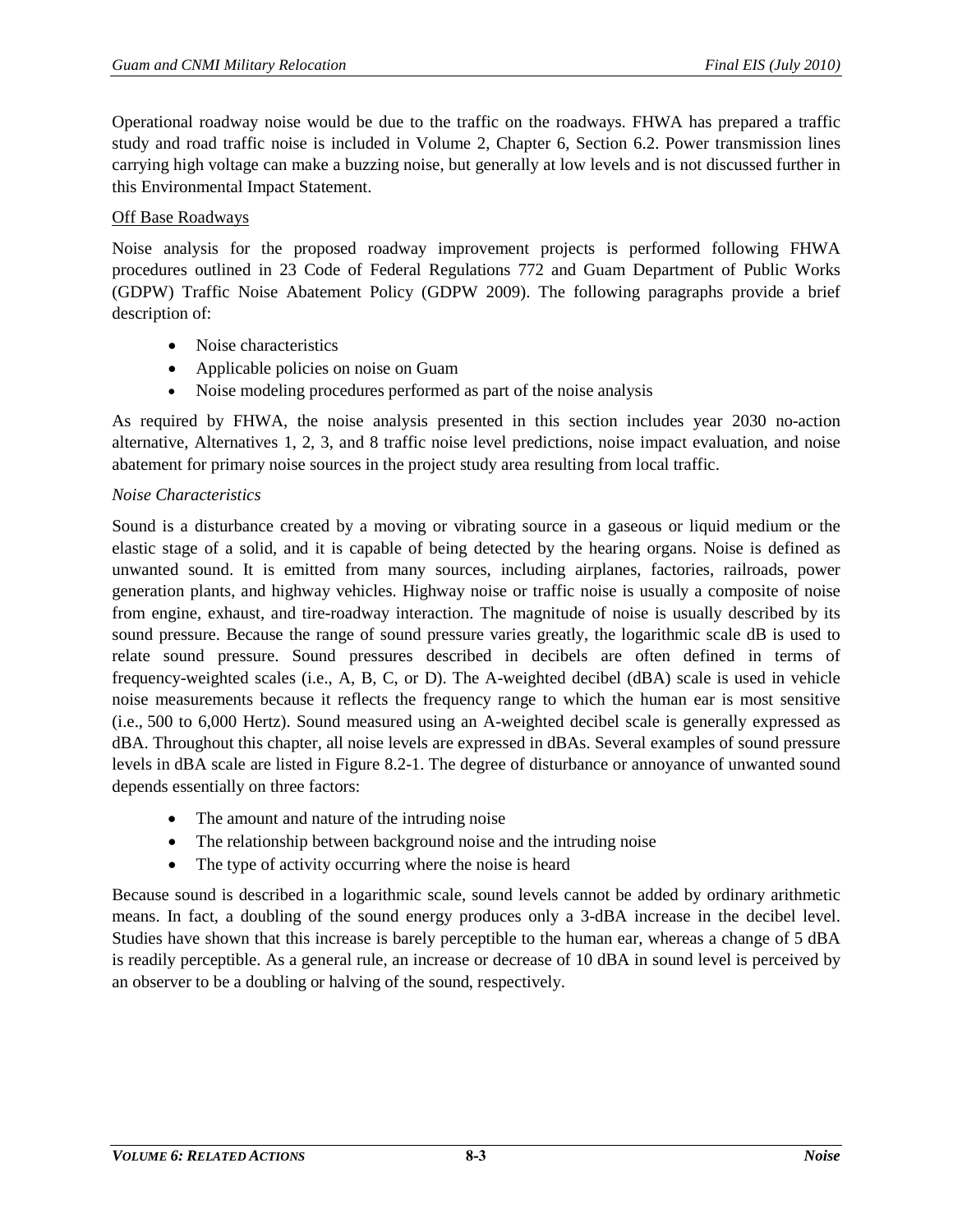Operational roadway noise would be due to the traffic on the roadways. FHWA has prepared a traffic study and road traffic noise is included in Volume 2, Chapter 6, Section 6.2. Power transmission lines carrying high voltage can make a buzzing noise, but generally at low levels and is not discussed further in this Environmental Impact Statement.

## Off Base Roadways

Noise analysis for the proposed roadway improvement projects is performed following FHWA procedures outlined in 23 Code of Federal Regulations 772 and Guam Department of Public Works (GDPW) Traffic Noise Abatement Policy (GDPW 2009). The following paragraphs provide a brief description of:

- Noise characteristics
- Applicable policies on noise on Guam
- Noise modeling procedures performed as part of the noise analysis

As required by FHWA, the noise analysis presented in this section includes year 2030 no-action alternative, Alternatives 1, 2, 3, and 8 traffic noise level predictions, noise impact evaluation, and noise abatement for primary noise sources in the project study area resulting from local traffic.

## *Noise Characteristics*

Sound is a disturbance created by a moving or vibrating source in a gaseous or liquid medium or the elastic stage of a solid, and it is capable of being detected by the hearing organs. Noise is defined as unwanted sound. It is emitted from many sources, including airplanes, factories, railroads, power generation plants, and highway vehicles. Highway noise or traffic noise is usually a composite of noise from engine, exhaust, and tire-roadway interaction. The magnitude of noise is usually described by its sound pressure. Because the range of sound pressure varies greatly, the logarithmic scale dB is used to relate sound pressure. Sound pressures described in decibels are often defined in terms of frequency-weighted scales (i.e., A, B, C, or D). The A-weighted decibel (dBA) scale is used in vehicle noise measurements because it reflects the frequency range to which the human ear is most sensitive (i.e., 500 to 6,000 Hertz). Sound measured using an A-weighted decibel scale is generally expressed as dBA. Throughout this chapter, all noise levels are expressed in dBAs. Several examples of sound pressure levels in dBA scale are listed in [Figure 8.2-1.](#page-3-0) The degree of disturbance or annoyance of unwanted sound depends essentially on three factors:

- The amount and nature of the intruding noise
- The relationship between background noise and the intruding noise
- The type of activity occurring where the noise is heard

Because sound is described in a logarithmic scale, sound levels cannot be added by ordinary arithmetic means. In fact, a doubling of the sound energy produces only a 3-dBA increase in the decibel level. Studies have shown that this increase is barely perceptible to the human ear, whereas a change of 5 dBA is readily perceptible. As a general rule, an increase or decrease of 10 dBA in sound level is perceived by an observer to be a doubling or halving of the sound, respectively.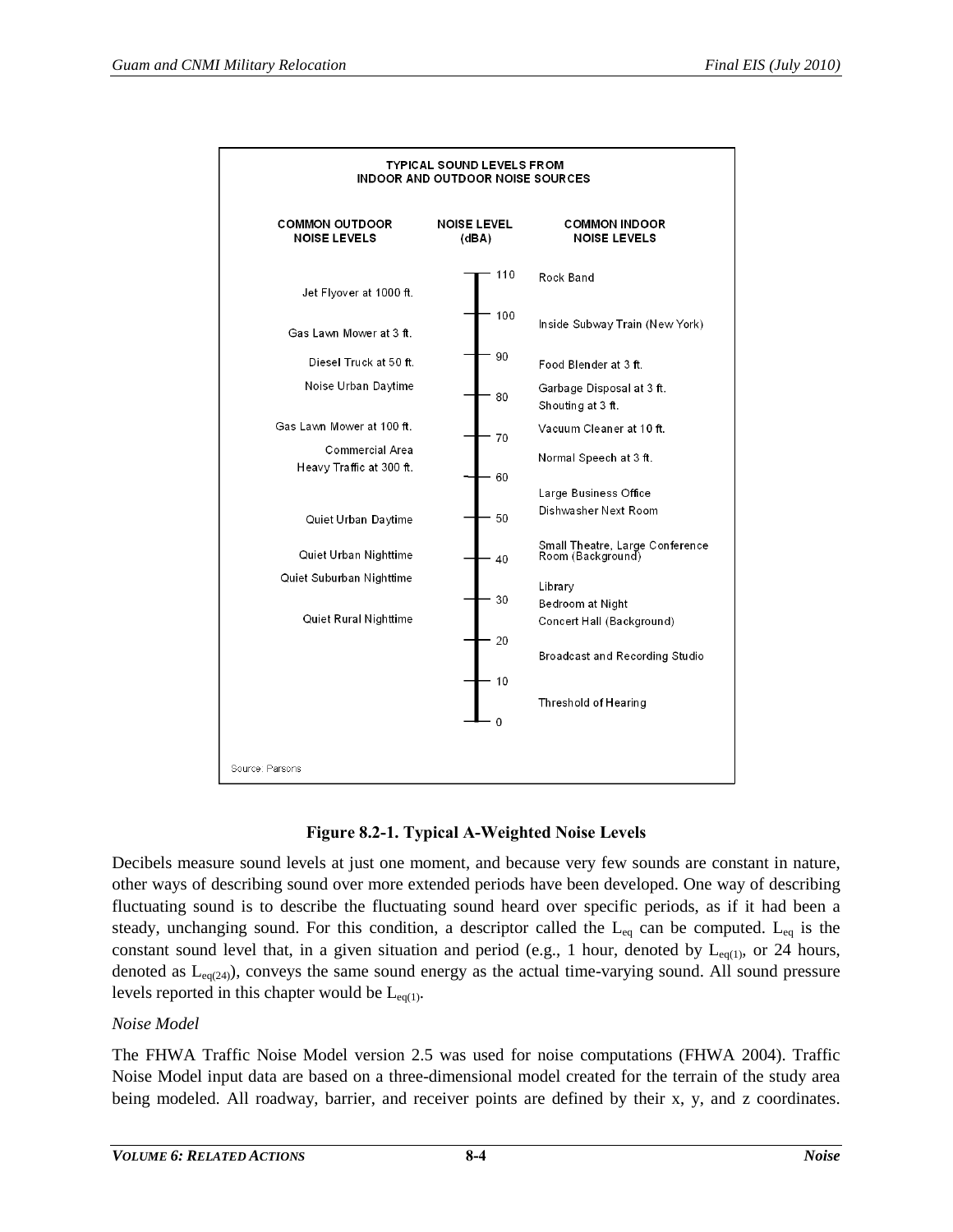



<span id="page-3-0"></span>Decibels measure sound levels at just one moment, and because very few sounds are constant in nature, other ways of describing sound over more extended periods have been developed. One way of describing fluctuating sound is to describe the fluctuating sound heard over specific periods, as if it had been a steady, unchanging sound. For this condition, a descriptor called the  $L_{eq}$  can be computed.  $L_{eq}$  is the constant sound level that, in a given situation and period (e.g., 1 hour, denoted by  $L_{eq(1)}$ , or 24 hours, denoted as  $L_{eq(24)}$ , conveys the same sound energy as the actual time-varying sound. All sound pressure levels reported in this chapter would be  $L_{eq(1)}$ .

# *Noise Model*

The FHWA Traffic Noise Model version 2.5 was used for noise computations (FHWA 2004). Traffic Noise Model input data are based on a three-dimensional model created for the terrain of the study area being modeled. All roadway, barrier, and receiver points are defined by their x, y, and z coordinates.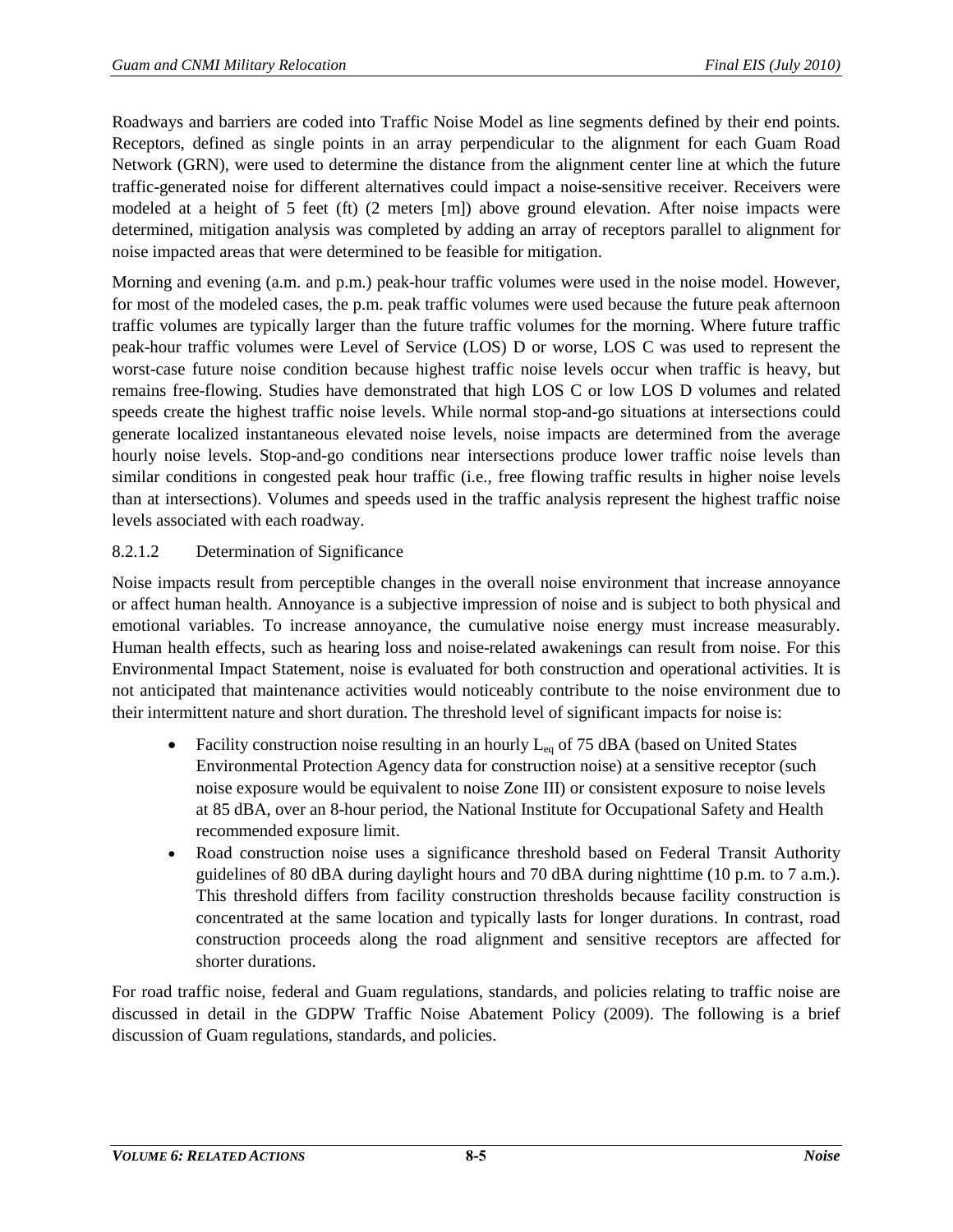Roadways and barriers are coded into Traffic Noise Model as line segments defined by their end points. Receptors, defined as single points in an array perpendicular to the alignment for each Guam Road Network (GRN), were used to determine the distance from the alignment center line at which the future traffic-generated noise for different alternatives could impact a noise-sensitive receiver. Receivers were modeled at a height of 5 feet (ft) (2 meters [m]) above ground elevation. After noise impacts were determined, mitigation analysis was completed by adding an array of receptors parallel to alignment for noise impacted areas that were determined to be feasible for mitigation.

Morning and evening (a.m. and p.m.) peak-hour traffic volumes were used in the noise model. However, for most of the modeled cases, the p.m. peak traffic volumes were used because the future peak afternoon traffic volumes are typically larger than the future traffic volumes for the morning. Where future traffic peak-hour traffic volumes were Level of Service (LOS) D or worse, LOS C was used to represent the worst-case future noise condition because highest traffic noise levels occur when traffic is heavy, but remains free-flowing. Studies have demonstrated that high LOS C or low LOS D volumes and related speeds create the highest traffic noise levels. While normal stop-and-go situations at intersections could generate localized instantaneous elevated noise levels, noise impacts are determined from the average hourly noise levels. Stop-and-go conditions near intersections produce lower traffic noise levels than similar conditions in congested peak hour traffic (i.e., free flowing traffic results in higher noise levels than at intersections). Volumes and speeds used in the traffic analysis represent the highest traffic noise levels associated with each roadway.

# 8.2.1.2 Determination of Significance

Noise impacts result from perceptible changes in the overall noise environment that increase annoyance or affect human health. Annoyance is a subjective impression of noise and is subject to both physical and emotional variables. To increase annoyance, the cumulative noise energy must increase measurably. Human health effects, such as hearing loss and noise-related awakenings can result from noise. For this Environmental Impact Statement, noise is evaluated for both construction and operational activities. It is not anticipated that maintenance activities would noticeably contribute to the noise environment due to their intermittent nature and short duration. The threshold level of significant impacts for noise is:

- Facility construction noise resulting in an hourly  $L_{eq}$  of 75 dBA (based on United States Environmental Protection Agency data for construction noise) at a sensitive receptor (such noise exposure would be equivalent to noise Zone III) or consistent exposure to noise levels at 85 dBA, over an 8-hour period, the National Institute for Occupational Safety and Health recommended exposure limit.
- Road construction noise uses a significance threshold based on Federal Transit Authority guidelines of 80 dBA during daylight hours and 70 dBA during nighttime (10 p.m. to 7 a.m.). This threshold differs from facility construction thresholds because facility construction is concentrated at the same location and typically lasts for longer durations. In contrast, road construction proceeds along the road alignment and sensitive receptors are affected for shorter durations.

For road traffic noise, federal and Guam regulations, standards, and policies relating to traffic noise are discussed in detail in the GDPW Traffic Noise Abatement Policy (2009). The following is a brief discussion of Guam regulations, standards, and policies.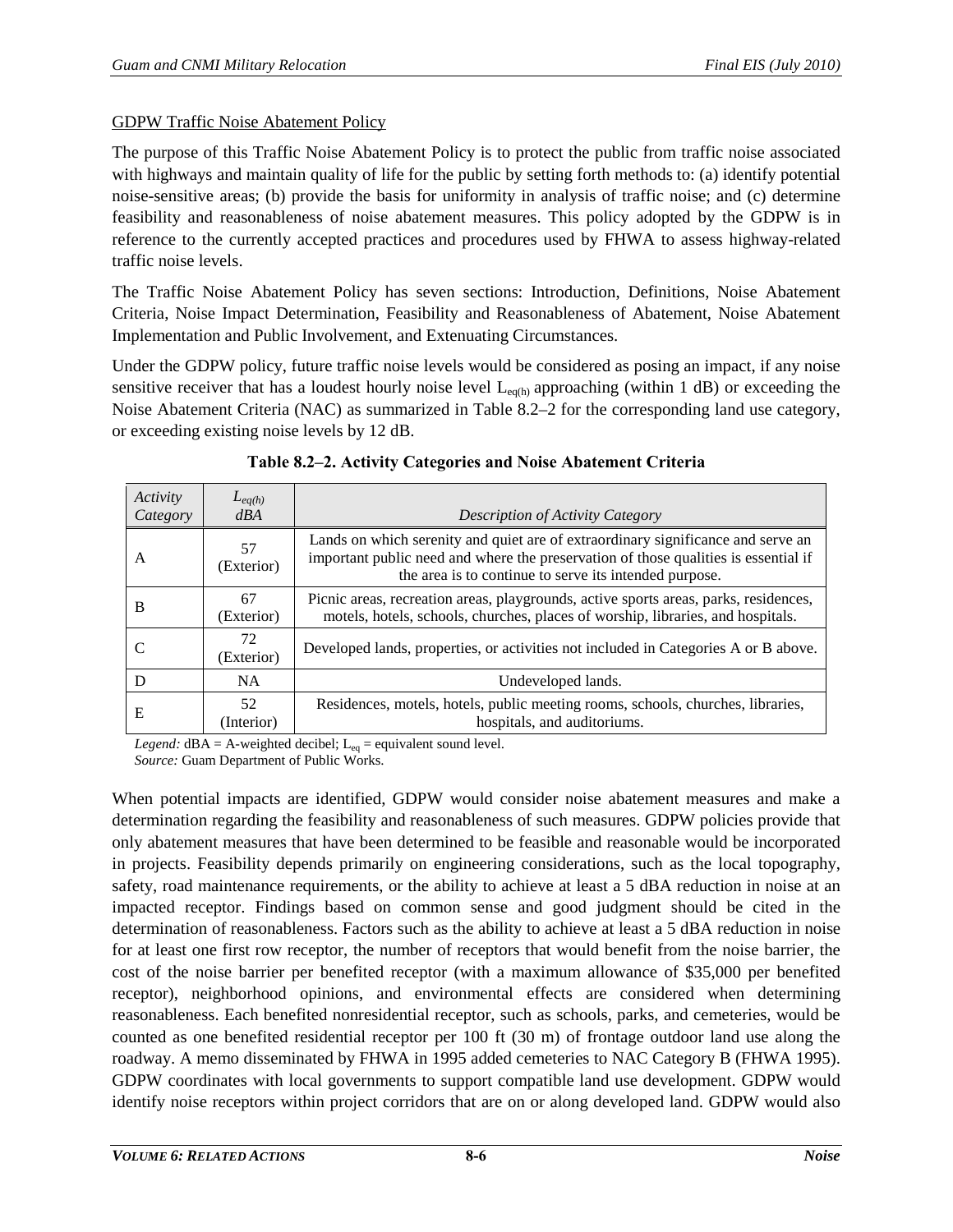## GDPW Traffic Noise Abatement Policy

The purpose of this Traffic Noise Abatement Policy is to protect the public from traffic noise associated with highways and maintain quality of life for the public by setting forth methods to: (a) identify potential noise-sensitive areas; (b) provide the basis for uniformity in analysis of traffic noise; and (c) determine feasibility and reasonableness of noise abatement measures. This policy adopted by the GDPW is in reference to the currently accepted practices and procedures used by FHWA to assess highway-related traffic noise levels.

The Traffic Noise Abatement Policy has seven sections: Introduction, Definitions, Noise Abatement Criteria, Noise Impact Determination, Feasibility and Reasonableness of Abatement, Noise Abatement Implementation and Public Involvement, and Extenuating Circumstances.

Under the GDPW policy, future traffic noise levels would be considered as posing an impact, if any noise sensitive receiver that has a loudest hourly noise level  $L_{eq(h)}$  approaching (within 1 dB) or exceeding the Noise Abatement Criteria (NAC) as summarized in [Table 8.2–2](#page-5-0) for the corresponding land use category, or exceeding existing noise levels by 12 dB.

<span id="page-5-0"></span>

| Activity<br>Category | $L_{eq(h)}$<br>dBA | Description of Activity Category                                                                                                                                                                                                  |
|----------------------|--------------------|-----------------------------------------------------------------------------------------------------------------------------------------------------------------------------------------------------------------------------------|
| A                    | 57<br>(Exterior)   | Lands on which serenity and quiet are of extraordinary significance and serve an<br>important public need and where the preservation of those qualities is essential if<br>the area is to continue to serve its intended purpose. |
| B                    | 67<br>(Exterior)   | Picnic areas, recreation areas, playgrounds, active sports areas, parks, residences,<br>motels, hotels, schools, churches, places of worship, libraries, and hospitals.                                                           |
|                      | 72<br>(Exterior)   | Developed lands, properties, or activities not included in Categories A or B above.                                                                                                                                               |
| D                    | <b>NA</b>          | Undeveloped lands.                                                                                                                                                                                                                |
| Е                    | 52<br>(Interior)   | Residences, motels, hotels, public meeting rooms, schools, churches, libraries,<br>hospitals, and auditoriums.                                                                                                                    |

|  |  | Table 8.2–2. Activity Categories and Noise Abatement Criteria |
|--|--|---------------------------------------------------------------|
|--|--|---------------------------------------------------------------|

*Legend:*  $dBA = A$ -weighted decibel;  $L_{eq} =$  equivalent sound level.

*Source:* Guam Department of Public Works.

When potential impacts are identified, GDPW would consider noise abatement measures and make a determination regarding the feasibility and reasonableness of such measures. GDPW policies provide that only abatement measures that have been determined to be feasible and reasonable would be incorporated in projects. Feasibility depends primarily on engineering considerations, such as the local topography, safety, road maintenance requirements, or the ability to achieve at least a 5 dBA reduction in noise at an impacted receptor. Findings based on common sense and good judgment should be cited in the determination of reasonableness. Factors such as the ability to achieve at least a 5 dBA reduction in noise for at least one first row receptor, the number of receptors that would benefit from the noise barrier, the cost of the noise barrier per benefited receptor (with a maximum allowance of \$35,000 per benefited receptor), neighborhood opinions, and environmental effects are considered when determining reasonableness. Each benefited nonresidential receptor, such as schools, parks, and cemeteries, would be counted as one benefited residential receptor per 100 ft (30 m) of frontage outdoor land use along the roadway. A memo disseminated by FHWA in 1995 added cemeteries to NAC Category B (FHWA 1995). GDPW coordinates with local governments to support compatible land use development. GDPW would identify noise receptors within project corridors that are on or along developed land. GDPW would also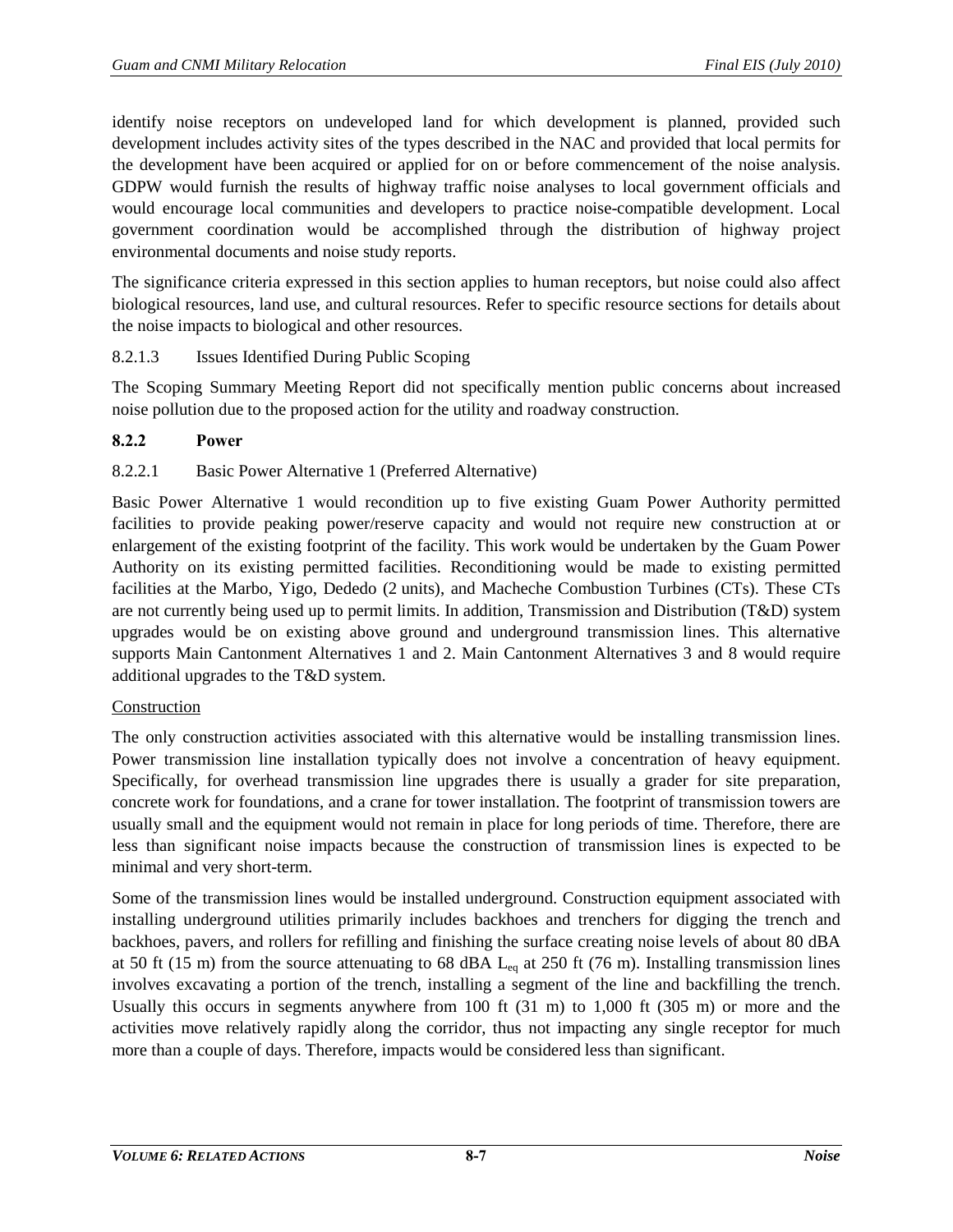identify noise receptors on undeveloped land for which development is planned, provided such development includes activity sites of the types described in the NAC and provided that local permits for the development have been acquired or applied for on or before commencement of the noise analysis. GDPW would furnish the results of highway traffic noise analyses to local government officials and would encourage local communities and developers to practice noise-compatible development. Local government coordination would be accomplished through the distribution of highway project environmental documents and noise study reports.

The significance criteria expressed in this section applies to human receptors, but noise could also affect biological resources, land use, and cultural resources. Refer to specific resource sections for details about the noise impacts to biological and other resources.

## 8.2.1.3 Issues Identified During Public Scoping

The Scoping Summary Meeting Report did not specifically mention public concerns about increased noise pollution due to the proposed action for the utility and roadway construction.

## **8.2.2 Power**

## 8.2.2.1 Basic Power Alternative 1 (Preferred Alternative)

Basic Power Alternative 1 would recondition up to five existing Guam Power Authority permitted facilities to provide peaking power/reserve capacity and would not require new construction at or enlargement of the existing footprint of the facility. This work would be undertaken by the Guam Power Authority on its existing permitted facilities. Reconditioning would be made to existing permitted facilities at the Marbo, Yigo, Dededo (2 units), and Macheche Combustion Turbines (CTs). These CTs are not currently being used up to permit limits. In addition, Transmission and Distribution (T&D) system upgrades would be on existing above ground and underground transmission lines. This alternative supports Main Cantonment Alternatives 1 and 2. Main Cantonment Alternatives 3 and 8 would require additional upgrades to the T&D system.

## Construction

The only construction activities associated with this alternative would be installing transmission lines. Power transmission line installation typically does not involve a concentration of heavy equipment. Specifically, for overhead transmission line upgrades there is usually a grader for site preparation, concrete work for foundations, and a crane for tower installation. The footprint of transmission towers are usually small and the equipment would not remain in place for long periods of time. Therefore, there are less than significant noise impacts because the construction of transmission lines is expected to be minimal and very short-term.

Some of the transmission lines would be installed underground. Construction equipment associated with installing underground utilities primarily includes backhoes and trenchers for digging the trench and backhoes, pavers, and rollers for refilling and finishing the surface creating noise levels of about 80 dBA at 50 ft (15 m) from the source attenuating to 68 dBA  $L_{eq}$  at 250 ft (76 m). Installing transmission lines involves excavating a portion of the trench, installing a segment of the line and backfilling the trench. Usually this occurs in segments anywhere from 100 ft (31 m) to 1,000 ft (305 m) or more and the activities move relatively rapidly along the corridor, thus not impacting any single receptor for much more than a couple of days. Therefore, impacts would be considered less than significant.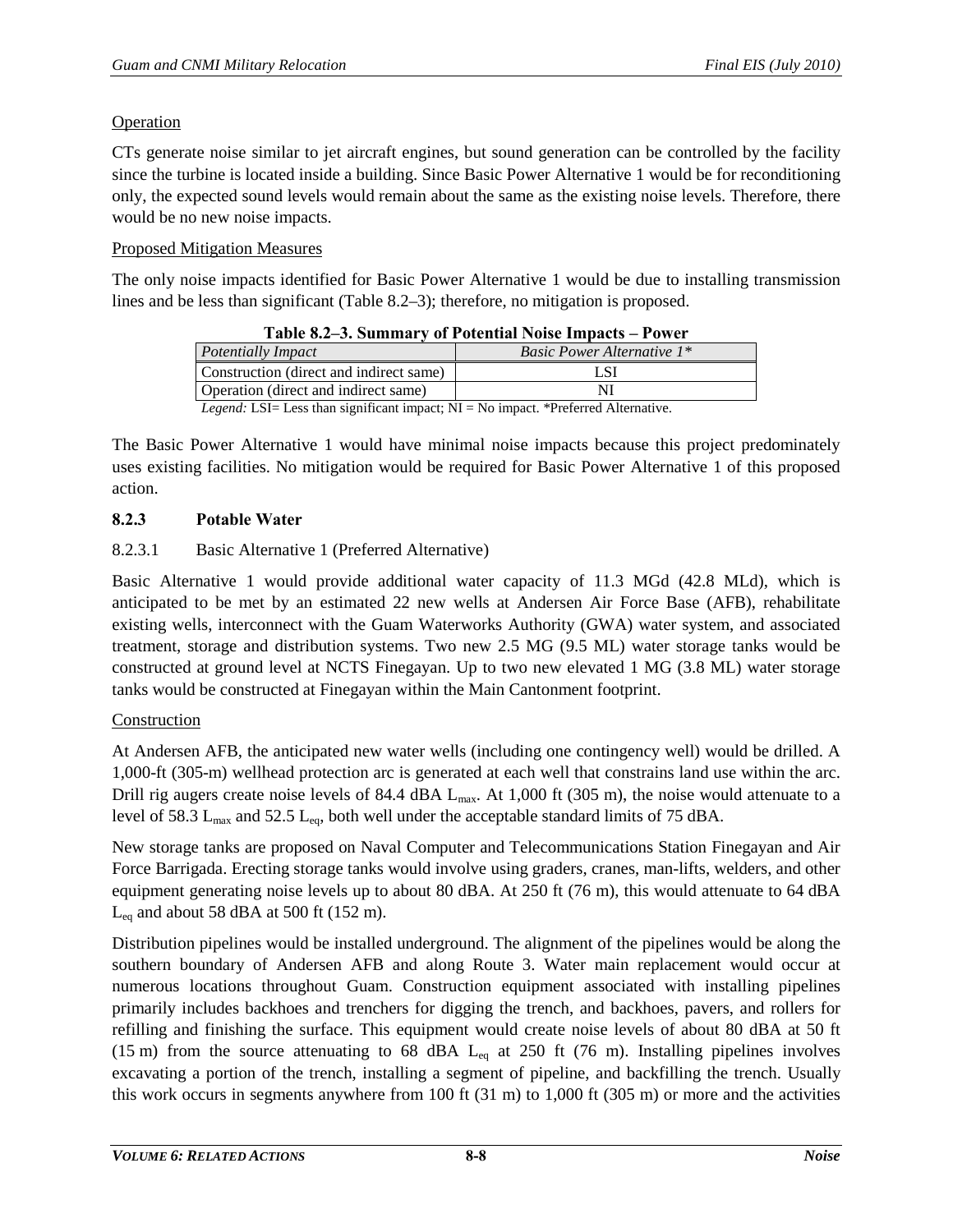## Operation

CTs generate noise similar to jet aircraft engines, but sound generation can be controlled by the facility since the turbine is located inside a building. Since Basic Power Alternative 1 would be for reconditioning only, the expected sound levels would remain about the same as the existing noise levels. Therefore, there would be no new noise impacts.

## Proposed Mitigation Measures

<span id="page-7-0"></span>The only noise impacts identified for Basic Power Alternative 1 would be due to installing transmission lines and be less than significant ( [Table 8.2–3\)](#page-7-0); therefore, no mitigation is proposed.

| <b>Table 8.2–3. Summary of Potential Noise Impacts – Power</b>                              |                                   |  |
|---------------------------------------------------------------------------------------------|-----------------------------------|--|
| Potentially Impact                                                                          | <b>Basic Power Alternative 1*</b> |  |
| Construction (direct and indirect same)                                                     | L SI                              |  |
| Operation (direct and indirect same)                                                        |                                   |  |
| <i>Legend:</i> LSI= Less than significant impact; $NI = No$ impact. *Preferred Alternative. |                                   |  |

The Basic Power Alternative 1 would have minimal noise impacts because this project predominately uses existing facilities. No mitigation would be required for Basic Power Alternative 1 of this proposed action.

# **8.2.3 Potable Water**

## 8.2.3.1 Basic Alternative 1 (Preferred Alternative)

Basic Alternative 1 would provide additional water capacity of 11.3 MGd (42.8 MLd), which is anticipated to be met by an estimated 22 new wells at Andersen Air Force Base (AFB), rehabilitate existing wells, interconnect with the Guam Waterworks Authority (GWA) water system, and associated treatment, storage and distribution systems. Two new 2.5 MG (9.5 ML) water storage tanks would be constructed at ground level at NCTS Finegayan. Up to two new elevated 1 MG (3.8 ML) water storage tanks would be constructed at Finegayan within the Main Cantonment footprint.

## Construction

At Andersen AFB, the anticipated new water wells (including one contingency well) would be drilled. A 1,000-ft (305-m) wellhead protection arc is generated at each well that constrains land use within the arc. Drill rig augers create noise levels of 84.4 dBA L<sub>max</sub>. At 1,000 ft (305 m), the noise would attenuate to a level of 58.3  $L_{max}$  and 52.5  $L_{eq}$ , both well under the acceptable standard limits of 75 dBA.

New storage tanks are proposed on Naval Computer and Telecommunications Station Finegayan and Air Force Barrigada. Erecting storage tanks would involve using graders, cranes, man-lifts, welders, and other equipment generating noise levels up to about 80 dBA. At 250 ft (76 m), this would attenuate to 64 dBA  $L_{eq}$  and about 58 dBA at 500 ft (152 m).

Distribution pipelines would be installed underground. The alignment of the pipelines would be along the southern boundary of Andersen AFB and along Route 3. Water main replacement would occur at numerous locations throughout Guam. Construction equipment associated with installing pipelines primarily includes backhoes and trenchers for digging the trench, and backhoes, pavers, and rollers for refilling and finishing the surface. This equipment would create noise levels of about 80 dBA at 50 ft (15 m) from the source attenuating to 68 dBA  $L_{eq}$  at 250 ft (76 m). Installing pipelines involves excavating a portion of the trench, installing a segment of pipeline, and backfilling the trench. Usually this work occurs in segments anywhere from 100 ft (31 m) to 1,000 ft (305 m) or more and the activities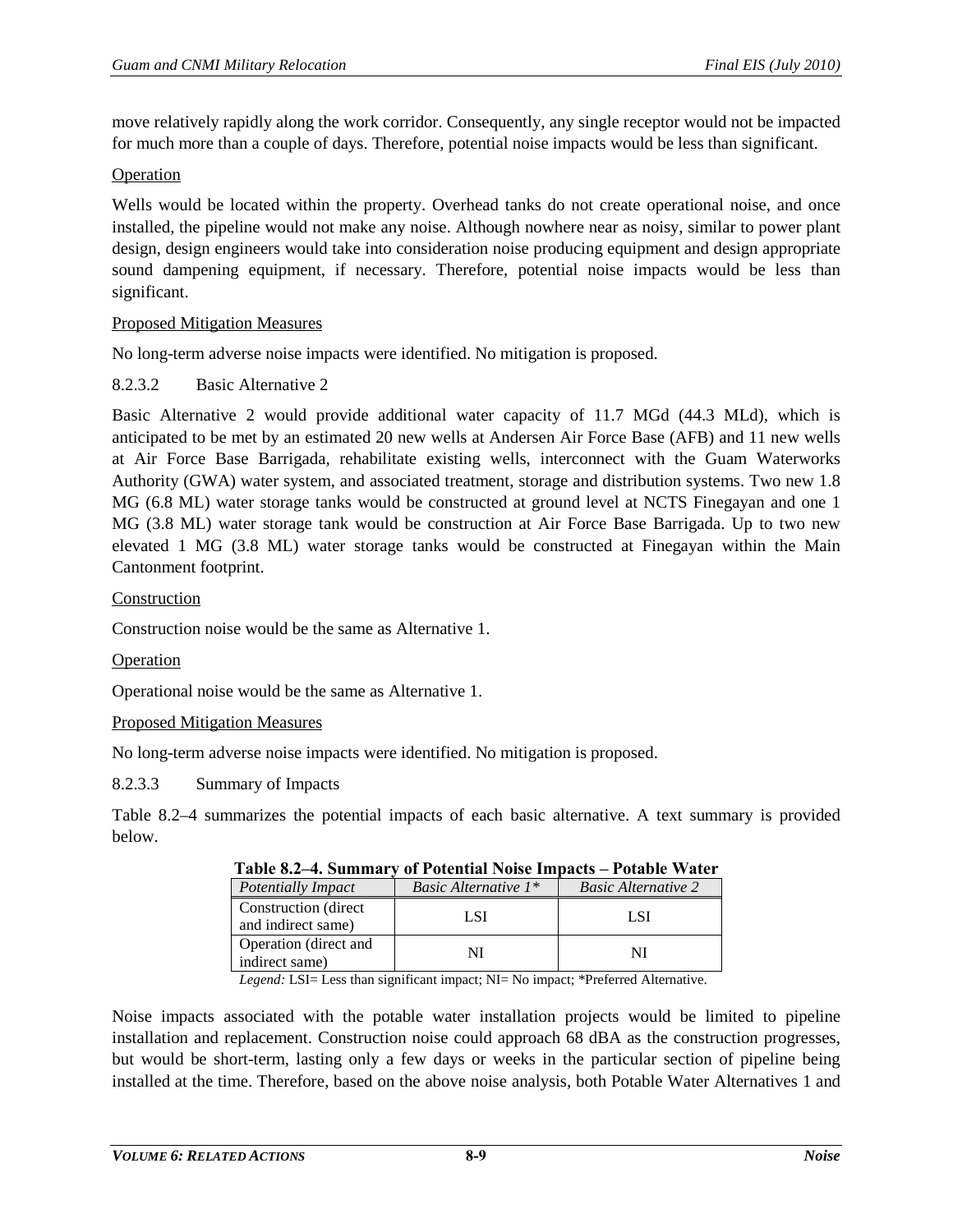move relatively rapidly along the work corridor. Consequently, any single receptor would not be impacted for much more than a couple of days. Therefore, potential noise impacts would be less than significant.

### Operation

Wells would be located within the property. Overhead tanks do not create operational noise, and once installed, the pipeline would not make any noise. Although nowhere near as noisy, similar to power plant design, design engineers would take into consideration noise producing equipment and design appropriate sound dampening equipment, if necessary. Therefore, potential noise impacts would be less than significant.

### Proposed Mitigation Measures

No long-term adverse noise impacts were identified. No mitigation is proposed.

## 8.2.3.2 Basic Alternative 2

Basic Alternative 2 would provide additional water capacity of 11.7 MGd (44.3 MLd), which is anticipated to be met by an estimated 20 new wells at Andersen Air Force Base (AFB) and 11 new wells at Air Force Base Barrigada, rehabilitate existing wells, interconnect with the Guam Waterworks Authority (GWA) water system, and associated treatment, storage and distribution systems. Two new 1.8 MG (6.8 ML) water storage tanks would be constructed at ground level at NCTS Finegayan and one 1 MG (3.8 ML) water storage tank would be construction at Air Force Base Barrigada. Up to two new elevated 1 MG (3.8 ML) water storage tanks would be constructed at Finegayan within the Main Cantonment footprint.

### Construction

Construction noise would be the same as Alternative 1.

#### Operation

Operational noise would be the same as Alternative 1.

#### Proposed Mitigation Measures

No long-term adverse noise impacts were identified. No mitigation is proposed.

#### 8.2.3.3 Summary of Impacts

<span id="page-8-0"></span>[Table 8.2–4](#page-8-0) summarizes the potential impacts of each basic alternative. A text summary is provided below.

| Potentially Impact                          | <i>Basic Alternative</i> $1^*$ | <b>Basic Alternative 2</b> |
|---------------------------------------------|--------------------------------|----------------------------|
| Construction (direct)<br>and indirect same) | L SI                           | L SI                       |
| Operation (direct and<br>indirect same)     |                                | NΤ                         |

| Table 8.2–4. Summary of Potential Noise Impacts – Potable Water |  |  |
|-----------------------------------------------------------------|--|--|
|-----------------------------------------------------------------|--|--|

*Legend:* LSI= Less than significant impact; NI= No impact; \*Preferred Alternative.

Noise impacts associated with the potable water installation projects would be limited to pipeline installation and replacement. Construction noise could approach 68 dBA as the construction progresses, but would be short-term, lasting only a few days or weeks in the particular section of pipeline being installed at the time. Therefore, based on the above noise analysis, both Potable Water Alternatives 1 and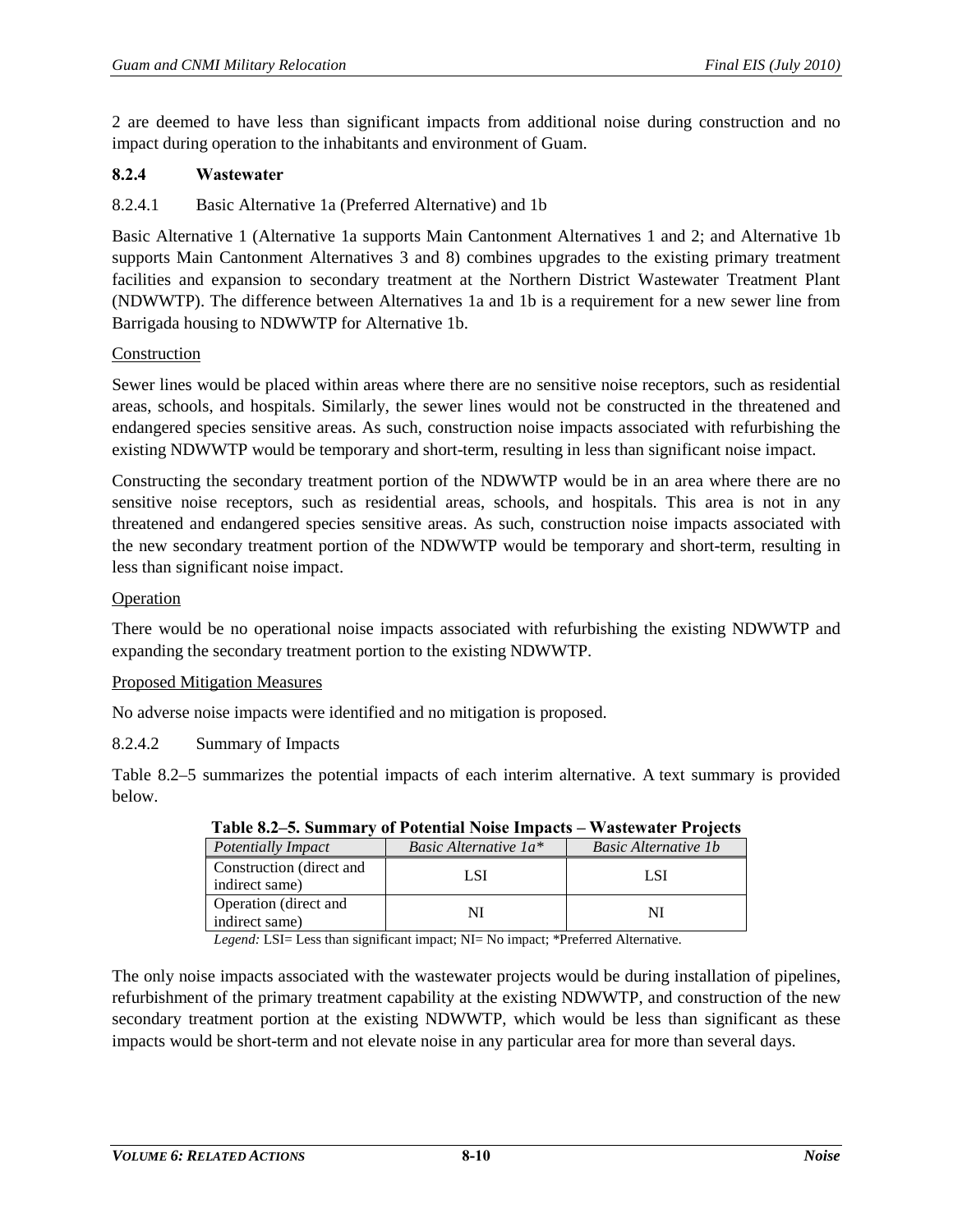2 are deemed to have less than significant impacts from additional noise during construction and no impact during operation to the inhabitants and environment of Guam.

## **8.2.4 Wastewater**

## 8.2.4.1 Basic Alternative 1a (Preferred Alternative) and 1b

Basic Alternative 1 (Alternative 1a supports Main Cantonment Alternatives 1 and 2; and Alternative 1b supports Main Cantonment Alternatives 3 and 8) combines upgrades to the existing primary treatment facilities and expansion to secondary treatment at the Northern District Wastewater Treatment Plant (NDWWTP). The difference between Alternatives 1a and 1b is a requirement for a new sewer line from Barrigada housing to NDWWTP for Alternative 1b.

### Construction

Sewer lines would be placed within areas where there are no sensitive noise receptors, such as residential areas, schools, and hospitals. Similarly, the sewer lines would not be constructed in the threatened and endangered species sensitive areas. As such, construction noise impacts associated with refurbishing the existing NDWWTP would be temporary and short-term, resulting in less than significant noise impact.

Constructing the secondary treatment portion of the NDWWTP would be in an area where there are no sensitive noise receptors, such as residential areas, schools, and hospitals. This area is not in any threatened and endangered species sensitive areas. As such, construction noise impacts associated with the new secondary treatment portion of the NDWWTP would be temporary and short-term, resulting in less than significant noise impact.

## Operation

There would be no operational noise impacts associated with refurbishing the existing NDWWTP and expanding the secondary treatment portion to the existing NDWWTP.

## Proposed Mitigation Measures

No adverse noise impacts were identified and no mitigation is proposed.

8.2.4.2 Summary of Impacts

<span id="page-9-0"></span>[Table 8.2–5](#page-9-0) summarizes the potential impacts of each interim alternative. A text summary is provided below.

| $1.1$ where $1.1$ we have $1.2$ and $1.3$ and $1.4$ |                                            |                             |
|-----------------------------------------------------|--------------------------------------------|-----------------------------|
| <b>Potentially Impact</b>                           | <i>Basic Alternative <math>1a^*</math></i> | <b>Basic Alternative 1b</b> |
| Construction (direct and<br>indirect same)          | L SI                                       | LSI                         |
| Operation (direct and<br>indirect same)             |                                            |                             |

**Table 8.2–5. Summary of Potential Noise Impacts – Wastewater Projects**

*Legend:* LSI= Less than significant impact; NI= No impact; \*Preferred Alternative.

The only noise impacts associated with the wastewater projects would be during installation of pipelines, refurbishment of the primary treatment capability at the existing NDWWTP, and construction of the new secondary treatment portion at the existing NDWWTP, which would be less than significant as these impacts would be short-term and not elevate noise in any particular area for more than several days.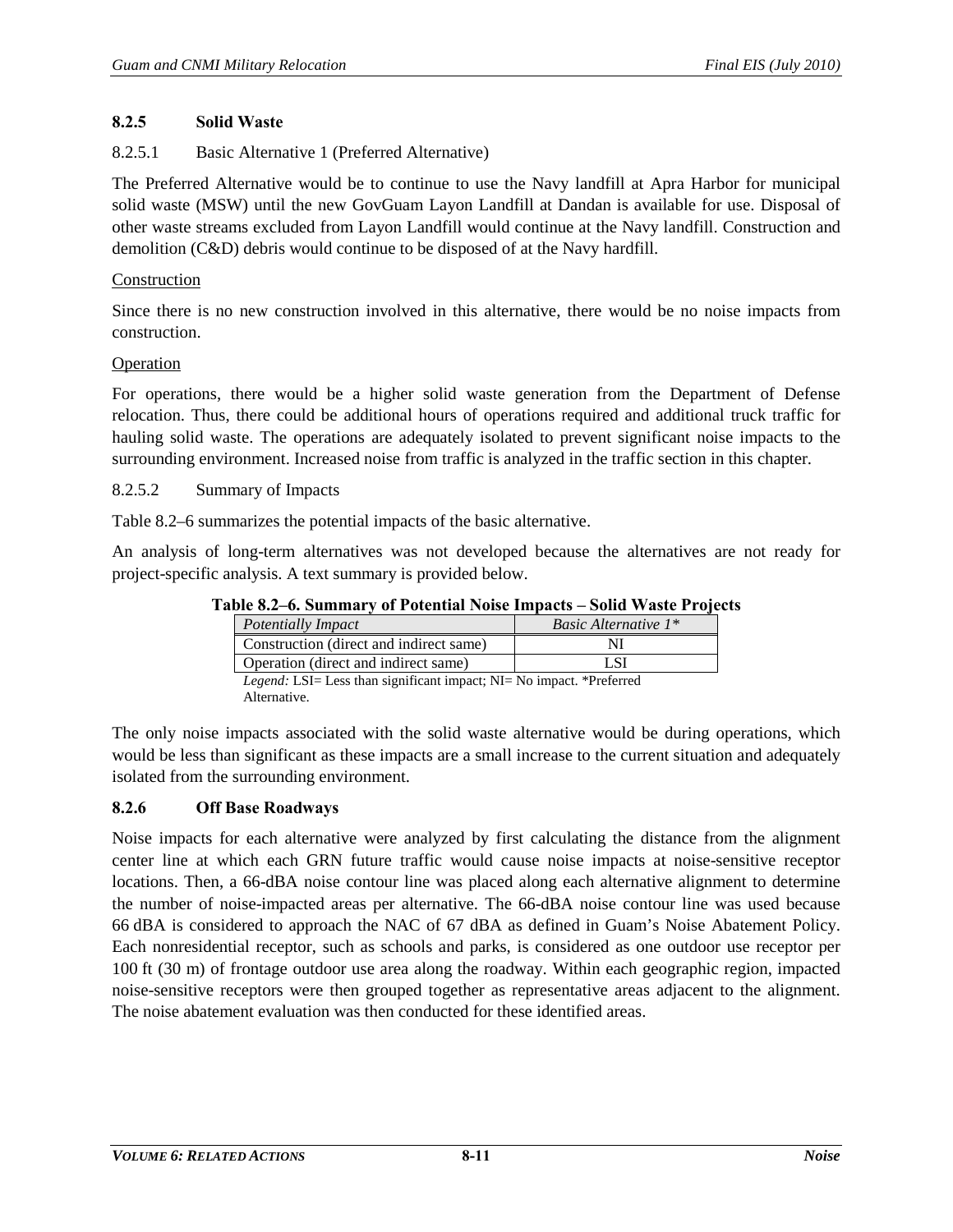## **8.2.5 Solid Waste**

## 8.2.5.1 Basic Alternative 1 (Preferred Alternative)

The Preferred Alternative would be to continue to use the Navy landfill at Apra Harbor for municipal solid waste (MSW) until the new GovGuam Layon Landfill at Dandan is available for use. Disposal of other waste streams excluded from Layon Landfill would continue at the Navy landfill. Construction and demolition (C&D) debris would continue to be disposed of at the Navy hardfill.

#### Construction

Since there is no new construction involved in this alternative, there would be no noise impacts from construction.

### Operation

For operations, there would be a higher solid waste generation from the Department of Defense relocation. Thus, there could be additional hours of operations required and additional truck traffic for hauling solid waste. The operations are adequately isolated to prevent significant noise impacts to the surrounding environment. Increased noise from traffic is analyzed in the traffic section in this chapter.

### 8.2.5.2 Summary of Impacts

[Table 8.2–6](#page-10-0) summarizes the potential impacts of the basic alternative.

<span id="page-10-0"></span>An analysis of long-term alternatives was not developed because the alternatives are not ready for project-specific analysis. A text summary is provided below.

| Table 8.2–6. Summary of Potential Noise Impacts – Solid Waste Projects |  |
|------------------------------------------------------------------------|--|
|------------------------------------------------------------------------|--|

| Potentially Impact                      | <i>Basic Alternative</i> $1^*$ |
|-----------------------------------------|--------------------------------|
| Construction (direct and indirect same) |                                |
| Operation (direct and indirect same)    | - SI                           |

*Legend:* LSI= Less than significant impact; NI= No impact. \*Preferred Alternative.

The only noise impacts associated with the solid waste alternative would be during operations, which would be less than significant as these impacts are a small increase to the current situation and adequately isolated from the surrounding environment.

## **8.2.6 Off Base Roadways**

Noise impacts for each alternative were analyzed by first calculating the distance from the alignment center line at which each GRN future traffic would cause noise impacts at noise-sensitive receptor locations. Then, a 66-dBA noise contour line was placed along each alternative alignment to determine the number of noise-impacted areas per alternative. The 66-dBA noise contour line was used because 66 dBA is considered to approach the NAC of 67 dBA as defined in Guam's Noise Abatement Policy. Each nonresidential receptor, such as schools and parks, is considered as one outdoor use receptor per 100 ft (30 m) of frontage outdoor use area along the roadway. Within each geographic region, impacted noise-sensitive receptors were then grouped together as representative areas adjacent to the alignment. The noise abatement evaluation was then conducted for these identified areas.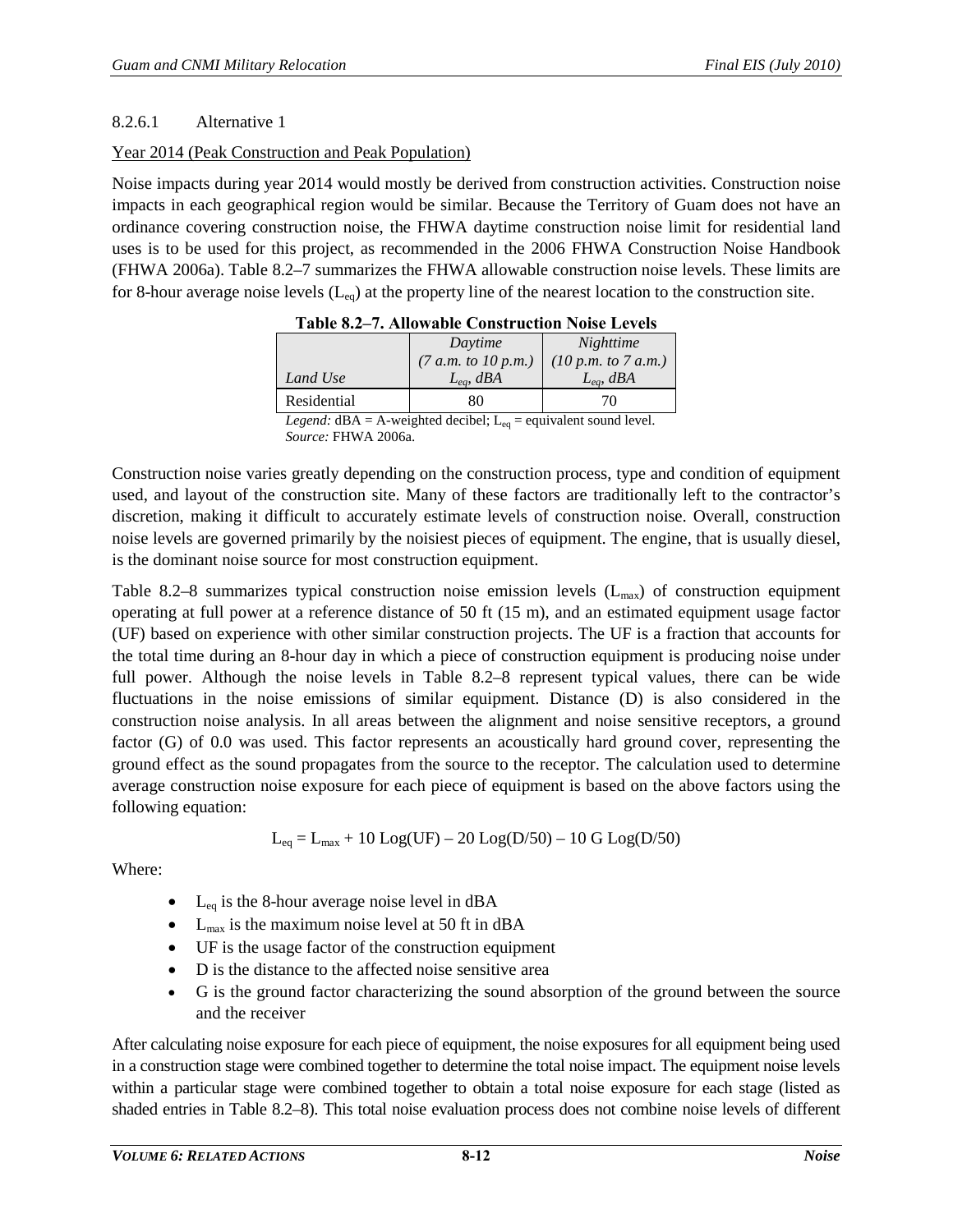## <span id="page-11-1"></span>8.2.6.1 Alternative 1

## Year 2014 (Peak Construction and Peak Population)

<span id="page-11-0"></span>Noise impacts during year 2014 would mostly be derived from construction activities. Construction noise impacts in each geographical region would be similar. Because the Territory of Guam does not have an ordinance covering construction noise, the FHWA daytime construction noise limit for residential land uses is to be used for this project, as recommended in the 2006 FHWA Construction Noise Handbook (FHWA 2006a). [Table 8.2–7](#page-11-0) summarizes the FHWA allowable construction noise levels. These limits are for 8-hour average noise levels  $(L_{eq})$  at the property line of the nearest location to the construction site.

| Table 0.2 7. Thowable Constituction Folse Ecvels |                     |                     |
|--------------------------------------------------|---------------------|---------------------|
|                                                  | Daytime             | Nighttime           |
|                                                  | (7 a.m. to 10 p.m.) | (10 p.m. to 7 a.m.) |
| Land Use                                         | $L_{ea}$ , dBA      | $L_{ea}$ , dBA      |
| Residential                                      | 80                  | 70                  |
| المسمول المستحدث والمستحدث والمستحدث             |                     |                     |

*Legend:*  $dBA = A$ -weighted decibel;  $L_{eq} =$  equivalent sound level. *Source:* FHWA 2006a.

Construction noise varies greatly depending on the construction process, type and condition of equipment used, and layout of the construction site. Many of these factors are traditionally left to the contractor's discretion, making it difficult to accurately estimate levels of construction noise. Overall, construction noise levels are governed primarily by the noisiest pieces of equipment. The engine, that is usually diesel, is the dominant noise source for most construction equipment.

[Table 8.2–8](#page-12-0) summarizes typical construction noise emission levels  $(L_{\text{max}})$  of construction equipment operating at full power at a reference distance of 50 ft (15 m), and an estimated equipment usage factor (UF) based on experience with other similar construction projects. The UF is a fraction that accounts for the total time during an 8-hour day in which a piece of construction equipment is producing noise under full power. Although the noise levels in [Table 8.2–8](#page-12-0) represent typical values, there can be wide fluctuations in the noise emissions of similar equipment. Distance (D) is also considered in the construction noise analysis. In all areas between the alignment and noise sensitive receptors, a ground factor (G) of 0.0 was used. This factor represents an acoustically hard ground cover, representing the ground effect as the sound propagates from the source to the receptor. The calculation used to determine average construction noise exposure for each piece of equipment is based on the above factors using the following equation:

$$
L_{eq}=L_{max}+10~Log(UF)-20~Log(D/50)-10~G~Log(D/50)
$$

Where:

- L<sub>eq</sub> is the 8-hour average noise level in dBA
- $L_{\text{max}}$  is the maximum noise level at 50 ft in dBA
- UF is the usage factor of the construction equipment
- D is the distance to the affected noise sensitive area
- G is the ground factor characterizing the sound absorption of the ground between the source and the receiver

After calculating noise exposure for each piece of equipment, the noise exposures for all equipment being used in a construction stage were combined together to determine the total noise impact. The equipment noise levels within a particular stage were combined together to obtain a total noise exposure for each stage (listed as shaded entries in [Table 8.2–8\)](#page-12-0). This total noise evaluation process does not combine noise levels of different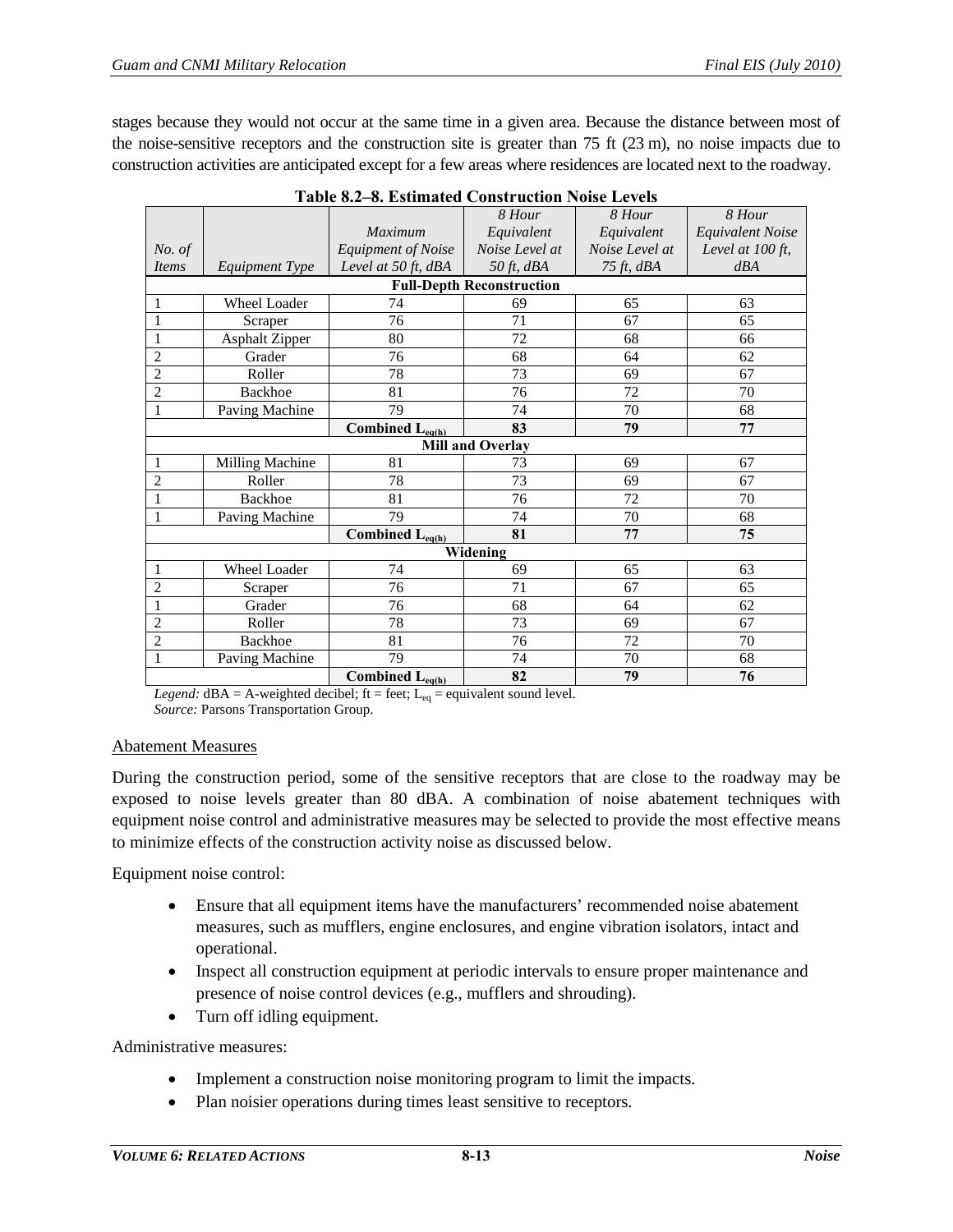stages because they would not occur at the same time in a given area. Because the distance between most of the noise-sensitive receptors and the construction site is greater than 75 ft (23 m), no noise impacts due to construction activities are anticipated except for a few areas where residences are located next to the roadway.

<span id="page-12-0"></span>

|                |                        |                                               | 8 Hour                           | 8 Hour         | 8 Hour                  |
|----------------|------------------------|-----------------------------------------------|----------------------------------|----------------|-------------------------|
|                |                        | <b>Maximum</b>                                | Equivalent                       | Equivalent     | <b>Equivalent Noise</b> |
| No. of         |                        | <b>Equipment of Noise</b>                     | Noise Level at                   | Noise Level at | Level at $100$ ft,      |
| <b>Items</b>   | Equipment Type         | Level at 50 ft, dBA                           | 50 $ft$ , dBA                    | $75$ ft, $dBA$ | dBA                     |
|                |                        |                                               | <b>Full-Depth Reconstruction</b> |                |                         |
| 1              | <b>Wheel Loader</b>    | 74                                            | 69                               | 65             | 63                      |
| $\mathbf{1}$   | Scraper                | 76                                            | 71                               | 67             | 65                      |
| 1              | Asphalt Zipper         | 80                                            | 72                               | 68             | 66                      |
| $\overline{c}$ | Grader                 | 76                                            | 68                               | 64             | 62                      |
| $\overline{2}$ | Roller                 | 78                                            | 73                               | 69             | 67                      |
| $\overline{2}$ | <b>Backhoe</b>         | 81                                            | 76                               | 72             | 70                      |
| 1              | Paving Machine         | 79                                            | 74                               | 70             | 68                      |
|                |                        | Combined $L_{eq(h)}$                          | 83                               | 79             | 77                      |
|                |                        |                                               | <b>Mill and Overlay</b>          |                |                         |
| 1              | <b>Milling Machine</b> | 81                                            | 73                               | 69             | 67                      |
| $\overline{c}$ | Roller                 | 78                                            | 73                               | 69             | 67                      |
| 1              | <b>Backhoe</b>         | 81                                            | 76                               | 72             | 70                      |
| 1              | Paving Machine         | 79                                            | 74                               | 70             | 68                      |
|                |                        | $\overline{\text{Combined L}}_{\text{eq(h)}}$ | 81                               | 77             | 75                      |
|                |                        |                                               | Widening                         |                |                         |
| 1              | Wheel Loader           | 74                                            | 69                               | 65             | 63                      |
| 2              | Scraper                | 76                                            | 71                               | 67             | 65                      |
| 1              | Grader                 | 76                                            | 68                               | 64             | 62                      |
| $\overline{2}$ | Roller                 | 78                                            | 73                               | 69             | 67                      |
| $\overline{2}$ | <b>Backhoe</b>         | 81                                            | 76                               | 72             | 70                      |
| 1              | Paving Machine         | 79                                            | 74                               | 70             | 68                      |
|                |                        | Combined $L_{eq(h)}$                          | 82                               | 79             | 76                      |

|  | <b>Table 8.2–8. Estimated Construction Noise Levels</b> |  |
|--|---------------------------------------------------------|--|
|  |                                                         |  |

*Legend:*  $dBA = A$ -weighted decibel; ft = feet;  $L_{eq}$  = equivalent sound level. *Source:* Parsons Transportation Group.

#### Abatement Measures

During the construction period, some of the sensitive receptors that are close to the roadway may be exposed to noise levels greater than 80 dBA. A combination of noise abatement techniques with equipment noise control and administrative measures may be selected to provide the most effective means to minimize effects of the construction activity noise as discussed below.

Equipment noise control:

- Ensure that all equipment items have the manufacturers' recommended noise abatement measures, such as mufflers, engine enclosures, and engine vibration isolators, intact and operational.
- Inspect all construction equipment at periodic intervals to ensure proper maintenance and presence of noise control devices (e.g., mufflers and shrouding).
- Turn off idling equipment.

Administrative measures:

- Implement a construction noise monitoring program to limit the impacts.
- Plan noisier operations during times least sensitive to receptors.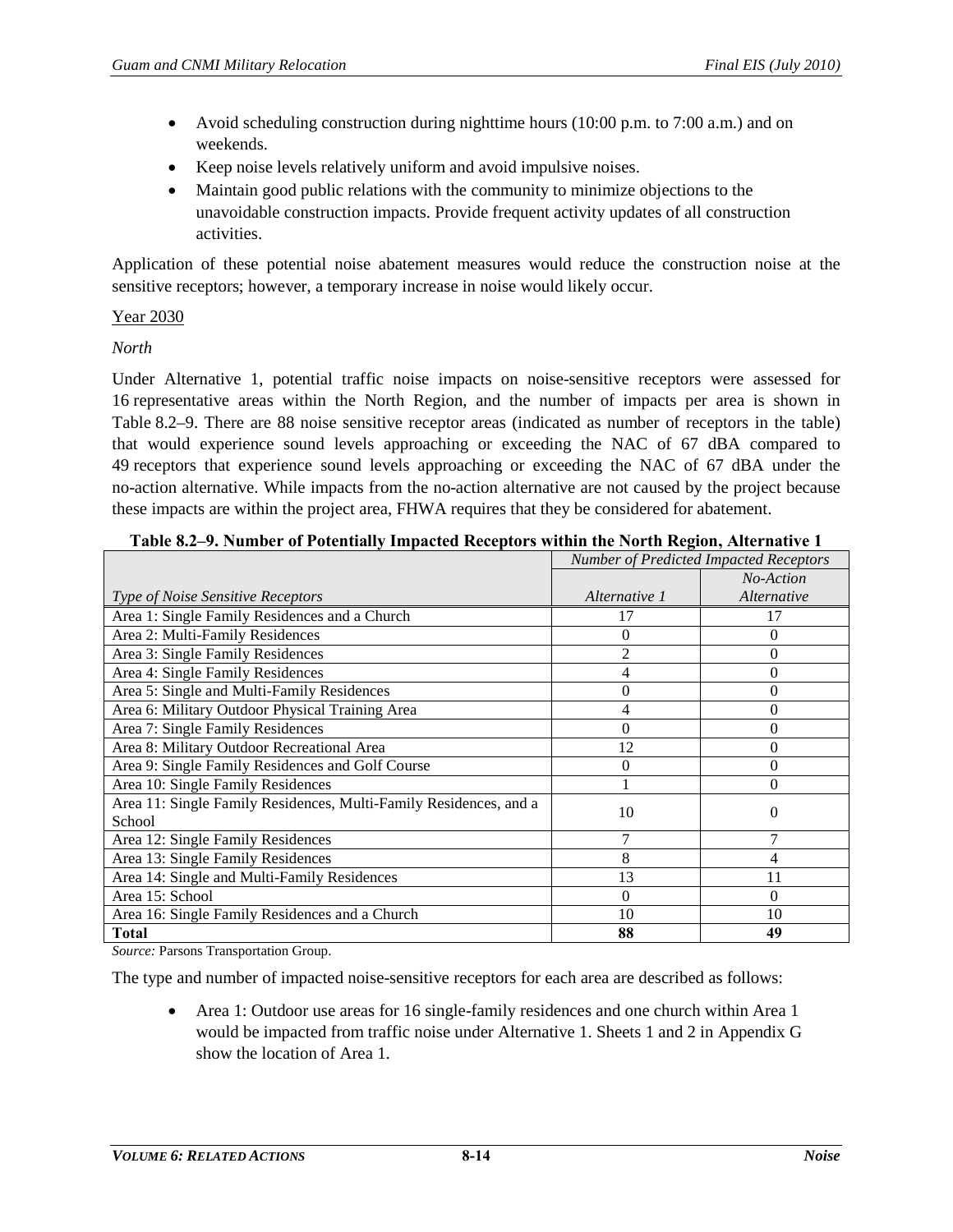- Avoid scheduling construction during nighttime hours (10:00 p.m. to 7:00 a.m.) and on weekends.
- Keep noise levels relatively uniform and avoid impulsive noises.
- Maintain good public relations with the community to minimize objections to the unavoidable construction impacts. Provide frequent activity updates of all construction activities.

Application of these potential noise abatement measures would reduce the construction noise at the sensitive receptors; however, a temporary increase in noise would likely occur.

#### Year 2030

#### *North*

Under Alternative 1, potential traffic noise impacts on noise-sensitive receptors were assessed for 16 representative areas within the North Region, and the number of impacts per area is shown in [Table 8.2–9.](#page-13-0) There are 88 noise sensitive receptor areas (indicated as number of receptors in the table) that would experience sound levels approaching or exceeding the NAC of 67 dBA compared to 49 receptors that experience sound levels approaching or exceeding the NAC of 67 dBA under the no-action alternative. While impacts from the no-action alternative are not caused by the project because these impacts are within the project area, FHWA requires that they be considered for abatement.

<span id="page-13-0"></span>

| таріс он 71 ганняст от госсийни у тіпрассса тесеріого місній систем тесцопу тися насте т |                | <b>Number of Predicted Impacted Receptors</b> |
|------------------------------------------------------------------------------------------|----------------|-----------------------------------------------|
|                                                                                          |                | No-Action                                     |
| Type of Noise Sensitive Receptors                                                        | Alternative 1  | Alternative                                   |
| Area 1: Single Family Residences and a Church                                            | 17             | 17                                            |
| Area 2: Multi-Family Residences                                                          | $\theta$       | 0                                             |
| Area 3: Single Family Residences                                                         | $\overline{2}$ | 0                                             |
| Area 4: Single Family Residences                                                         | 4              | 0                                             |
| Area 5: Single and Multi-Family Residences                                               | $\overline{0}$ | 0                                             |
| Area 6: Military Outdoor Physical Training Area                                          | 4              | 0                                             |
| Area 7: Single Family Residences                                                         | $\theta$       | 0                                             |
| Area 8: Military Outdoor Recreational Area                                               | 12             | 0                                             |
| Area 9: Single Family Residences and Golf Course                                         | $\Omega$       | 0                                             |
| Area 10: Single Family Residences                                                        | 1              | 0                                             |
| Area 11: Single Family Residences, Multi-Family Residences, and a                        | 10             | 0                                             |
| School                                                                                   |                |                                               |
| Area 12: Single Family Residences                                                        | 7              |                                               |
| Area 13: Single Family Residences                                                        | 8              |                                               |
| Area 14: Single and Multi-Family Residences                                              | 13             | 11                                            |
| Area 15: School                                                                          | $\Omega$       | 0                                             |
| Area 16: Single Family Residences and a Church                                           | 10             | 10                                            |
| <b>Total</b>                                                                             | 88             | 49                                            |

### **Table 8.2–9. Number of Potentially Impacted Receptors within the North Region, Alternative 1**

*Source:* Parsons Transportation Group.

The type and number of impacted noise-sensitive receptors for each area are described as follows:

• Area 1: Outdoor use areas for 16 single-family residences and one church within Area 1 would be impacted from traffic noise under Alternative 1. Sheets 1 and 2 in Appendix G show the location of Area 1.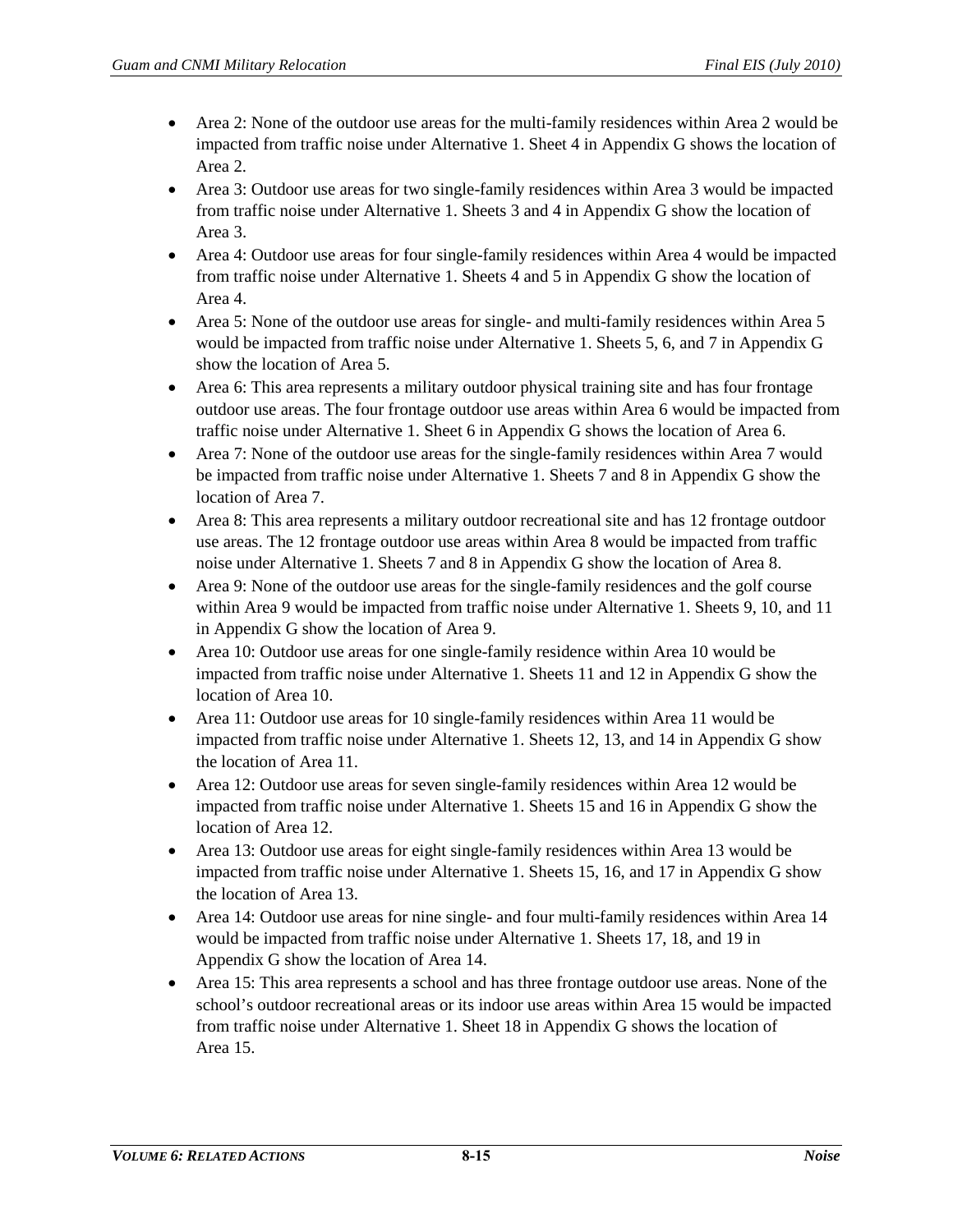- Area 2: None of the outdoor use areas for the multi-family residences within Area 2 would be impacted from traffic noise under Alternative 1. Sheet 4 in Appendix G shows the location of Area 2.
- Area 3: Outdoor use areas for two single-family residences within Area 3 would be impacted from traffic noise under Alternative 1. Sheets 3 and 4 in Appendix G show the location of Area 3.
- Area 4: Outdoor use areas for four single-family residences within Area 4 would be impacted from traffic noise under Alternative 1. Sheets 4 and 5 in Appendix G show the location of Area 4.
- Area 5: None of the outdoor use areas for single- and multi-family residences within Area 5 would be impacted from traffic noise under Alternative 1. Sheets 5, 6, and 7 in Appendix G show the location of Area 5.
- Area 6: This area represents a military outdoor physical training site and has four frontage outdoor use areas. The four frontage outdoor use areas within Area 6 would be impacted from traffic noise under Alternative 1. Sheet 6 in Appendix G shows the location of Area 6.
- Area 7: None of the outdoor use areas for the single-family residences within Area 7 would be impacted from traffic noise under Alternative 1. Sheets 7 and 8 in Appendix G show the location of Area 7.
- Area 8: This area represents a military outdoor recreational site and has 12 frontage outdoor use areas. The 12 frontage outdoor use areas within Area 8 would be impacted from traffic noise under Alternative 1. Sheets 7 and 8 in Appendix G show the location of Area 8.
- Area 9: None of the outdoor use areas for the single-family residences and the golf course within Area 9 would be impacted from traffic noise under Alternative 1. Sheets 9, 10, and 11 in Appendix G show the location of Area 9.
- Area 10: Outdoor use areas for one single-family residence within Area 10 would be impacted from traffic noise under Alternative 1. Sheets 11 and 12 in Appendix G show the location of Area 10.
- Area 11: Outdoor use areas for 10 single-family residences within Area 11 would be impacted from traffic noise under Alternative 1. Sheets 12, 13, and 14 in Appendix G show the location of Area 11.
- Area 12: Outdoor use areas for seven single-family residences within Area 12 would be impacted from traffic noise under Alternative 1. Sheets 15 and 16 in Appendix G show the location of Area 12.
- Area 13: Outdoor use areas for eight single-family residences within Area 13 would be impacted from traffic noise under Alternative 1. Sheets 15, 16, and 17 in Appendix G show the location of Area 13.
- Area 14: Outdoor use areas for nine single- and four multi-family residences within Area 14 would be impacted from traffic noise under Alternative 1. Sheets 17, 18, and 19 in Appendix G show the location of Area 14.
- Area 15: This area represents a school and has three frontage outdoor use areas. None of the school's outdoor recreational areas or its indoor use areas within Area 15 would be impacted from traffic noise under Alternative 1. Sheet 18 in Appendix G shows the location of Area 15.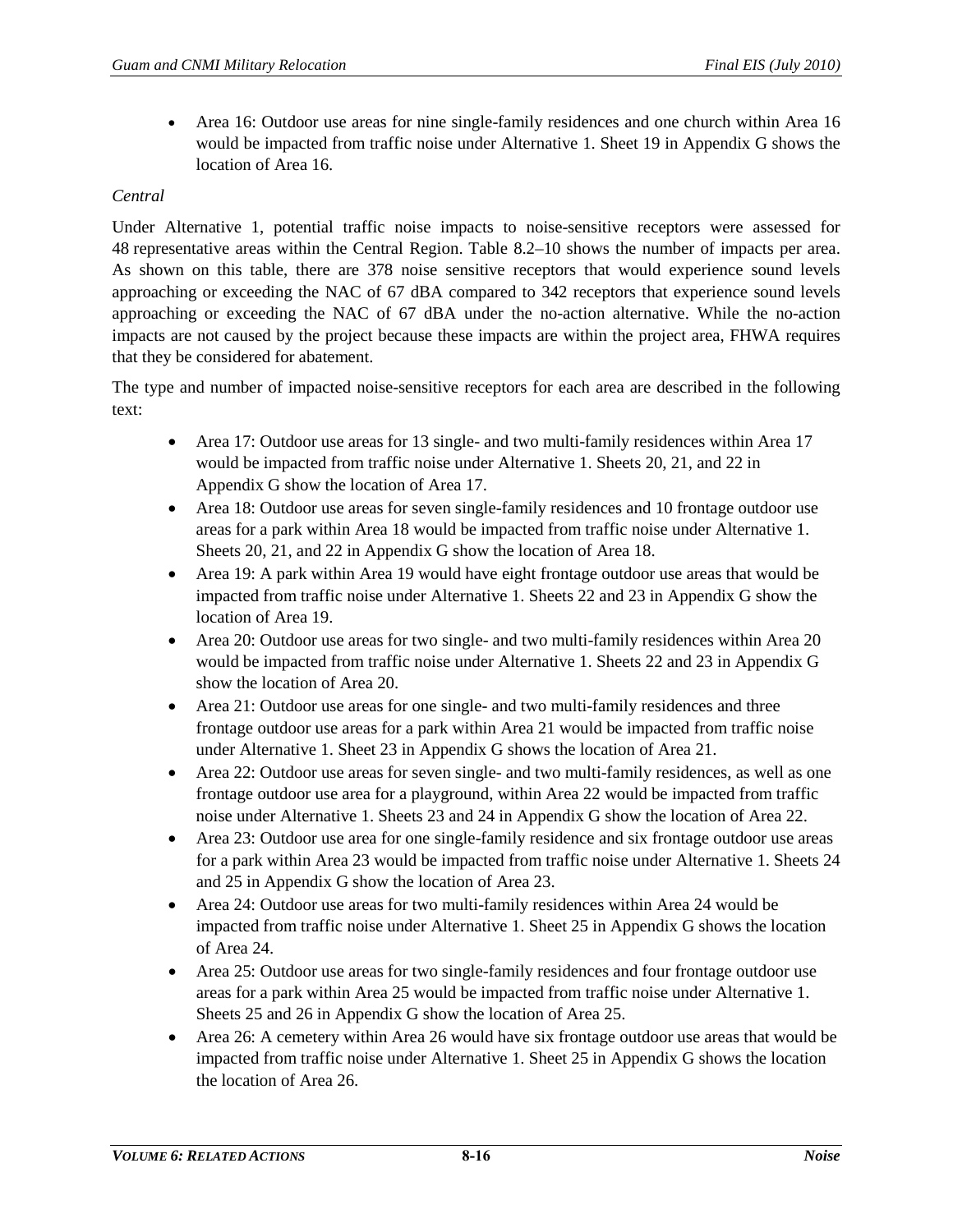• Area 16: Outdoor use areas for nine single-family residences and one church within Area 16 would be impacted from traffic noise under Alternative 1. Sheet 19 in Appendix G shows the location of Area 16.

## *Central*

Under Alternative 1, potential traffic noise impacts to noise-sensitive receptors were assessed for 48 representative areas within the Central Region. [Table 8.2–10](#page-16-0) shows the number of impacts per area. As shown on this table, there are 378 noise sensitive receptors that would experience sound levels approaching or exceeding the NAC of 67 dBA compared to 342 receptors that experience sound levels approaching or exceeding the NAC of 67 dBA under the no-action alternative. While the no-action impacts are not caused by the project because these impacts are within the project area, FHWA requires that they be considered for abatement.

The type and number of impacted noise-sensitive receptors for each area are described in the following text:

- Area 17: Outdoor use areas for 13 single- and two multi-family residences within Area 17 would be impacted from traffic noise under Alternative 1. Sheets 20, 21, and 22 in Appendix G show the location of Area 17.
- Area 18: Outdoor use areas for seven single-family residences and 10 frontage outdoor use areas for a park within Area 18 would be impacted from traffic noise under Alternative 1. Sheets 20, 21, and 22 in Appendix G show the location of Area 18.
- Area 19: A park within Area 19 would have eight frontage outdoor use areas that would be impacted from traffic noise under Alternative 1. Sheets 22 and 23 in Appendix G show the location of Area 19.
- Area 20: Outdoor use areas for two single- and two multi-family residences within Area 20 would be impacted from traffic noise under Alternative 1. Sheets 22 and 23 in Appendix G show the location of Area 20.
- Area 21: Outdoor use areas for one single- and two multi-family residences and three frontage outdoor use areas for a park within Area 21 would be impacted from traffic noise under Alternative 1. Sheet 23 in Appendix G shows the location of Area 21.
- Area 22: Outdoor use areas for seven single- and two multi-family residences, as well as one frontage outdoor use area for a playground, within Area 22 would be impacted from traffic noise under Alternative 1. Sheets 23 and 24 in Appendix G show the location of Area 22.
- Area 23: Outdoor use area for one single-family residence and six frontage outdoor use areas for a park within Area 23 would be impacted from traffic noise under Alternative 1. Sheets 24 and 25 in Appendix G show the location of Area 23.
- Area 24: Outdoor use areas for two multi-family residences within Area 24 would be impacted from traffic noise under Alternative 1. Sheet 25 in Appendix G shows the location of Area 24.
- Area 25: Outdoor use areas for two single-family residences and four frontage outdoor use areas for a park within Area 25 would be impacted from traffic noise under Alternative 1. Sheets 25 and 26 in Appendix G show the location of Area 25.
- Area 26: A cemetery within Area 26 would have six frontage outdoor use areas that would be impacted from traffic noise under Alternative 1. Sheet 25 in Appendix G shows the location the location of Area 26.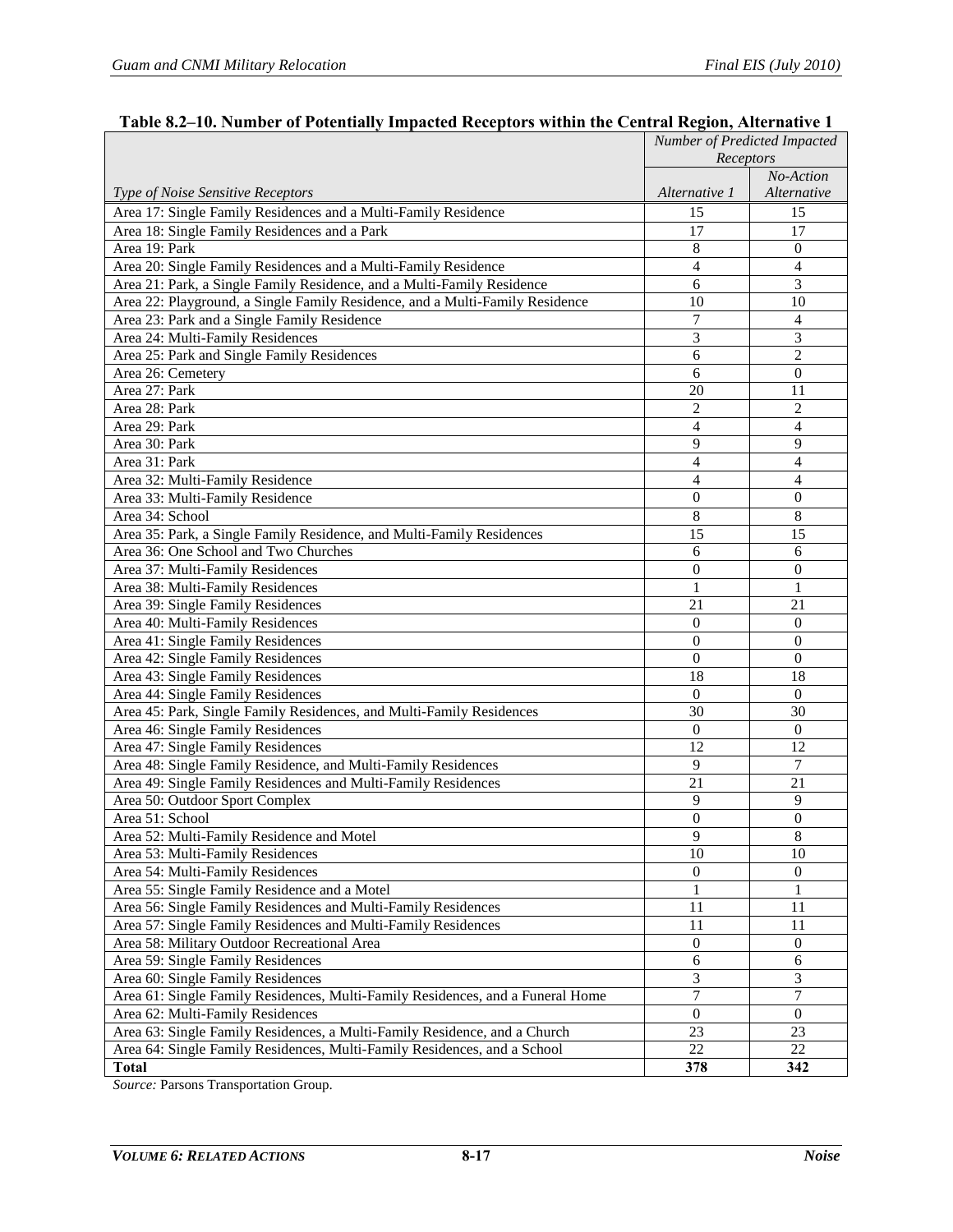|                                                                                | Number of Predicted Impacted |                          |
|--------------------------------------------------------------------------------|------------------------------|--------------------------|
|                                                                                | Receptors                    |                          |
|                                                                                | Alternative 1                | No-Action<br>Alternative |
| Type of Noise Sensitive Receptors                                              |                              |                          |
| Area 17: Single Family Residences and a Multi-Family Residence                 | 15                           | 15                       |
| Area 18: Single Family Residences and a Park                                   | 17                           | 17                       |
| Area 19: Park                                                                  | 8                            | $\mathbf{0}$             |
| Area 20: Single Family Residences and a Multi-Family Residence                 | $\overline{4}$               | 4                        |
| Area 21: Park, a Single Family Residence, and a Multi-Family Residence         | 6                            | 3                        |
| Area 22: Playground, a Single Family Residence, and a Multi-Family Residence   | 10                           | 10                       |
| Area 23: Park and a Single Family Residence                                    | $\overline{7}$               | $\overline{4}$           |
| Area 24: Multi-Family Residences                                               | 3                            | 3                        |
| Area 25: Park and Single Family Residences                                     | 6                            | 2                        |
| Area 26: Cemetery                                                              | 6                            | $\mathbf{0}$             |
| Area 27: Park                                                                  | 20                           | 11                       |
| Area 28: Park                                                                  | $\overline{c}$               | $\overline{2}$           |
| Area 29: Park                                                                  | $\overline{4}$               | 4                        |
| Area 30: Park                                                                  | 9                            | 9                        |
| Area 31: Park                                                                  | $\overline{4}$               | $\overline{4}$           |
| Area 32: Multi-Family Residence                                                | 4                            | $\overline{4}$           |
| Area 33: Multi-Family Residence                                                | $\theta$                     | $\theta$                 |
| Area 34: School                                                                | 8                            | 8                        |
| Area 35: Park, a Single Family Residence, and Multi-Family Residences          | 15                           | 15                       |
| Area 36: One School and Two Churches                                           | 6                            | 6                        |
| Area 37: Multi-Family Residences                                               | $\mathbf{0}$                 | $\mathbf{0}$             |
| Area 38: Multi-Family Residences                                               | 1                            | 1                        |
| Area 39: Single Family Residences                                              | 21                           | 21                       |
| Area 40: Multi-Family Residences                                               | $\Omega$                     | $\Omega$                 |
| Area 41: Single Family Residences                                              | $\overline{0}$               | $\mathbf{0}$             |
| Area 42: Single Family Residences                                              | $\theta$                     | $\theta$                 |
| Area 43: Single Family Residences                                              | 18                           | 18                       |
| Area 44: Single Family Residences                                              | $\theta$                     | $\Omega$                 |
| Area 45: Park, Single Family Residences, and Multi-Family Residences           | 30                           | 30                       |
| Area 46: Single Family Residences                                              | $\theta$                     | $\theta$                 |
| Area 47: Single Family Residences                                              | 12                           | 12                       |
| Area 48: Single Family Residence, and Multi-Family Residences                  | 9                            | $\overline{7}$           |
| Area 49: Single Family Residences and Multi-Family Residences                  | 21                           | 21                       |
| Area 50: Outdoor Sport Complex                                                 | 9                            | 9                        |
| Area 51: School                                                                | $\theta$                     | $\mathbf{0}$             |
| Area 52: Multi-Family Residence and Motel                                      | 9                            | $\,8\,$                  |
| Area 53: Multi-Family Residences                                               | 10                           | 10                       |
| Area 54: Multi-Family Residences                                               | $\overline{0}$               | $\overline{0}$           |
| Area 55: Single Family Residence and a Motel                                   | 1                            | 1                        |
| Area 56: Single Family Residences and Multi-Family Residences                  | 11                           | 11                       |
| Area 57: Single Family Residences and Multi-Family Residences                  | 11                           | 11                       |
| Area 58: Military Outdoor Recreational Area                                    | $\overline{0}$               | $\overline{0}$           |
| Area 59: Single Family Residences                                              | 6                            | 6                        |
| Area 60: Single Family Residences                                              | 3                            | 3                        |
| Area 61: Single Family Residences, Multi-Family Residences, and a Funeral Home | $\tau$                       | 7                        |
| Area 62: Multi-Family Residences                                               | $\boldsymbol{0}$             | $\boldsymbol{0}$         |
| Area 63: Single Family Residences, a Multi-Family Residence, and a Church      | 23                           | 23                       |
| Area 64: Single Family Residences, Multi-Family Residences, and a School       | 22                           | 22                       |
| <b>Total</b>                                                                   | 378                          | 342                      |

## <span id="page-16-0"></span>**Table 8.2–10. Number of Potentially Impacted Receptors within the Central Region, Alternative 1**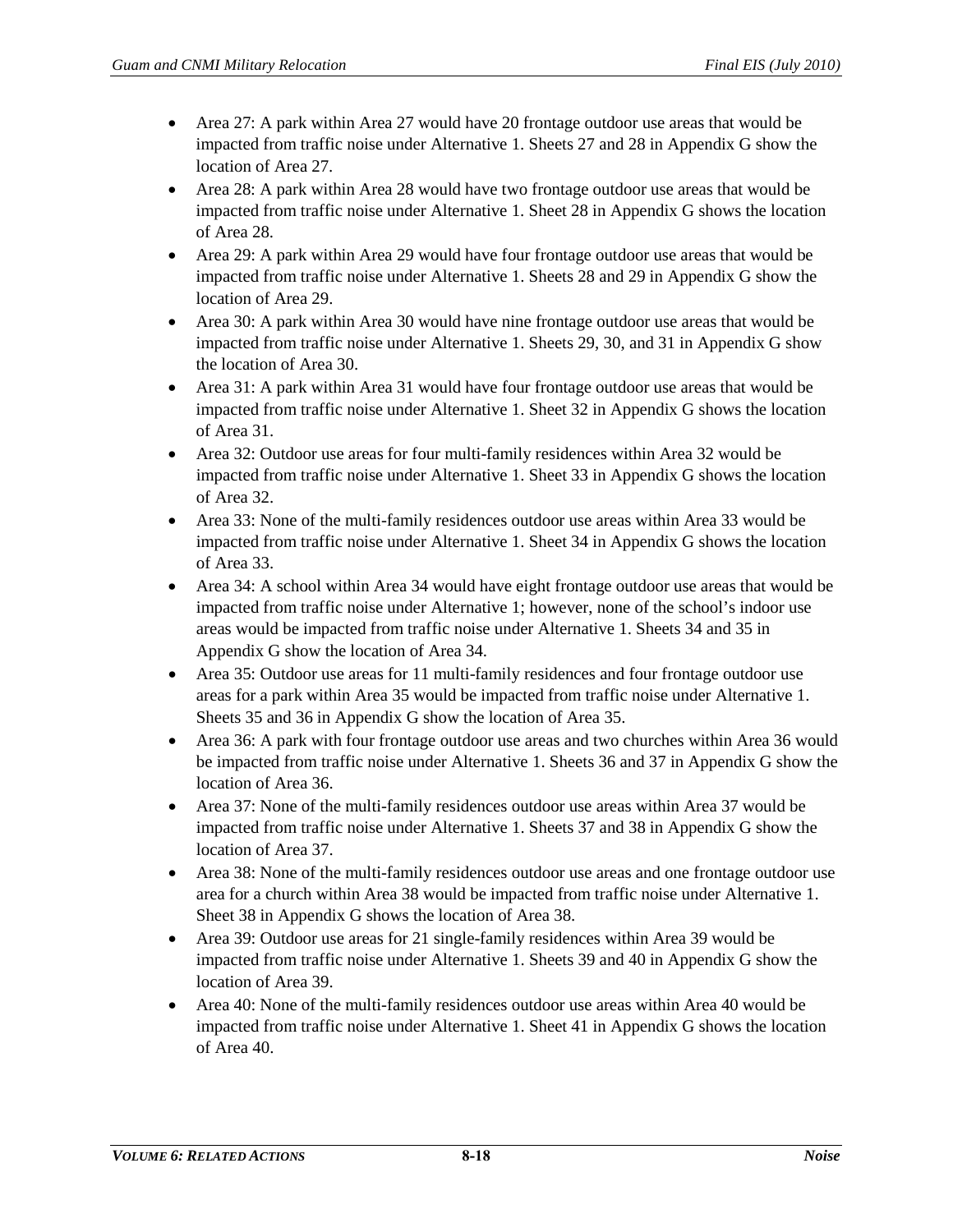- Area 27: A park within Area 27 would have 20 frontage outdoor use areas that would be impacted from traffic noise under Alternative 1. Sheets 27 and 28 in Appendix G show the location of Area 27.
- Area 28: A park within Area 28 would have two frontage outdoor use areas that would be impacted from traffic noise under Alternative 1. Sheet 28 in Appendix G shows the location of Area 28.
- Area 29: A park within Area 29 would have four frontage outdoor use areas that would be impacted from traffic noise under Alternative 1. Sheets 28 and 29 in Appendix G show the location of Area 29.
- Area 30: A park within Area 30 would have nine frontage outdoor use areas that would be impacted from traffic noise under Alternative 1. Sheets 29, 30, and 31 in Appendix G show the location of Area 30.
- Area 31: A park within Area 31 would have four frontage outdoor use areas that would be impacted from traffic noise under Alternative 1. Sheet 32 in Appendix G shows the location of Area 31.
- Area 32: Outdoor use areas for four multi-family residences within Area 32 would be impacted from traffic noise under Alternative 1. Sheet 33 in Appendix G shows the location of Area 32.
- Area 33: None of the multi-family residences outdoor use areas within Area 33 would be impacted from traffic noise under Alternative 1. Sheet 34 in Appendix G shows the location of Area 33.
- Area 34: A school within Area 34 would have eight frontage outdoor use areas that would be impacted from traffic noise under Alternative 1; however, none of the school's indoor use areas would be impacted from traffic noise under Alternative 1. Sheets 34 and 35 in Appendix G show the location of Area 34.
- Area 35: Outdoor use areas for 11 multi-family residences and four frontage outdoor use areas for a park within Area 35 would be impacted from traffic noise under Alternative 1. Sheets 35 and 36 in Appendix G show the location of Area 35.
- Area 36: A park with four frontage outdoor use areas and two churches within Area 36 would be impacted from traffic noise under Alternative 1. Sheets 36 and 37 in Appendix G show the location of Area 36.
- Area 37: None of the multi-family residences outdoor use areas within Area 37 would be impacted from traffic noise under Alternative 1. Sheets 37 and 38 in Appendix G show the location of Area 37.
- Area 38: None of the multi-family residences outdoor use areas and one frontage outdoor use area for a church within Area 38 would be impacted from traffic noise under Alternative 1. Sheet 38 in Appendix G shows the location of Area 38.
- Area 39: Outdoor use areas for 21 single-family residences within Area 39 would be impacted from traffic noise under Alternative 1. Sheets 39 and 40 in Appendix G show the location of Area 39.
- Area 40: None of the multi-family residences outdoor use areas within Area 40 would be impacted from traffic noise under Alternative 1. Sheet 41 in Appendix G shows the location of Area 40.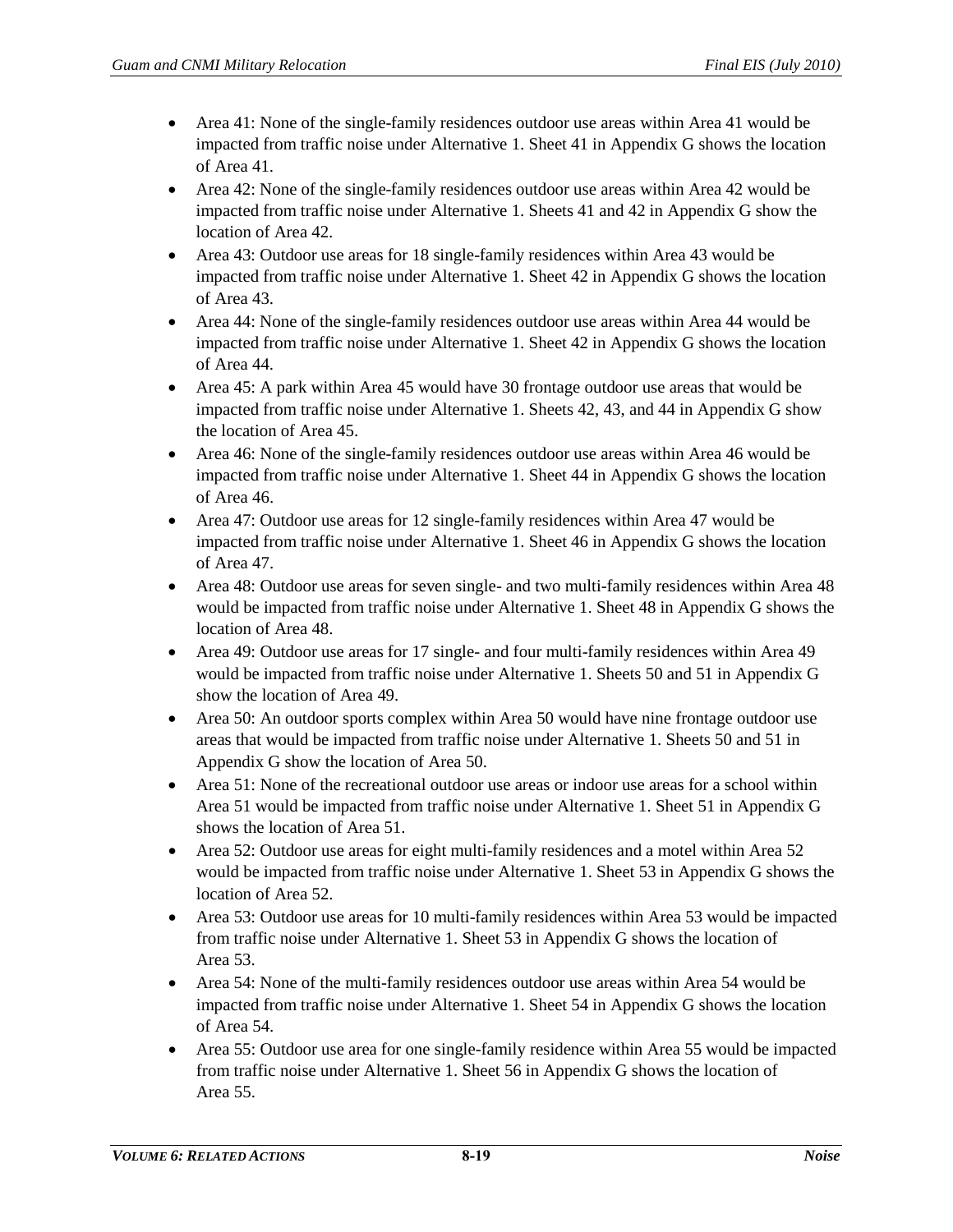- Area 41: None of the single-family residences outdoor use areas within Area 41 would be impacted from traffic noise under Alternative 1. Sheet 41 in Appendix G shows the location of Area 41.
- Area 42: None of the single-family residences outdoor use areas within Area 42 would be impacted from traffic noise under Alternative 1. Sheets 41 and 42 in Appendix G show the location of Area 42.
- Area 43: Outdoor use areas for 18 single-family residences within Area 43 would be impacted from traffic noise under Alternative 1. Sheet 42 in Appendix G shows the location of Area 43.
- Area 44: None of the single-family residences outdoor use areas within Area 44 would be impacted from traffic noise under Alternative 1. Sheet 42 in Appendix G shows the location of Area 44.
- Area 45: A park within Area 45 would have 30 frontage outdoor use areas that would be impacted from traffic noise under Alternative 1. Sheets 42, 43, and 44 in Appendix G show the location of Area 45.
- Area 46: None of the single-family residences outdoor use areas within Area 46 would be impacted from traffic noise under Alternative 1. Sheet 44 in Appendix G shows the location of Area 46.
- Area 47: Outdoor use areas for 12 single-family residences within Area 47 would be impacted from traffic noise under Alternative 1. Sheet 46 in Appendix G shows the location of Area 47.
- Area 48: Outdoor use areas for seven single- and two multi-family residences within Area 48 would be impacted from traffic noise under Alternative 1. Sheet 48 in Appendix G shows the location of Area 48.
- Area 49: Outdoor use areas for 17 single- and four multi-family residences within Area 49 would be impacted from traffic noise under Alternative 1. Sheets 50 and 51 in Appendix G show the location of Area 49.
- Area 50: An outdoor sports complex within Area 50 would have nine frontage outdoor use areas that would be impacted from traffic noise under Alternative 1. Sheets 50 and 51 in Appendix G show the location of Area 50.
- Area 51: None of the recreational outdoor use areas or indoor use areas for a school within Area 51 would be impacted from traffic noise under Alternative 1. Sheet 51 in Appendix G shows the location of Area 51.
- Area 52: Outdoor use areas for eight multi-family residences and a motel within Area 52 would be impacted from traffic noise under Alternative 1. Sheet 53 in Appendix G shows the location of Area 52.
- Area 53: Outdoor use areas for 10 multi-family residences within Area 53 would be impacted from traffic noise under Alternative 1. Sheet 53 in Appendix G shows the location of Area 53.
- Area 54: None of the multi-family residences outdoor use areas within Area 54 would be impacted from traffic noise under Alternative 1. Sheet 54 in Appendix G shows the location of Area 54.
- Area 55: Outdoor use area for one single-family residence within Area 55 would be impacted from traffic noise under Alternative 1. Sheet 56 in Appendix G shows the location of Area 55.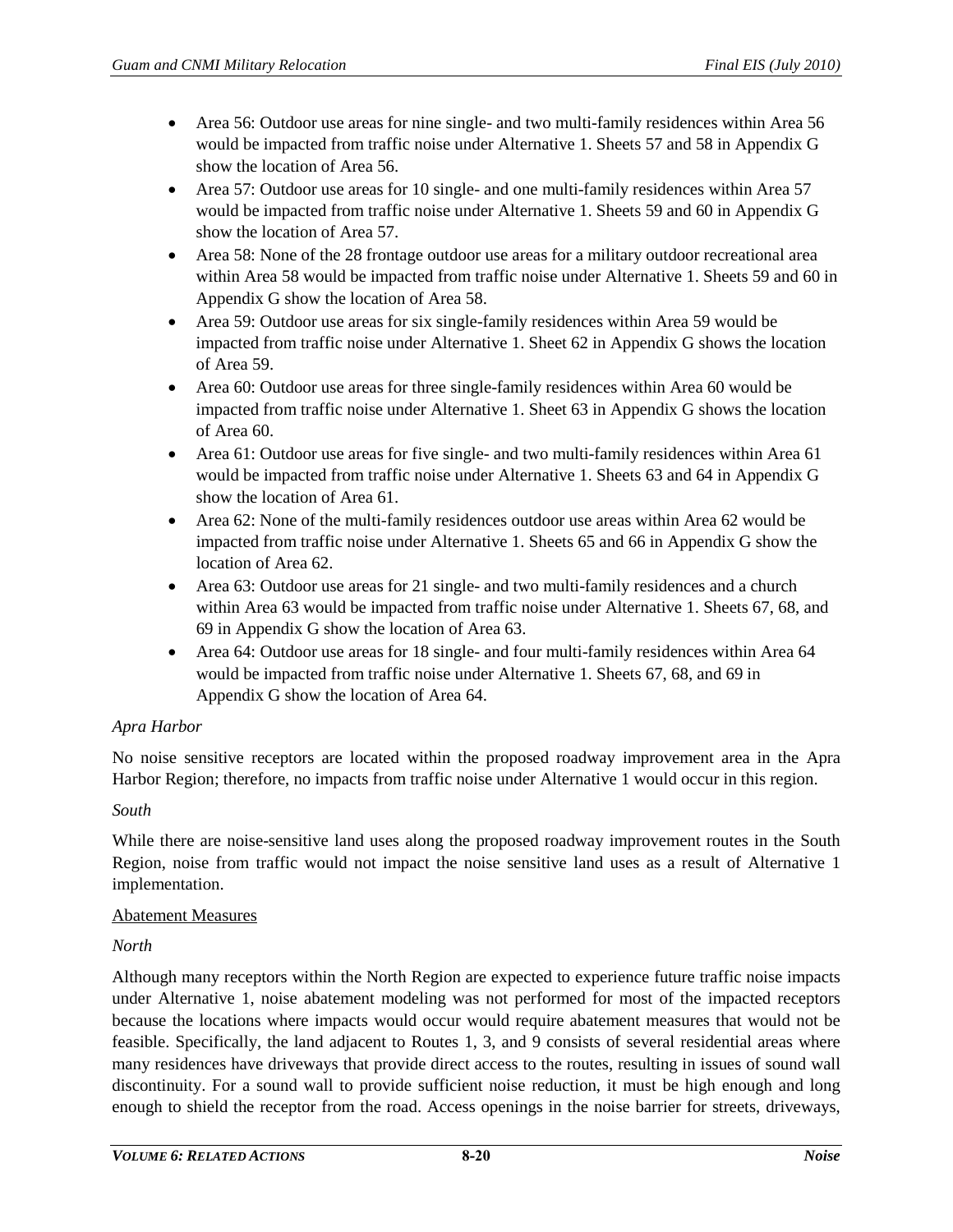- Area 56: Outdoor use areas for nine single- and two multi-family residences within Area 56 would be impacted from traffic noise under Alternative 1. Sheets 57 and 58 in Appendix G show the location of Area 56.
- Area 57: Outdoor use areas for 10 single- and one multi-family residences within Area 57 would be impacted from traffic noise under Alternative 1. Sheets 59 and 60 in Appendix G show the location of Area 57.
- Area 58: None of the 28 frontage outdoor use areas for a military outdoor recreational area within Area 58 would be impacted from traffic noise under Alternative 1. Sheets 59 and 60 in Appendix G show the location of Area 58.
- Area 59: Outdoor use areas for six single-family residences within Area 59 would be impacted from traffic noise under Alternative 1. Sheet 62 in Appendix G shows the location of Area 59.
- Area 60: Outdoor use areas for three single-family residences within Area 60 would be impacted from traffic noise under Alternative 1. Sheet 63 in Appendix G shows the location of Area 60.
- Area 61: Outdoor use areas for five single- and two multi-family residences within Area 61 would be impacted from traffic noise under Alternative 1. Sheets 63 and 64 in Appendix G show the location of Area 61.
- Area 62: None of the multi-family residences outdoor use areas within Area 62 would be impacted from traffic noise under Alternative 1. Sheets 65 and 66 in Appendix G show the location of Area 62.
- Area 63: Outdoor use areas for 21 single- and two multi-family residences and a church within Area 63 would be impacted from traffic noise under Alternative 1. Sheets 67, 68, and 69 in Appendix G show the location of Area 63.
- Area 64: Outdoor use areas for 18 single- and four multi-family residences within Area 64 would be impacted from traffic noise under Alternative 1. Sheets 67, 68, and 69 in Appendix G show the location of Area 64.

# *Apra Harbor*

No noise sensitive receptors are located within the proposed roadway improvement area in the Apra Harbor Region; therefore, no impacts from traffic noise under Alternative 1 would occur in this region.

## *South*

While there are noise-sensitive land uses along the proposed roadway improvement routes in the South Region, noise from traffic would not impact the noise sensitive land uses as a result of Alternative 1 implementation.

#### Abatement Measures

## *North*

Although many receptors within the North Region are expected to experience future traffic noise impacts under Alternative 1, noise abatement modeling was not performed for most of the impacted receptors because the locations where impacts would occur would require abatement measures that would not be feasible. Specifically, the land adjacent to Routes 1, 3, and 9 consists of several residential areas where many residences have driveways that provide direct access to the routes, resulting in issues of sound wall discontinuity. For a sound wall to provide sufficient noise reduction, it must be high enough and long enough to shield the receptor from the road. Access openings in the noise barrier for streets, driveways,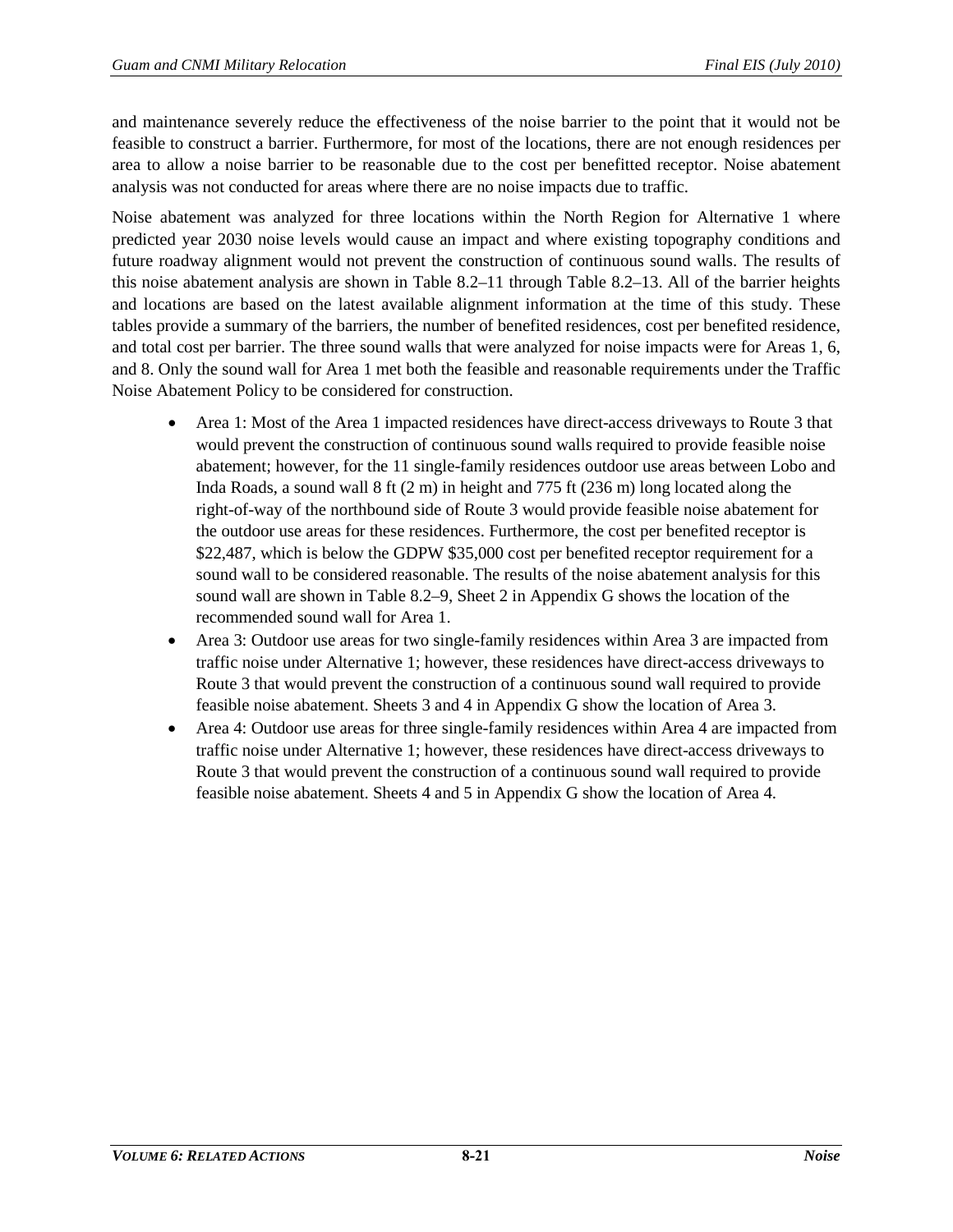and maintenance severely reduce the effectiveness of the noise barrier to the point that it would not be feasible to construct a barrier. Furthermore, for most of the locations, there are not enough residences per area to allow a noise barrier to be reasonable due to the cost per benefitted receptor. Noise abatement analysis was not conducted for areas where there are no noise impacts due to traffic.

Noise abatement was analyzed for three locations within the North Region for Alternative 1 where predicted year 2030 noise levels would cause an impact and where existing topography conditions and future roadway alignment would not prevent the construction of continuous sound walls. The results of this noise abatement analysis are shown in [Table 8.2–11](#page-21-0) through [Table 8.2–13.](#page-23-0) All of the barrier heights and locations are based on the latest available alignment information at the time of this study. These tables provide a summary of the barriers, the number of benefited residences, cost per benefited residence, and total cost per barrier. The three sound walls that were analyzed for noise impacts were for Areas 1, 6, and 8. Only the sound wall for Area 1 met both the feasible and reasonable requirements under the Traffic Noise Abatement Policy to be considered for construction.

- Area 1: Most of the Area 1 impacted residences have direct-access driveways to Route 3 that would prevent the construction of continuous sound walls required to provide feasible noise abatement; however, for the 11 single-family residences outdoor use areas between Lobo and Inda Roads, a sound wall 8 ft (2 m) in height and 775 ft (236 m) long located along the right-of-way of the northbound side of Route 3 would provide feasible noise abatement for the outdoor use areas for these residences. Furthermore, the cost per benefited receptor is \$22,487, which is below the GDPW \$35,000 cost per benefited receptor requirement for a sound wall to be considered reasonable. The results of the noise abatement analysis for this sound wall are shown i[n Table 8.2–9,](#page-13-0) Sheet 2 in Appendix G shows the location of the recommended sound wall for Area 1.
- Area 3: Outdoor use areas for two single-family residences within Area 3 are impacted from traffic noise under Alternative 1; however, these residences have direct-access driveways to Route 3 that would prevent the construction of a continuous sound wall required to provide feasible noise abatement. Sheets 3 and 4 in Appendix G show the location of Area 3.
- Area 4: Outdoor use areas for three single-family residences within Area 4 are impacted from traffic noise under Alternative 1; however, these residences have direct-access driveways to Route 3 that would prevent the construction of a continuous sound wall required to provide feasible noise abatement. Sheets 4 and 5 in Appendix G show the location of Area 4.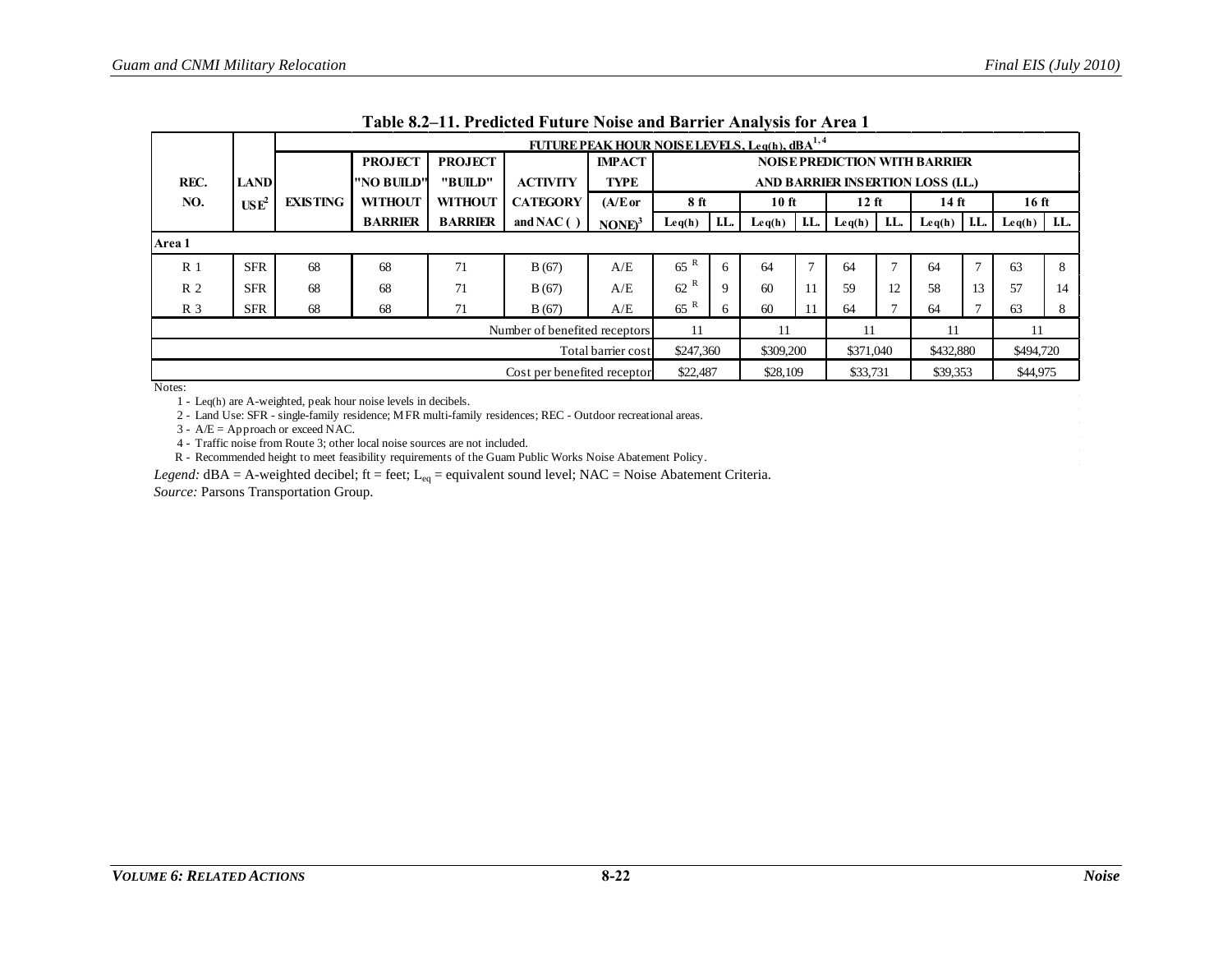|                                     |                  |                 |                |                |                 |                    | FUTURE PEAK HOUR NOISE LEVELS, Leg(h), dBA <sup>1,4</sup> |          |                 |     |                 |      |                                                |               |                  |      |
|-------------------------------------|------------------|-----------------|----------------|----------------|-----------------|--------------------|-----------------------------------------------------------|----------|-----------------|-----|-----------------|------|------------------------------------------------|---------------|------------------|------|
|                                     |                  |                 | <b>PROJECT</b> | <b>PROJECT</b> |                 | <b>IMPACT</b>      |                                                           |          |                 |     |                 |      | <b>NOISE PREDICTION WITH BARRIER</b>           |               |                  |      |
| REC.                                | <b>LAND</b>      |                 | "NO BUILD"     | "BUILD"        | <b>ACTIVITY</b> | TYPE               | AND BARRIER INSERTION LOSS (I.L.)                         |          |                 |     |                 |      |                                                |               |                  |      |
| NO.                                 | USE <sup>2</sup> | <b>EXISTING</b> | <b>WITHOUT</b> | <b>WITHOUT</b> | <b>CATEGORY</b> | (A/E or            | 8 ft                                                      |          | 10 ft           |     | $12$ ft         |      | 14 ft                                          |               | 16 <sub>ft</sub> |      |
|                                     |                  |                 | <b>BARRIER</b> | <b>BARRIER</b> | and NAC $( )$   | $\text{NONE}^3$    | $\text{Leq}(h)$                                           | I.L.     | $\text{Leq}(h)$ | LL. | $\text{Leq}(h)$ | I.L. | $\mathbf{L} \mathbf{e} \mathbf{q}(\mathbf{h})$ | LL.           | $\text{Leq}(h)$  | I.L. |
| Area 1                              |                  |                 |                |                |                 |                    |                                                           |          |                 |     |                 |      |                                                |               |                  |      |
| R <sub>1</sub>                      | <b>SFR</b>       | 68              | 68             | 71             | B(67)           | A/E                | R<br>65                                                   | 6        | 64              |     | 64              |      | 64                                             | $\mathcal{L}$ | 63               | 8    |
| R <sub>2</sub>                      | <b>SFR</b>       | 68              | 68             | 71             | B(67)           | A/E                | 62                                                        | 9        | 60              |     | 59              | 12   | 58                                             | 13            | 57               | 14   |
| R <sub>3</sub>                      | <b>SFR</b>       | 68              | 68             | 71             | B(67)           | A/E                | 65R                                                       | 6        | 60              |     | 64              |      | 64                                             | Ð             | 63               | 8    |
| Number of benefited receptors<br>11 |                  |                 |                |                |                 |                    | 11                                                        |          |                 | 11  | 11              |      |                                                |               |                  |      |
|                                     |                  |                 |                |                |                 | Total barrier cost | \$247,360                                                 |          | \$309,200       |     | \$371,040       |      | \$432,880                                      |               | \$494,720        |      |
| Cost per benefited receptor         |                  |                 |                |                |                 |                    |                                                           | \$22,487 | \$28,109        |     | \$33,731        |      | \$39,353                                       |               | \$44,975         |      |

**Table 8.2–11. Predicted Future Noise and Barrier Analysis for Area 1**

<span id="page-21-0"></span>1 - Leq(h) are A-weighted, peak hour noise levels in decibels.

2 - Land Use: SFR - single-family residence; MFR multi-family residences; REC - Outdoor recreational areas.

3 - A/E = Approach or exceed NAC.

4 - Traffic noise from Route 3; other local noise sources are not included.

R - Recommended height to meet feasibility requirements of the Guam Public Works Noise Abatement Policy.

*Legend:*  $dBA = A$ -weighted decibel; ft = feet; L<sub>eq</sub> = equivalent sound level; NAC = Noise Abatement Criteria.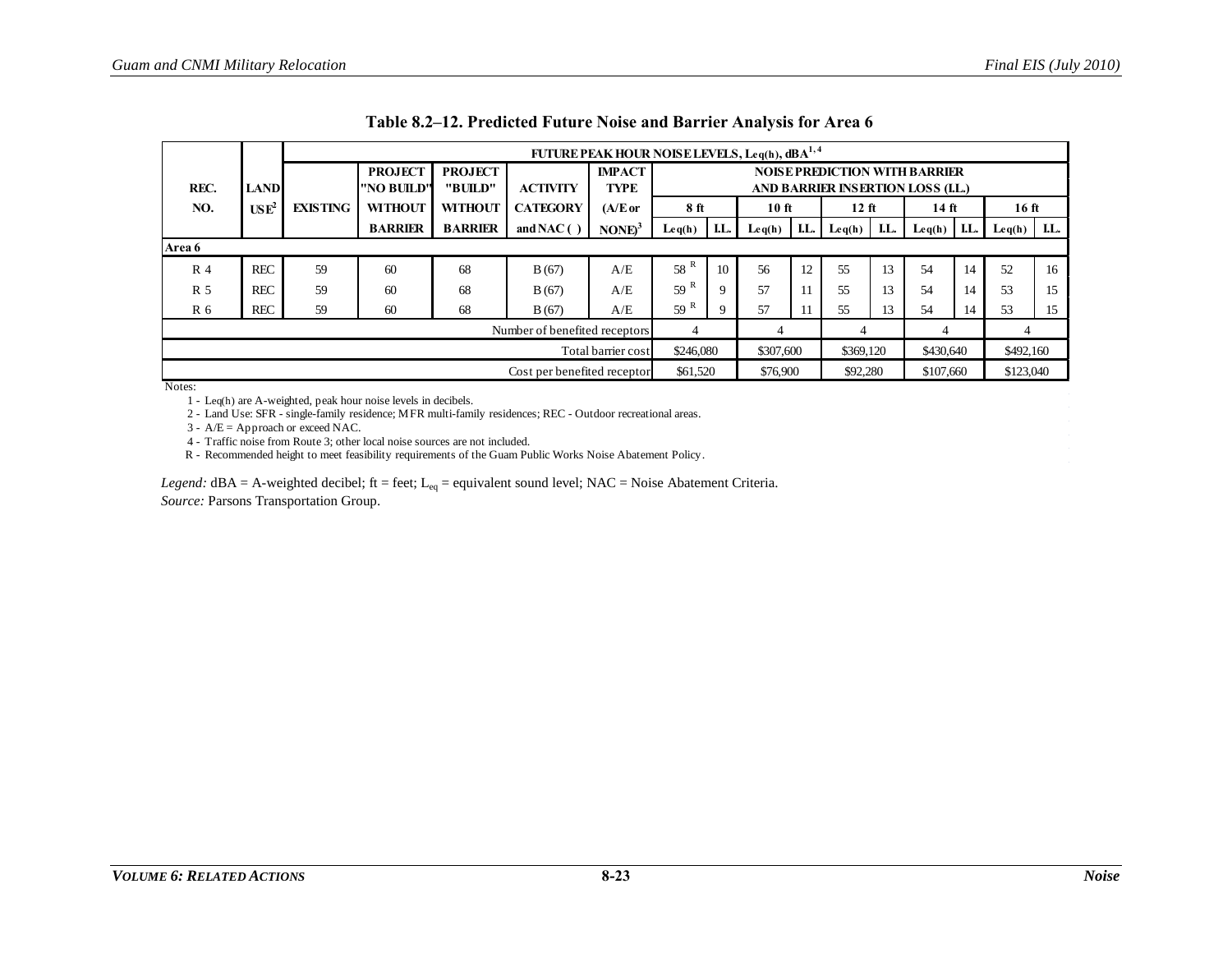|                |                                                                                           |                 | FUTURE PEAK HOUR NOISE LEVELS, Leq(h), dBA <sup>1,4</sup> |                |                 |                    |                                      |     |                                                |     |           |     |                 |     |                                                |      |
|----------------|-------------------------------------------------------------------------------------------|-----------------|-----------------------------------------------------------|----------------|-----------------|--------------------|--------------------------------------|-----|------------------------------------------------|-----|-----------|-----|-----------------|-----|------------------------------------------------|------|
|                |                                                                                           |                 | <b>PROJECT</b>                                            | <b>PROJECT</b> |                 | <b>IMPACT</b>      | <b>NOISE PREDICTION WITH BARRIER</b> |     |                                                |     |           |     |                 |     |                                                |      |
| REC.           | <b>LAND</b>                                                                               |                 | "NO BUILD"                                                | "BUILD"        | <b>ACTIVITY</b> | <b>TYPE</b>        | AND BARRIER INSERTION LOSS (I.L.)    |     |                                                |     |           |     |                 |     |                                                |      |
| NO.            | USE <sup>2</sup>                                                                          | <b>EXISTING</b> | <b>WITHOUT</b>                                            | <b>WITHOUT</b> | <b>CATEGORY</b> | $(A/E$ or          | 8 ft                                 |     | 10 <sub>ft</sub>                               |     | $12$ ft   |     | $14$ ft         |     | 16 <sub>ft</sub>                               |      |
|                |                                                                                           |                 | <b>BARRIER</b>                                            | <b>BARRIER</b> | and NAC $( )$   | NONE <sup>3</sup>  | Leq(h)                               | LL. | $\mathbf{L} \mathbf{e} \mathbf{q}(\mathbf{h})$ | LL. | Leq(h)    | LL. | $\text{Leq}(h)$ | LL. | $\mathbf{L} \mathbf{e} \mathbf{q}(\mathbf{h})$ | I.L. |
| Area 6         |                                                                                           |                 |                                                           |                |                 |                    |                                      |     |                                                |     |           |     |                 |     |                                                |      |
| R <sub>4</sub> | <b>REC</b>                                                                                | 59              | 60                                                        | 68             | B(67)           | A/E                | 58 <sup>R</sup>                      | 10  | 56                                             | 12  | 55        | 13  | 54              | 14  | 52                                             | 16   |
| R <sub>5</sub> | <b>REC</b>                                                                                | 59              | 60                                                        | 68             | B(67)           | A/E                | 59 <sup>R</sup>                      | Q   | 57                                             |     | 55        | 13  | 54              | 14  | 53                                             | 15   |
| R 6            | <b>REC</b>                                                                                | 59              | 60                                                        | 68             | B(67)           | A/E                | 59 <sup>R</sup>                      |     | 57                                             |     | 55        | 13  | 54              | 14  | 53                                             | 15   |
|                | Number of benefited receptors<br>4<br>4<br>4<br>4                                         |                 |                                                           |                |                 |                    |                                      |     |                                                |     |           |     |                 |     |                                                |      |
|                |                                                                                           |                 |                                                           |                |                 | Total barrier cost | \$246,080                            |     | \$307,600                                      |     | \$369,120 |     | \$430,640       |     | \$492,160                                      |      |
|                | \$61,520<br>\$76,900<br>\$107,660<br>\$123,040<br>\$92,280<br>Cost per benefited receptor |                 |                                                           |                |                 |                    |                                      |     |                                                |     |           |     |                 |     |                                                |      |

|  | Table 8.2–12. Predicted Future Noise and Barrier Analysis for Area 6 |  |  |  |  |
|--|----------------------------------------------------------------------|--|--|--|--|
|  |                                                                      |  |  |  |  |

1 - Leq(h) are A-weighted, peak hour noise levels in decibels.

2 - Land Use: SFR - single-family residence; MFR multi-family residences; REC - Outdoor recreational areas.

 $3 - A/E =$  Approach or exceed NAC.

4 - Traffic noise from Route 3; other local noise sources are not included.

R - Recommended height to meet feasibility requirements of the Guam Public Works Noise Abatement Policy.

*Legend:* dBA = A-weighted decibel; ft = feet; L<sub>eq</sub> = equivalent sound level; NAC = Noise Abatement Criteria. *Source:* Parsons Transportation Group.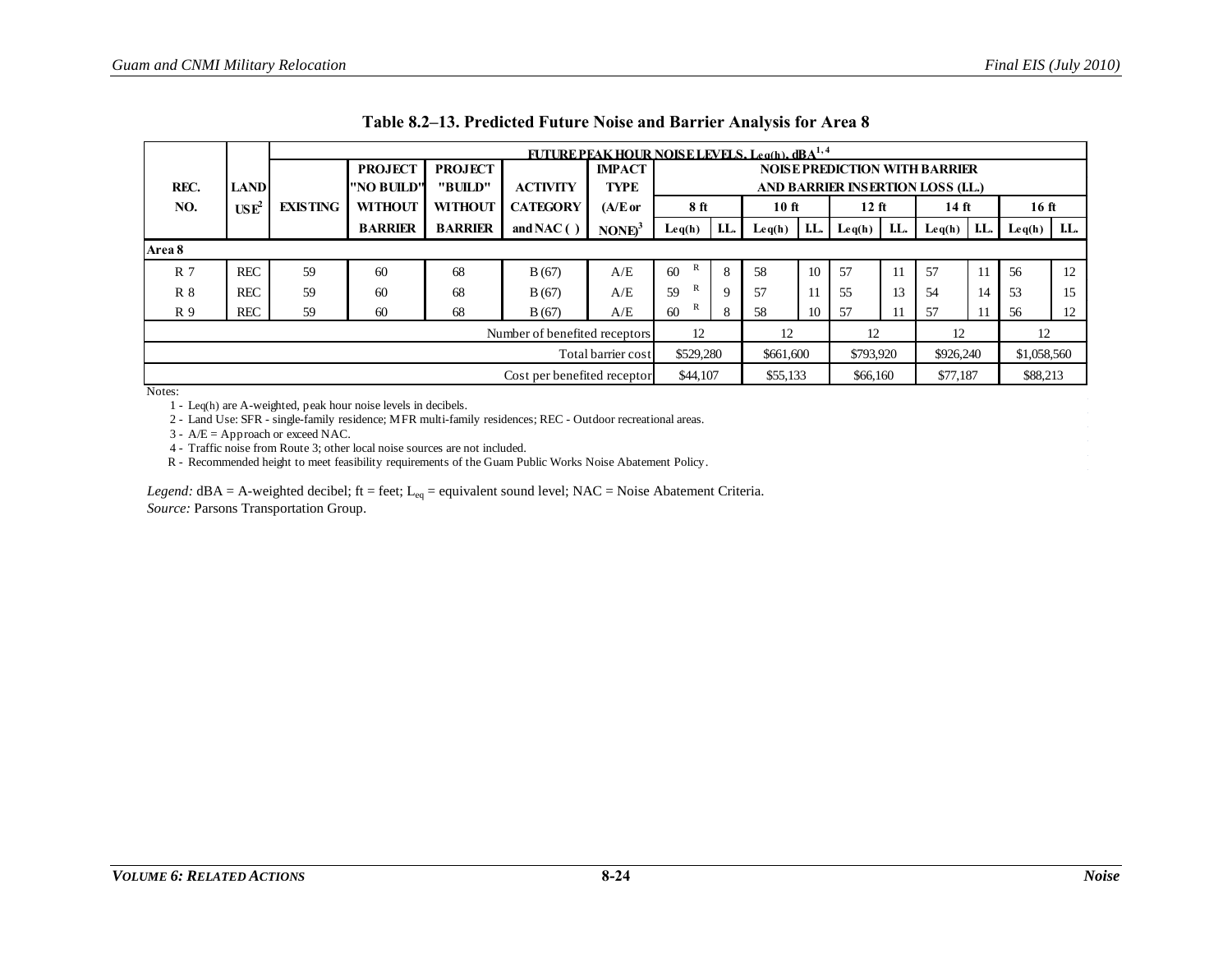|                |                                                                                         | <b>FUTURE PEAK HOUR NOISE LEVELS, Leach), dRA<sup>1,4</sup></b> |                |                |                               |                    |                                   |     |                                                |      |           |     |                                      |      |                 |      |
|----------------|-----------------------------------------------------------------------------------------|-----------------------------------------------------------------|----------------|----------------|-------------------------------|--------------------|-----------------------------------|-----|------------------------------------------------|------|-----------|-----|--------------------------------------|------|-----------------|------|
|                |                                                                                         |                                                                 | <b>PROJECT</b> | <b>PROJECT</b> |                               | <b>IMPACT</b>      |                                   |     |                                                |      |           |     | <b>NOISE PREDICTION WITH BARRIER</b> |      |                 |      |
| REC.           | <b>LAND</b>                                                                             |                                                                 | "NO BUILD"     | "BUILD"        | <b>ACTIVITY</b>               | <b>TYPE</b>        | AND BARRIER INSERTION LOSS (I.L.) |     |                                                |      |           |     |                                      |      |                 |      |
| NO.            | USE <sup>2</sup>                                                                        | <b>EXISTING</b>                                                 | <b>WITHOUT</b> | <b>WITHOUT</b> | <b>CATEGORY</b>               | $(A/E$ or          | 8 <sub>ft</sub>                   |     | $10$ ft                                        |      | $12$ ft   |     | 14 ft                                |      | $16$ ft         |      |
|                |                                                                                         |                                                                 | <b>BARRIER</b> | <b>BARRIER</b> | and NAC $( )$                 | $\text{NONE}^3$    | Leq(h)                            | LL. | $\mathbf{L} \mathbf{e} \mathbf{q}(\mathbf{h})$ | I.L. | Leq(h)    | LL. | Leq(h)                               | I.L. | $\text{Leq}(h)$ | I.L. |
| Area 8         |                                                                                         |                                                                 |                |                |                               |                    |                                   |     |                                                |      |           |     |                                      |      |                 |      |
| R <sub>7</sub> | <b>REC</b>                                                                              | 59                                                              | 60             | 68             | B(67)                         | A/E                | 60                                | 8   | 58                                             | 10   | 57        | 11  | 57                                   | 11   | 56              | 12   |
| $R_8$          | <b>REC</b>                                                                              | 59                                                              | 60             | 68             | B(67)                         | A/E                | R<br>59                           | 9   | 57                                             | 11   | 55        | 13  | 54                                   | 14   | 53              | 15   |
| R 9            | <b>REC</b>                                                                              | 59                                                              | 60             | 68             | B(67)                         | A/E                | R<br>60                           | 8   | 58                                             | 10   | 57        | 11  | 57                                   | 11   | 56              | 12   |
|                |                                                                                         |                                                                 |                |                | Number of benefited receptors |                    | 12                                |     | 12                                             |      | 12        |     | 12                                   |      | 12              |      |
|                |                                                                                         |                                                                 |                |                |                               | Total barrier cost | \$529,280                         |     | \$661,600                                      |      | \$793,920 |     | \$926,240                            |      | \$1,058,560     |      |
|                | \$88,213<br>\$44,107<br>\$77,187<br>\$55,133<br>Cost per benefited receptor<br>\$66,160 |                                                                 |                |                |                               |                    |                                   |     |                                                |      |           |     |                                      |      |                 |      |

<span id="page-23-0"></span>1 - Leq(h) are A-weighted, peak hour noise levels in decibels.

2 - Land Use: SFR - single-family residence; MFR multi-family residences; REC - Outdoor recreational areas.

3 - A/E = Approach or exceed NAC.

4 - Traffic noise from Route 3; other local noise sources are not included.

R - Recommended height to meet feasibility requirements of the Guam Public Works Noise Abatement Policy.

*Legend:*  $dBA = A$ -weighted decibel;  $ft = feet$ ;  $L_{eq} = equivalent$  sound level;  $NAC = Noise$   $Abatement$  Criteria. *Source:* Parsons Transportation Group.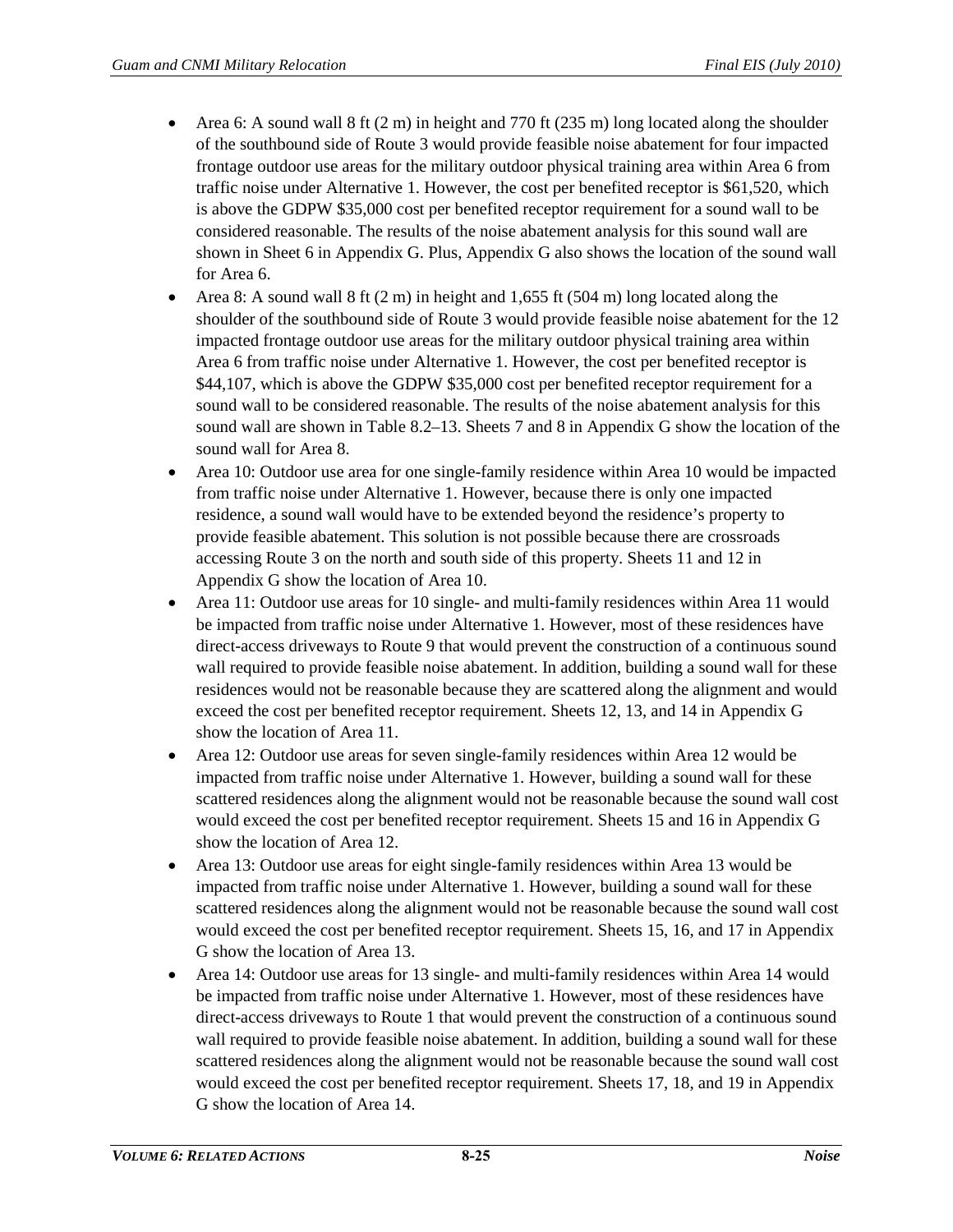- Area 6: A sound wall  $8 \text{ ft}$  (2 m) in height and 770 ft (235 m) long located along the shoulder of the southbound side of Route 3 would provide feasible noise abatement for four impacted frontage outdoor use areas for the military outdoor physical training area within Area 6 from traffic noise under Alternative 1. However, the cost per benefited receptor is \$61,520, which is above the GDPW \$35,000 cost per benefited receptor requirement for a sound wall to be considered reasonable. The results of the noise abatement analysis for this sound wall are shown in Sheet 6 in Appendix G. Plus, Appendix G also shows the location of the sound wall for Area 6.
- Area 8: A sound wall  $8 \text{ ft}$  (2 m) in height and 1,655 ft (504 m) long located along the shoulder of the southbound side of Route 3 would provide feasible noise abatement for the 12 impacted frontage outdoor use areas for the military outdoor physical training area within Area 6 from traffic noise under Alternative 1. However, the cost per benefited receptor is \$44,107, which is above the GDPW \$35,000 cost per benefited receptor requirement for a sound wall to be considered reasonable. The results of the noise abatement analysis for this sound wall are shown i[n Table 8.2–13.](#page-23-0) Sheets 7 and 8 in Appendix G show the location of the sound wall for Area 8.
- Area 10: Outdoor use area for one single-family residence within Area 10 would be impacted from traffic noise under Alternative 1. However, because there is only one impacted residence, a sound wall would have to be extended beyond the residence's property to provide feasible abatement. This solution is not possible because there are crossroads accessing Route 3 on the north and south side of this property. Sheets 11 and 12 in Appendix G show the location of Area 10.
- Area 11: Outdoor use areas for 10 single- and multi-family residences within Area 11 would be impacted from traffic noise under Alternative 1. However, most of these residences have direct-access driveways to Route 9 that would prevent the construction of a continuous sound wall required to provide feasible noise abatement. In addition, building a sound wall for these residences would not be reasonable because they are scattered along the alignment and would exceed the cost per benefited receptor requirement. Sheets 12, 13, and 14 in Appendix G show the location of Area 11.
- Area 12: Outdoor use areas for seven single-family residences within Area 12 would be impacted from traffic noise under Alternative 1. However, building a sound wall for these scattered residences along the alignment would not be reasonable because the sound wall cost would exceed the cost per benefited receptor requirement. Sheets 15 and 16 in Appendix G show the location of Area 12.
- Area 13: Outdoor use areas for eight single-family residences within Area 13 would be impacted from traffic noise under Alternative 1. However, building a sound wall for these scattered residences along the alignment would not be reasonable because the sound wall cost would exceed the cost per benefited receptor requirement. Sheets 15, 16, and 17 in Appendix G show the location of Area 13.
- Area 14: Outdoor use areas for 13 single- and multi-family residences within Area 14 would be impacted from traffic noise under Alternative 1. However, most of these residences have direct-access driveways to Route 1 that would prevent the construction of a continuous sound wall required to provide feasible noise abatement. In addition, building a sound wall for these scattered residences along the alignment would not be reasonable because the sound wall cost would exceed the cost per benefited receptor requirement. Sheets 17, 18, and 19 in Appendix G show the location of Area 14.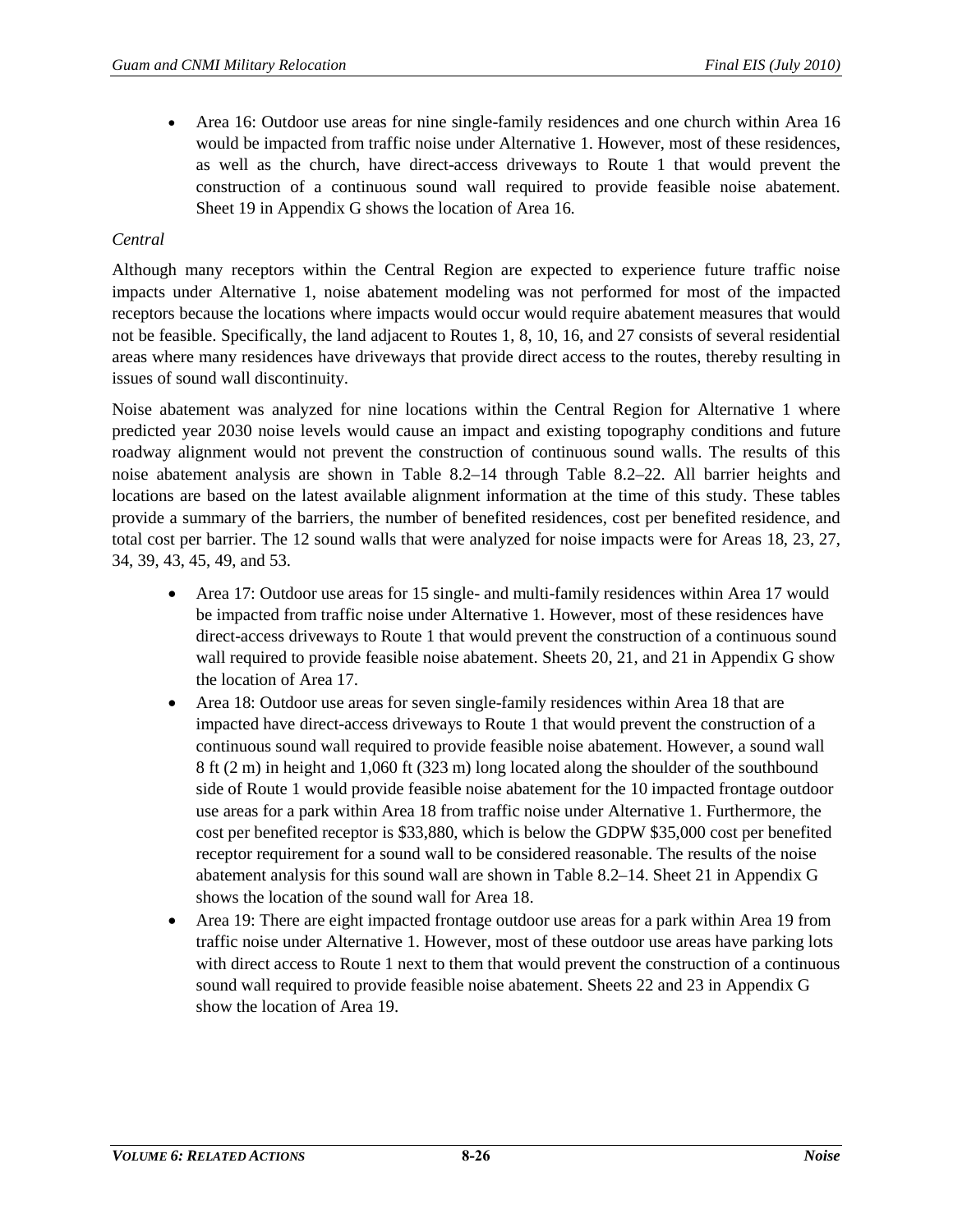• Area 16: Outdoor use areas for nine single-family residences and one church within Area 16 would be impacted from traffic noise under Alternative 1. However, most of these residences, as well as the church, have direct-access driveways to Route 1 that would prevent the construction of a continuous sound wall required to provide feasible noise abatement. Sheet 19 in Appendix G shows the location of Area 16.

## *Central*

Although many receptors within the Central Region are expected to experience future traffic noise impacts under Alternative 1, noise abatement modeling was not performed for most of the impacted receptors because the locations where impacts would occur would require abatement measures that would not be feasible. Specifically, the land adjacent to Routes 1, 8, 10, 16, and 27 consists of several residential areas where many residences have driveways that provide direct access to the routes, thereby resulting in issues of sound wall discontinuity.

Noise abatement was analyzed for nine locations within the Central Region for Alternative 1 where predicted year 2030 noise levels would cause an impact and existing topography conditions and future roadway alignment would not prevent the construction of continuous sound walls. The results of this noise abatement analysis are shown in [Table 8.2–14](#page-26-0) through [Table 8.2–22.](#page-34-0) All barrier heights and locations are based on the latest available alignment information at the time of this study. These tables provide a summary of the barriers, the number of benefited residences, cost per benefited residence, and total cost per barrier. The 12 sound walls that were analyzed for noise impacts were for Areas 18, 23, 27, 34, 39, 43, 45, 49, and 53.

- Area 17: Outdoor use areas for 15 single- and multi-family residences within Area 17 would be impacted from traffic noise under Alternative 1. However, most of these residences have direct-access driveways to Route 1 that would prevent the construction of a continuous sound wall required to provide feasible noise abatement. Sheets 20, 21, and 21 in Appendix G show the location of Area 17.
- Area 18: Outdoor use areas for seven single-family residences within Area 18 that are impacted have direct-access driveways to Route 1 that would prevent the construction of a continuous sound wall required to provide feasible noise abatement. However, a sound wall 8 ft (2 m) in height and 1,060 ft (323 m) long located along the shoulder of the southbound side of Route 1 would provide feasible noise abatement for the 10 impacted frontage outdoor use areas for a park within Area 18 from traffic noise under Alternative 1. Furthermore, the cost per benefited receptor is \$33,880, which is below the GDPW \$35,000 cost per benefited receptor requirement for a sound wall to be considered reasonable. The results of the noise abatement analysis for this sound wall are shown in [Table 8.2–14.](#page-26-0) Sheet 21 in Appendix G shows the location of the sound wall for Area 18.
- Area 19: There are eight impacted frontage outdoor use areas for a park within Area 19 from traffic noise under Alternative 1. However, most of these outdoor use areas have parking lots with direct access to Route 1 next to them that would prevent the construction of a continuous sound wall required to provide feasible noise abatement. Sheets 22 and 23 in Appendix G show the location of Area 19.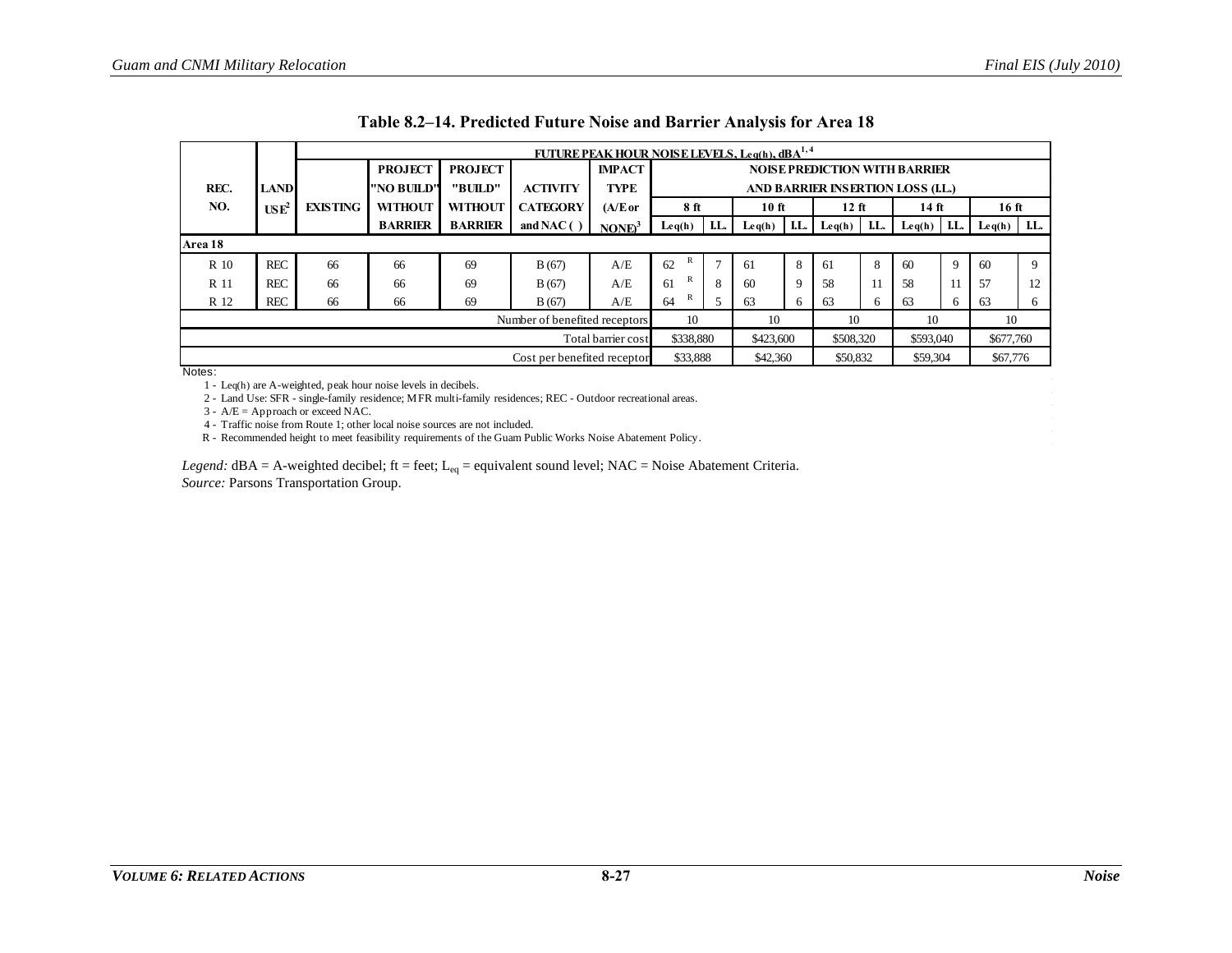|         |                                                                                         | FUTURE PEAK HOUR NOISE LEVELS, Leg(h), $dBA^{1,4}$ |                |                |                 |                    |                                      |                |                 |     |           |     |                                                |      |                                                |          |
|---------|-----------------------------------------------------------------------------------------|----------------------------------------------------|----------------|----------------|-----------------|--------------------|--------------------------------------|----------------|-----------------|-----|-----------|-----|------------------------------------------------|------|------------------------------------------------|----------|
|         |                                                                                         |                                                    | <b>PROJECT</b> | <b>PROJECT</b> |                 | <b>IMPACT</b>      | <b>NOISE PREDICTION WITH BARRIER</b> |                |                 |     |           |     |                                                |      |                                                |          |
| REC.    | <b>LAND</b>                                                                             |                                                    | l''NO BUILD''  | "BUILD"        | <b>ACTIVITY</b> | <b>TYPE</b>        | AND BARRIER INSERTION LOSS (LL.)     |                |                 |     |           |     |                                                |      |                                                |          |
| NO.     | USE <sup>2</sup>                                                                        | <b>EXISTING</b>                                    | <b>WITHOUT</b> | <b>WITHOUT</b> | <b>CATEGORY</b> | $(A/E$ or          | 8 ft                                 |                | $10$ ft         |     | $12$ ft   |     | 14 ft                                          |      | 16 ft                                          |          |
|         |                                                                                         |                                                    | <b>BARRIER</b> | <b>BARRIER</b> | and NAC $( )$   | $NONE3$            | Leq(h)                               | I.L.           | $\text{Leq}(h)$ | LL. | Leq(h)    | LL. | $\mathbf{L} \mathbf{e} \mathbf{q}(\mathbf{h})$ | I.L. | $\mathbf{L} \mathbf{e} \mathbf{q}(\mathbf{h})$ | LL.      |
| Area 18 |                                                                                         |                                                    |                |                |                 |                    |                                      |                |                 |     |           |     |                                                |      |                                                |          |
| R 10    | <b>REC</b>                                                                              | 66                                                 | 66             | 69             | B(67)           | A/E                | 62                                   | $\overline{ }$ | -61             | 8   | 61        | 8   | 60                                             | 9    | 60                                             | <b>Q</b> |
| R 11    | <b>REC</b>                                                                              | 66                                                 | 66             | 69             | B(67)           | A/E                | R<br>61                              | 8              | 60              | 9   | 58        |     | 58                                             | 11   | 57                                             | 12       |
| R 12    | <b>REC</b>                                                                              | 66                                                 | 66             | 69             | B(67)           | A/E                | R<br>64                              |                | 63              | 6   | 63        | 6   | 63                                             | 6    | 63                                             | 6        |
|         | 10<br>10<br>10<br>10<br>Number of benefited receptors<br>10                             |                                                    |                |                |                 |                    |                                      |                |                 |     |           |     |                                                |      |                                                |          |
|         |                                                                                         |                                                    |                |                |                 | Total barrier cost | \$338,880                            |                | \$423,600       |     | \$508,320 |     | \$593,040                                      |      | \$677,760                                      |          |
|         | \$33,888<br>\$67,776<br>Cost per benefited receptor<br>\$42,360<br>\$50,832<br>\$59,304 |                                                    |                |                |                 |                    |                                      |                |                 |     |           |     |                                                |      |                                                |          |

|  |  | Table 8.2–14. Predicted Future Noise and Barrier Analysis for Area 18 |  |  |
|--|--|-----------------------------------------------------------------------|--|--|
|--|--|-----------------------------------------------------------------------|--|--|

1 - Leq(h) are A-weighted, peak hour noise levels in decibels.

<span id="page-26-0"></span>2 - Land Use: SFR - single-family residence; MFR multi-family residences; REC - Outdoor recreational areas.

 $3 - A/E =$  Approach or exceed NAC.

4 - Traffic noise from Route 1; other local noise sources are not included.

R - Recommended height to meet feasibility requirements of the Guam Public Works Noise Abatement Policy.

*Legend:*  $dBA = A$ -weighted decibel; ft = feet;  $L_{eq}$  = equivalent sound level; NAC = Noise Abatement Criteria. *Source:* Parsons Transportation Group.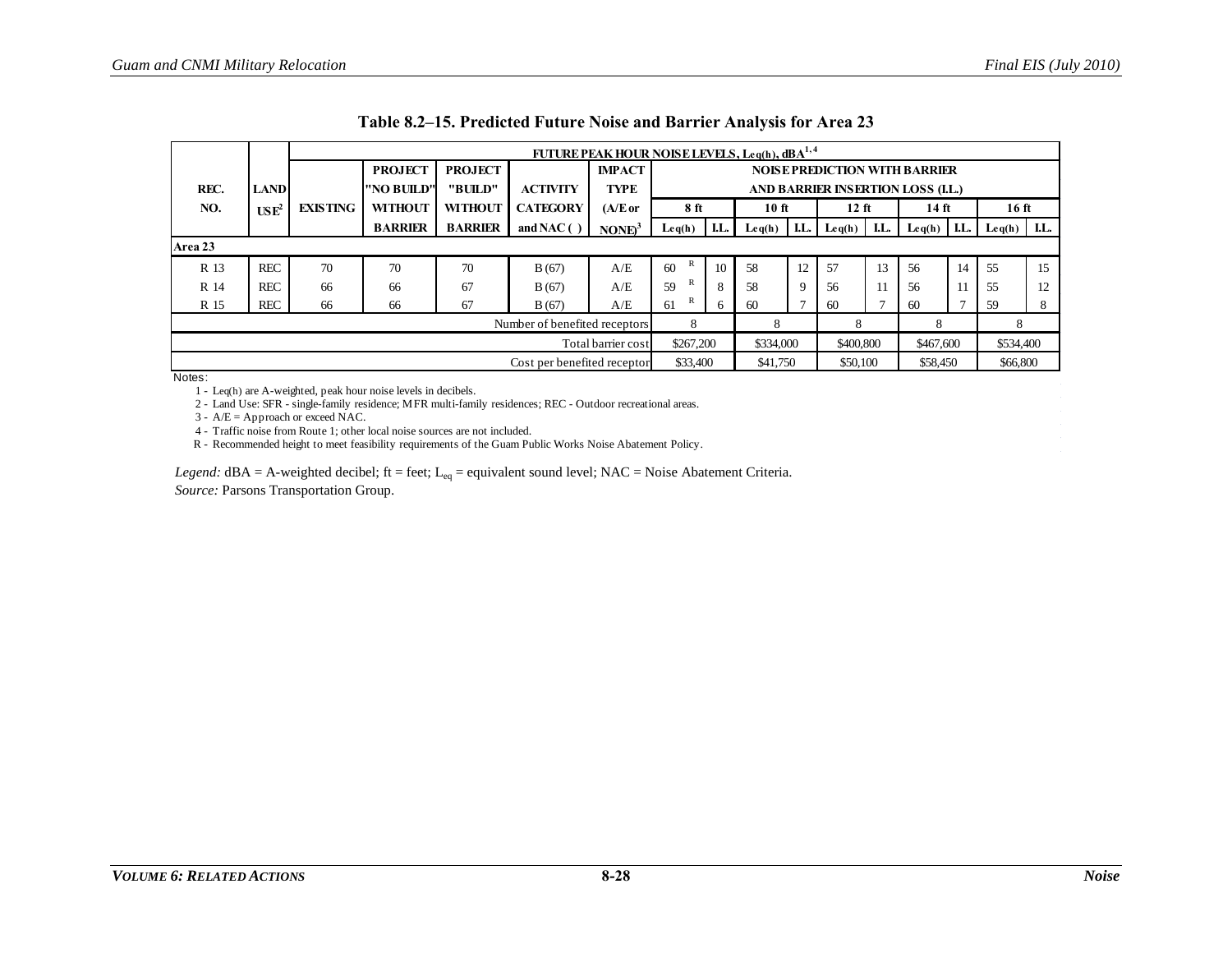|         |                                    |                 |                |                |                               | <b>FUTURE PEAK HOUR NOISE LEVELS, Leg(h), dBA<sup>1,4</sup></b> |                 |     |           |      |           |     |                                      |     |           |      |
|---------|------------------------------------|-----------------|----------------|----------------|-------------------------------|-----------------------------------------------------------------|-----------------|-----|-----------|------|-----------|-----|--------------------------------------|-----|-----------|------|
|         |                                    |                 | <b>PROJECT</b> | <b>PROJECT</b> |                               | <b>IMPACT</b>                                                   |                 |     |           |      |           |     | <b>NOISE PREDICTION WITH BARRIER</b> |     |           |      |
| REC.    | <b>LAND</b>                        |                 | "NO BUILD"     | "BUILD"        | <b>ACTIVITY</b>               | <b>TYPE</b>                                                     |                 |     |           |      |           |     | AND BARRIER INSERTION LOSS (I.L.)    |     |           |      |
| NO.     | $\mathbf{U}\mathbf{S}\mathbf{E}^2$ | <b>EXISTING</b> | <b>WITHOUT</b> | <b>WITHOUT</b> | <b>CATEGORY</b>               | $(A/E$ or                                                       | 8 <sub>ft</sub> |     | 10 ft     |      | $12$ ft   |     | 14 ft                                |     | 16 ft     |      |
|         |                                    |                 | <b>BARRIER</b> | <b>BARRIER</b> | and NAC $( )$                 | $NONE3$                                                         | Leq(h)          | LL. | Leq(h)    | I.L. | Leq(h)    | LL. | Leq(h)                               | LL. | Leq(h)    | I.L. |
| Area 23 |                                    |                 |                |                |                               |                                                                 |                 |     |           |      |           |     |                                      |     |           |      |
| R 13    | <b>REC</b>                         | 70              | 70             | 70             | B(67)                         | A/E                                                             | R<br>60         | 10  | 58        | 12   | 57        | 13  | 56                                   | 14  | 55        | 15   |
| R 14    | <b>REC</b>                         | 66              | 66             | 67             | B(67)                         | A/E                                                             | R<br>59         | 8   | 58        | 9    | 56        |     | 56                                   | 11  | 55        | 12   |
| R 15    | <b>REC</b>                         | 66              | 66             | 67             | B(67)                         | A/E                                                             | R<br>61         | 6   | 60        |      | -60       |     | 60                                   |     | 59        | 8    |
|         |                                    |                 |                |                | Number of benefited receptors | 8                                                               |                 | 8   |           | 8    |           | 8   |                                      | 8   |           |      |
|         |                                    |                 |                |                |                               | Total barrier cost                                              | \$267,200       |     | \$334,000 |      | \$400,800 |     | \$467,600                            |     | \$534,400 |      |
|         |                                    |                 |                |                | Cost per benefited receptor   |                                                                 | \$33,400        |     | \$41,750  |      | \$50,100  |     | \$58,450                             |     | \$66,800  |      |

|  | Table 8.2–15. Predicted Future Noise and Barrier Analysis for Area 23 |  |  |  |  |
|--|-----------------------------------------------------------------------|--|--|--|--|
|  |                                                                       |  |  |  |  |

<span id="page-27-0"></span>1 - Leq(h) are A-weighted, peak hour noise levels in decibels.

2 - Land Use: SFR - single-family residence; MFR multi-family residences; REC - Outdoor recreational areas.

 $3 - A/E =$  Approach or exceed NAC.

4 - Traffic noise from Route 1; other local noise sources are not included.

R - Recommended height to meet feasibility requirements of the Guam Public Works Noise Abatement Policy.

*Legend:* dBA = A-weighted decibel; ft = feet; L<sub>eq</sub> = equivalent sound level; NAC = Noise Abatement Criteria. *Source:* Parsons Transportation Group.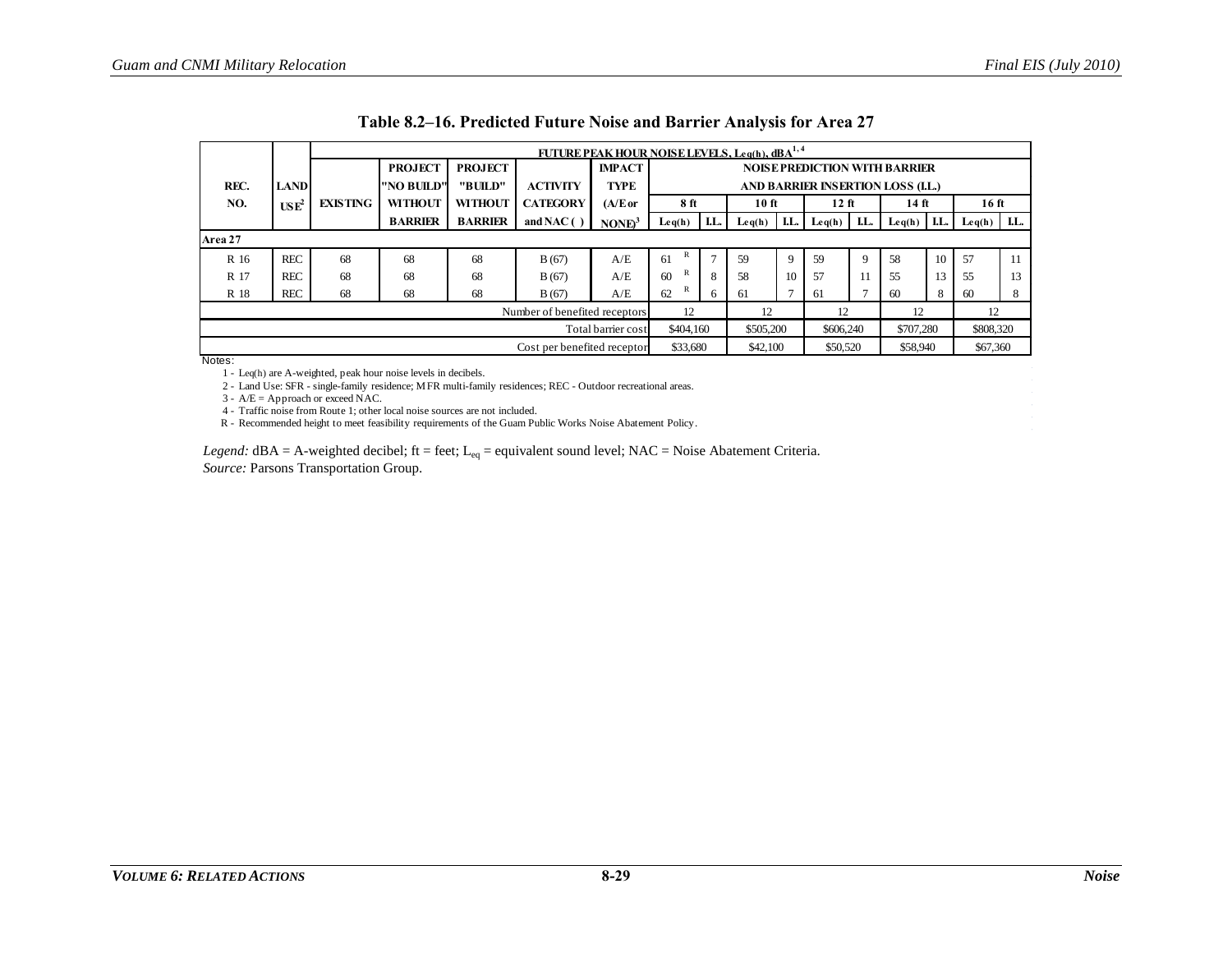|         |                |                 |                |                                                                                                            |                               | <b>FUTURE PEAK HOUR NOISE LEVELS, Leg(h), dBA<sup>1,4</sup></b> |           |              |           |     |                  |     |                                      |     |                  |     |
|---------|----------------|-----------------|----------------|------------------------------------------------------------------------------------------------------------|-------------------------------|-----------------------------------------------------------------|-----------|--------------|-----------|-----|------------------|-----|--------------------------------------|-----|------------------|-----|
|         |                |                 | <b>PROJECT</b> | <b>PROJECT</b>                                                                                             |                               | <b>IMPACT</b>                                                   |           |              |           |     |                  |     | <b>NOISE PREDICTION WITH BARRIER</b> |     |                  |     |
| REC.    | <b>LAND</b>    |                 | "NO BUILD"     | "BUILD"                                                                                                    | <b>ACTIVITY</b>               | <b>TYPE</b>                                                     |           |              |           |     |                  |     | AND BARRIER INSERTION LOSS (I.L.)    |     |                  |     |
| NO.     | $\text{USE}^2$ | <b>EXISTING</b> | <b>WITHOUT</b> | <b>WITHOUT</b>                                                                                             | <b>CATEGORY</b>               | $(A/E$ or                                                       | 8 ft      |              | 10 ft     |     | 12 <sub>ft</sub> |     | $14$ ft                              |     | 16 <sub>ft</sub> |     |
|         |                |                 | <b>BARRIER</b> | <b>BARRIER</b>                                                                                             | and NAC( $)$ )                | NONE <sup>3</sup>                                               | Leq(h)    | I.L.         | Leq(h)    | LL. | $\text{Leq}(h)$  | LL. | $\text{Leq}(h)$                      | LL. | Leq(h)           | LL. |
| Area 27 |                |                 |                |                                                                                                            |                               |                                                                 |           |              |           |     |                  |     |                                      |     |                  |     |
| R 16    | <b>REC</b>     | 68              | 68             | 10<br>$\mathbf{r}$<br>58<br>61<br>59<br>$\mathbf Q$<br>59<br>A/E<br>57<br>68<br>11<br>$\mathbf Q$<br>B(67) |                               |                                                                 |           |              |           |     |                  |     |                                      |     |                  |     |
| R 17    | <b>REC</b>     | 68              | 68             | A/E                                                                                                        | R<br>60                       | 8                                                               | 58        | 10           | 57        | 11  | 55               | 13  | 55                                   | 13  |                  |     |
| R 18    | <b>REC</b>     | 68              | 68             | 68                                                                                                         | B(67)                         | A/E                                                             | R<br>62   | <sub>0</sub> | 61        |     | 61               |     | 60                                   | 8   | -60              | 8   |
|         |                |                 |                |                                                                                                            | Number of benefited receptors | 12                                                              |           | 12           |           | 12  |                  | 12  |                                      | 12  |                  |     |
|         |                |                 |                |                                                                                                            |                               | Total barrier cost                                              | \$404,160 |              | \$505,200 |     | \$606,240        |     | \$707.280                            |     | \$808,320        |     |
|         |                |                 |                |                                                                                                            | Cost per benefited receptor   |                                                                 | \$33,680  |              | \$42,100  |     | \$50,520         |     | \$58,940                             |     | \$67,360         |     |

| Table 8.2–16. Predicted Future Noise and Barrier Analysis for Area 27 |  |  |  |  |  |  |
|-----------------------------------------------------------------------|--|--|--|--|--|--|
|                                                                       |  |  |  |  |  |  |

1 - Leq(h) are A-weighted, peak hour noise levels in decibels.

2 - Land Use: SFR - single-family residence; MFR multi-family residences; REC - Outdoor recreational areas.

 $3 - A/E =$  Approach or exceed NAC.

4 - Traffic noise from Route 1; other local noise sources are not included.

R - Recommended height to meet feasibility requirements of the Guam Public Works Noise Abatement Policy.

<span id="page-28-0"></span>*Legend:* dBA = A-weighted decibel; ft = feet;  $L_{eq}$  = equivalent sound level; NAC = Noise Abatement Criteria. *Source:* Parsons Transportation Group.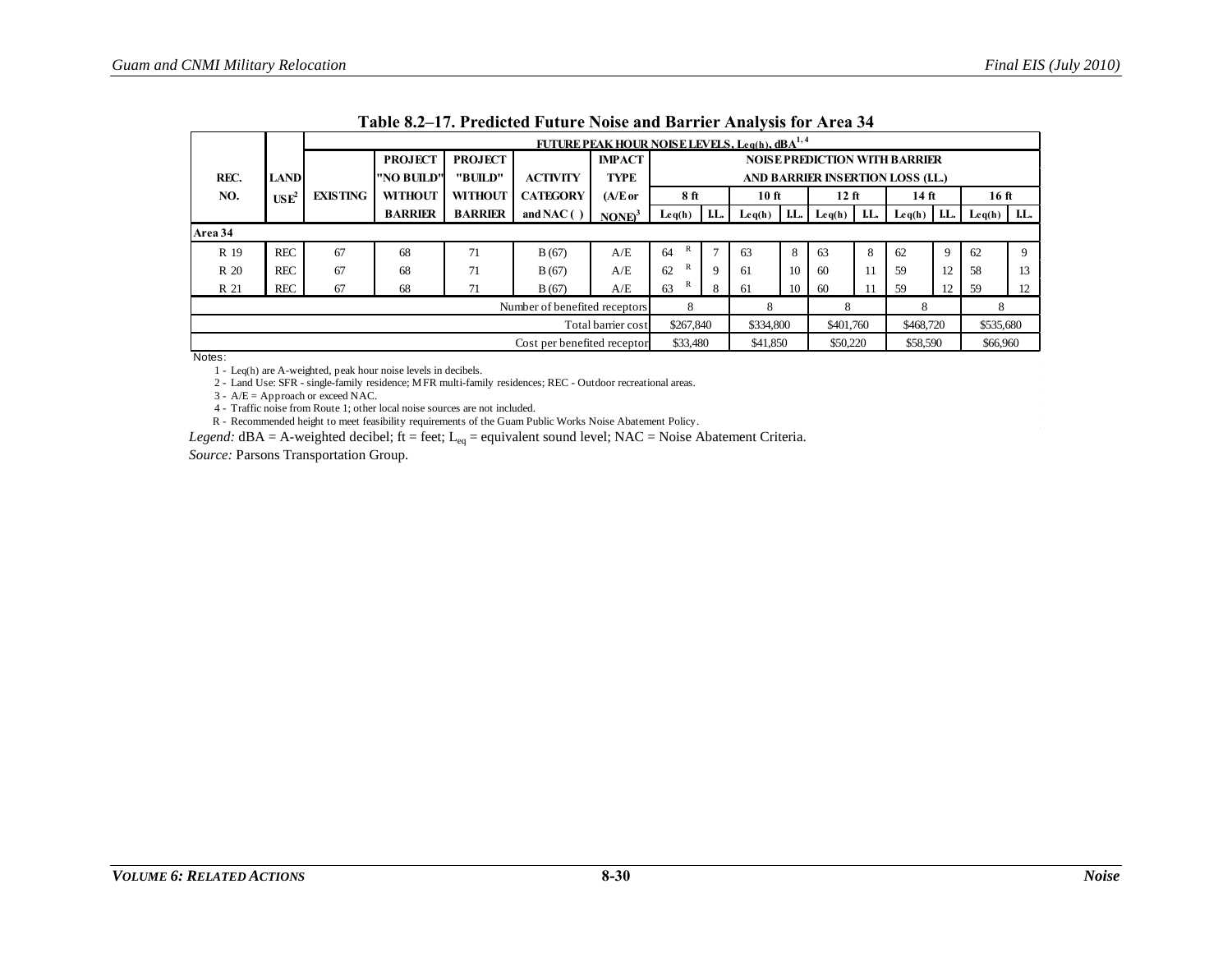|         |                  |                 |                                                                             |                               |                             | <b>FUTURE PEAK HOUR NOISE LEVELS, Leg(h), dBA<sup>1,4</sup></b> |                                                |     |           |     |           |     |                                      |      |                                                |      |
|---------|------------------|-----------------|-----------------------------------------------------------------------------|-------------------------------|-----------------------------|-----------------------------------------------------------------|------------------------------------------------|-----|-----------|-----|-----------|-----|--------------------------------------|------|------------------------------------------------|------|
|         |                  |                 | <b>PROJECT</b>                                                              | <b>PROJECT</b>                |                             | <b>IMPACT</b>                                                   |                                                |     |           |     |           |     | <b>NOISE PREDICTION WITH BARRIER</b> |      |                                                |      |
| REC.    | <b>LAND</b>      |                 | "NO BUILD"                                                                  | "BUILD"                       | <b>ACTIVITY</b>             | TYPE                                                            |                                                |     |           |     |           |     | AND BARRIER INSERTION LOSS (I.L.)    |      |                                                |      |
| NO.     | USE <sup>2</sup> | <b>EXISTING</b> | <b>WITHOUT</b>                                                              | <b>WITHOUT</b>                | <b>CATEGORY</b>             | $(A/E$ or                                                       | 8 ft                                           |     | 10 ft     |     | $12$ ft   |     | 14 <sub>ft</sub>                     |      | 16 ft                                          |      |
|         |                  |                 | <b>BARRIER</b>                                                              | <b>BARRIER</b>                | and NAC $( )$               | NONE <sup>3</sup>                                               | $\mathbf{L} \mathbf{e} \mathbf{q}(\mathbf{h})$ | LL. | Leq(h)    | LL. | Leq(h)    | LL. | $\text{Leq}(h)$                      | I.L. | $\mathbf{L} \mathbf{e} \mathbf{q}(\mathbf{h})$ | I.L. |
| Area 34 |                  |                 |                                                                             |                               |                             |                                                                 |                                                |     |           |     |           |     |                                      |      |                                                |      |
| R 19    | <b>REC</b>       | 67              | R<br>$\overline{7}$<br>8<br>A/E<br>64<br>68<br>71<br>63<br>63<br>B(67)<br>8 |                               |                             |                                                                 |                                                |     |           |     |           | 62  | 9                                    | 62   | 9                                              |      |
| R 20    | <b>REC</b>       | 67              | 68                                                                          | 71                            | B(67)                       | A/E                                                             | 62                                             | 9   | -61       | 10  | 60        |     | 59                                   | 12   | 58                                             | 13   |
| R 21    | <b>REC</b>       | 67              | 68                                                                          | 71                            | B(67)                       | A/E                                                             | R<br>63                                        | 8   | 61        | 10  | -60       |     | 59                                   | 12   | 59                                             | 12   |
|         |                  |                 |                                                                             | Number of benefited receptors | 8                           |                                                                 | 8                                              |     | 8         |     | 8         |     | 8                                    |      |                                                |      |
|         |                  |                 |                                                                             |                               |                             | Total barrier cost                                              | \$267,840                                      |     | \$334,800 |     | \$401.760 |     | \$468,720                            |      | \$535,680                                      |      |
|         |                  |                 |                                                                             |                               | Cost per benefited receptor |                                                                 | \$33,480                                       |     | \$41,850  |     | \$50,220  |     | \$58,590                             |      | \$66,960                                       |      |

| Table 8.2-17. Predicted Future Noise and Barrier Analysis for Area 34 |  |  |  |  |  |  |
|-----------------------------------------------------------------------|--|--|--|--|--|--|
|                                                                       |  |  |  |  |  |  |

1 - Leq(h) are A-weighted, peak hour noise levels in decibels.

2 - Land Use: SFR - single-family residence; MFR multi-family residences; REC - Outdoor recreational areas.

 $3 - A/E =$  Approach or exceed NAC.

4 - Traffic noise from Route 1; other local noise sources are not included.

R - Recommended height to meet feasibility requirements of the Guam Public Works Noise Abatement Policy.

<span id="page-29-0"></span>*Legend:* dBA = A-weighted decibel; ft = feet; L<sub>eq</sub> = equivalent sound level; NAC = Noise Abatement Criteria.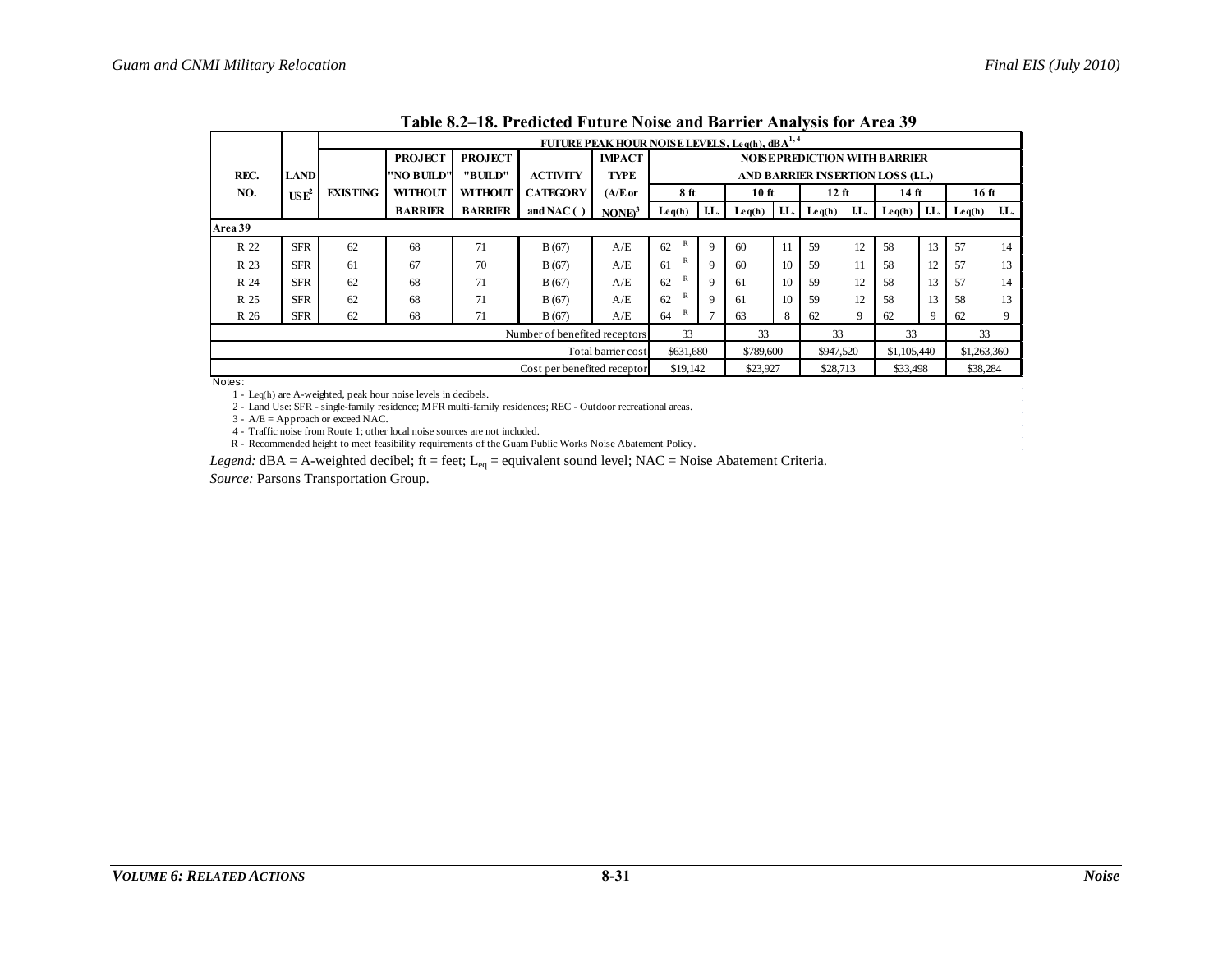|         |                  |                 |                               |                    |                             | FUTURE PEAK HOUR NOISE LEVELS, Leq(h), dBA <sup>1,4</sup> |           |                |           |     |             |      |                                                |     |                  |      |
|---------|------------------|-----------------|-------------------------------|--------------------|-----------------------------|-----------------------------------------------------------|-----------|----------------|-----------|-----|-------------|------|------------------------------------------------|-----|------------------|------|
|         |                  |                 | <b>PROJECT</b>                | <b>PROJECT</b>     |                             | <b>IMPACT</b>                                             |           |                |           |     |             |      | <b>NOISE PREDICTION WITH BARRIER</b>           |     |                  |      |
| REC.    | <b>LAND</b>      |                 | "NO BUILD"                    | "BUILD"            | <b>ACTIVITY</b>             | <b>TYPE</b>                                               |           |                |           |     |             |      | AND BARRIER INSERTION LOSS (LL.)               |     |                  |      |
| NO.     | USE <sup>2</sup> | <b>EXISTING</b> | <b>WITHOUT</b>                | <b>WITHOUT</b>     | <b>CATEGORY</b>             | (A/E or                                                   | 8 ft      |                | 10 ft     |     | $12$ ft     |      | 14 ft                                          |     | 16 <sub>ft</sub> |      |
|         |                  |                 | <b>BARRIER</b>                | <b>BARRIER</b>     | and NAC $( )$               | NONE <sup>3</sup>                                         | Leq(h)    | LL.            | Leq(h)    | LL. | Leq(h)      | I.L. | $\mathbf{L} \mathbf{e} \mathbf{q}(\mathbf{h})$ | LL. | Leq(h)           | I.L. |
| Area 39 |                  |                 |                               |                    |                             |                                                           |           |                |           |     |             |      |                                                |     |                  |      |
| R 22    | <b>SFR</b>       | 62              | 68                            | 71                 | B(67)                       | A/E                                                       | R<br>62   | $\overline{9}$ | 60        | 11  | 59          | 12   | 58                                             | 13  | 57               | 14   |
| R 23    | <b>SFR</b>       | 61              | 67                            | 70                 | B(67)                       | A/E                                                       | R<br>61   | 9              | 60        | 10  | 59          | 11   | 58                                             | 12  | 57               | 13   |
| R 24    | <b>SFR</b>       | 62              | 68                            | 71                 | B(67)                       | A/E                                                       | R<br>62   | 9              | 61        | 10  | 59          | 12   | 58                                             | 13  | 57               | 14   |
| R 25    | <b>SFR</b>       | 62              | 68                            | 71                 | B(67)                       | A/E                                                       | R<br>62   | 9              | 61        | 10  | 59          | 12   | 58                                             | 13  | 58               | 13   |
| R 26    | <b>SFR</b>       | 62              | 68                            | 71                 | B(67)                       | A/E                                                       | R<br>64   | $\overline{ }$ | 63        | 8   | 62          |      | 62                                             | 9   | 62               | 9    |
|         |                  |                 | Number of benefited receptors |                    |                             |                                                           | 33        |                | 33        |     | 33          |      | 33                                             |     | 33               |      |
|         |                  |                 |                               | Total barrier cost | \$631,680                   |                                                           | \$789,600 |                | \$947,520 |     | \$1,105,440 |      | \$1,263,360                                    |     |                  |      |
|         |                  |                 |                               |                    | Cost per benefited receptor |                                                           | \$19,142  |                | \$23,927  |     | \$28,713    |      | \$33,498                                       |     | \$38,284         |      |

|  | Table 8.2–18. Predicted Future Noise and Barrier Analysis for Area 39 |  |  |  |
|--|-----------------------------------------------------------------------|--|--|--|
|--|-----------------------------------------------------------------------|--|--|--|

1 - Leq(h) are A-weighted, peak hour noise levels in decibels.

2 - Land Use: SFR - single-family residence; MFR multi-family residences; REC - Outdoor recreational areas.

3 - A/E = Approach or exceed NAC.

4 - Traffic noise from Route 1; other local noise sources are not included.

R - Recommended height to meet feasibility requirements of the Guam Public Works Noise Abatement Policy.

<span id="page-30-0"></span>*Legend:* dBA = A-weighted decibel; ft = feet; L<sub>eq</sub> = equivalent sound level; NAC = Noise Abatement Criteria.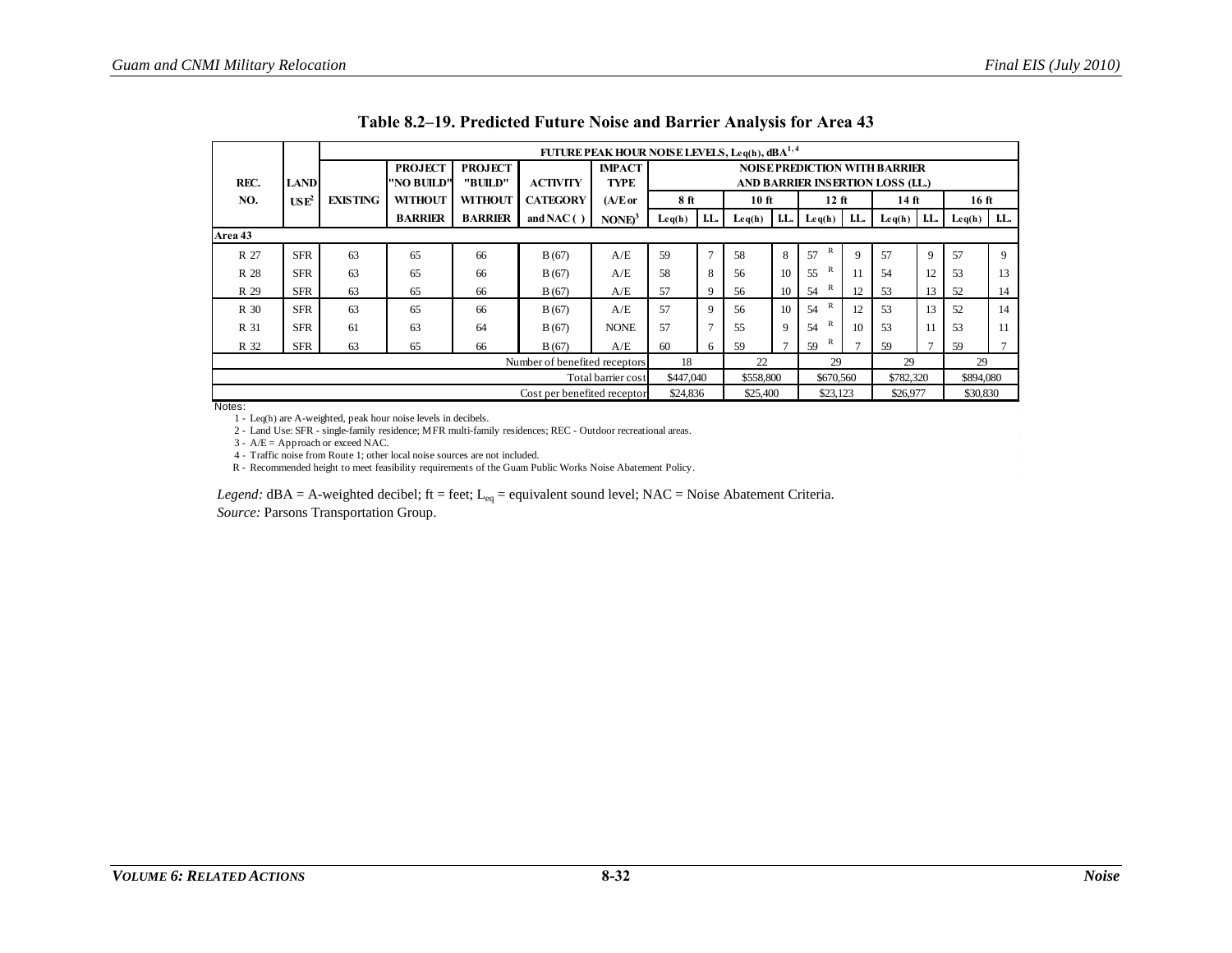|                   |                               |                 |                              |                           |                                    | FUTURE PEAK HOUR NOISE LEVELS, Leq(h), dBA <sup>1,4</sup> |           |                |                    |     |                    |     |                                                      |               |                  |     |
|-------------------|-------------------------------|-----------------|------------------------------|---------------------------|------------------------------------|-----------------------------------------------------------|-----------|----------------|--------------------|-----|--------------------|-----|------------------------------------------------------|---------------|------------------|-----|
|                   |                               |                 | <b>PROJECT</b>               | <b>PROJECT</b>            |                                    | <b>IMPACT</b>                                             |           |                |                    |     |                    |     | <b>NOISE PREDICTION WITH BARRIER</b>                 |               |                  |     |
| REC.<br>NO.       | <b>LAND</b><br>$\text{USE}^2$ | <b>EXISTING</b> | "NO BUILD"<br><b>WITHOUT</b> | "BUILD"<br><b>WITHOUT</b> | <b>ACTIVITY</b><br><b>CATEGORY</b> | TYPE<br>(A/E or                                           | 8 ft      |                | $10$ ft            |     | $12$ ft            |     | AND BARRIER INSERTION LOSS (I.L.)<br>$14 \text{ ft}$ |               | 16 <sub>ft</sub> |     |
|                   |                               |                 | <b>BARRIER</b>               | <b>BARRIER</b>            | and NAC $( )$                      | NONE <sup>3</sup>                                         | Leq(h)    | LL.            | $\mathbf{L}$ eq(h) | LL. | Leq(h)             | LL. | $\mathbf{L} \mathbf{e} \mathbf{q}(\mathbf{h})$       | LL.           | Leq(h)           | LL. |
| Area 43           |                               |                 |                              |                           |                                    |                                                           |           |                |                    |     |                    |     |                                                      |               |                  |     |
| R 27              | <b>SFR</b>                    | 63              | 65                           | 66                        | B(67)                              | A/E                                                       | 59        | $\overline{7}$ | 58                 | 8   | 57                 |     | 57                                                   | 9             | 57               | 9   |
| R 28              | <b>SFR</b>                    | 63              | 65                           | 66                        | B(67)                              | A/E                                                       | 58        | 8              | 56                 | 10  | $\mathbb{R}$<br>55 | -11 | 54                                                   | 12            | 53               | 13  |
| R 29              | <b>SFR</b>                    | 63              | 65<br>66<br>B(67)            |                           |                                    |                                                           | 57        | 9              | 56                 | 10  | R<br>54            | 12  | 53                                                   | 13            | 52               | 14  |
| R 30              | <b>SFR</b>                    | 63              | 65                           | 66                        | B(67)                              | A/E                                                       | 57        | 9              | 56                 | 10  | $\mathbb{R}$<br>54 | 12  | 53                                                   | 13            | 52               | 14  |
| R 31              | <b>SFR</b>                    | 61              | 63                           | 64                        | B(67)                              | <b>NONE</b>                                               | 57        | $\tau$         | 55                 | Q   | $\mathbb{R}$<br>54 | 10  | 53                                                   | 11            | 53               | 11  |
| R 32              | <b>SFR</b>                    | 63              | 65                           | 66                        | B(67)                              | A/E                                                       | 60        | 6              | 59                 | Ð   | $\mathbb{R}$<br>59 |     | 59                                                   | $\mathcal{I}$ | 59               |     |
|                   |                               |                 |                              |                           | Number of benefited receptors      | 18                                                        |           | 22             |                    | 29  |                    | 29  |                                                      | 29            |                  |     |
|                   |                               |                 |                              |                           |                                    | Total barrier cost                                        | \$447,040 |                | \$558,800          |     | \$670,560          |     | \$782,320                                            |               | \$894,080        |     |
| $1.1 - 1.2 - 1.1$ |                               |                 |                              |                           | Cost per benefited receptor        |                                                           | \$24,836  |                | \$25,400           |     | \$23,123           |     | \$26,977                                             |               | \$30,830         |     |

**Table 8.2–19. Predicted Future Noise and Barrier Analysis for Area 43** 

<span id="page-31-0"></span>1 - Leq(h) are A-weighted, peak hour noise levels in decibels.

2 - Land Use: SFR - single-family residence; MFR multi-family residences; REC - Outdoor recreational areas.

3 - A/E = Approach or exceed NAC.

4 - Traffic noise from Route 1; other local noise sources are not included.

R - Recommended height to meet feasibility requirements of the Guam Public Works Noise Abatement Policy.

*Legend:* dBA = A-weighted decibel; ft = feet; L<sub>eq</sub> = equivalent sound level; NAC = Noise Abatement Criteria.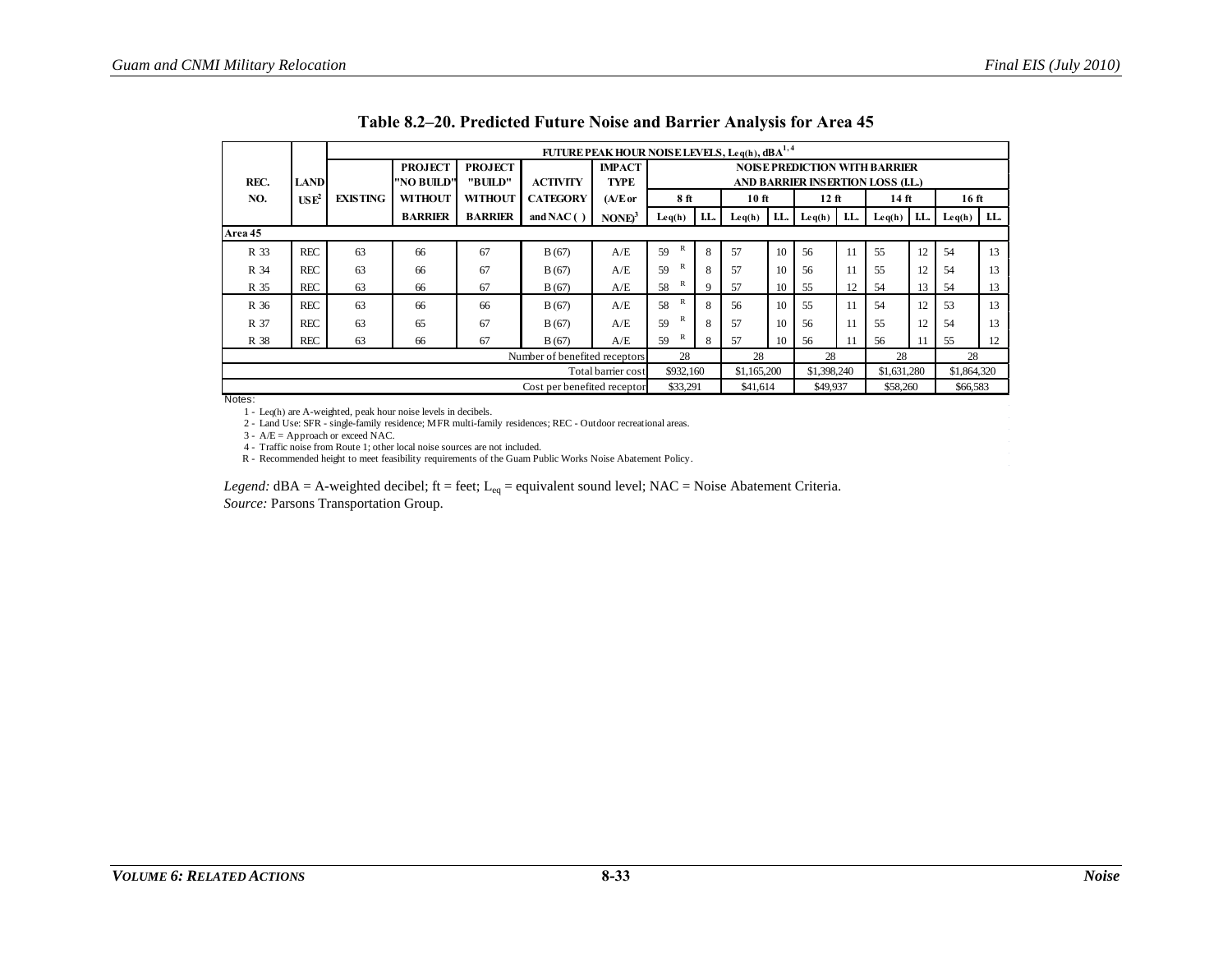|         |                  |                 |                |                |                               | FUTURE PEAK HOUR NOISE LEVELS, Leq(h), dBA <sup>1,4</sup> |                    |     |             |     |                                      |     |                 |     |                                                |     |
|---------|------------------|-----------------|----------------|----------------|-------------------------------|-----------------------------------------------------------|--------------------|-----|-------------|-----|--------------------------------------|-----|-----------------|-----|------------------------------------------------|-----|
|         |                  |                 | <b>PROJECT</b> | <b>PROJECT</b> |                               | <b>IMPACT</b>                                             |                    |     |             |     | <b>NOISE PREDICTION WITH BARRIER</b> |     |                 |     |                                                |     |
| REC.    | <b>LAND</b>      |                 | "NO BUILD"     | "BUILD"        | <b>ACTIVITY</b>               | TYPE                                                      |                    |     |             |     | AND BARRIER INSERTION LOSS (I.L.)    |     |                 |     |                                                |     |
| NO.     | USE <sup>2</sup> | <b>EXISTING</b> | <b>WITHOUT</b> | <b>WITHOUT</b> | <b>CATEGORY</b>               | $(A/E$ or                                                 | 8 ft               |     | $10$ ft     |     | $12$ ft                              |     | $14$ ft         |     | 16ft                                           |     |
|         |                  |                 | <b>BARRIER</b> | <b>BARRIER</b> | and NAC $( )$                 | NONE <sup>3</sup>                                         | Leq(h)             | LL. | Leq(h)      | LL. | Leq(h)                               | LL. | $\text{Leq}(h)$ | LL. | $\mathbf{L} \mathbf{e} \mathbf{q}(\mathbf{h})$ | LL. |
| Area 45 |                  |                 |                |                |                               |                                                           |                    |     |             |     |                                      |     |                 |     |                                                |     |
| R 33    | <b>REC</b>       | 63              | 66             | 67             | B(67)                         | A/E                                                       | $\mathbb{R}$<br>59 | 8   | 57          | 10  | 56                                   | 11  | 55              | 12  | 54                                             | 13  |
| R 34    | <b>REC</b>       | 63              | 66             | 67             | B(67)                         | A/E                                                       | R<br>59            | 8   | 57          | 10  | 56                                   | 11  | 55              | 12  | 54                                             | 13  |
| R 35    | <b>REC</b>       | 63              | 66             | 67             | B(67)                         | A/E                                                       | $\mathbb{R}$<br>58 | 9   | 57          | 10  | 55                                   | 12  | 54              | 13  | 54                                             | 13  |
| R 36    | <b>REC</b>       | 63              | 66             | 66             | B(67)                         | A/E                                                       | $\mathbb{R}$<br>58 | 8   | 56          | 10  | 55                                   | 11  | 54              | 12  | 53                                             | 13  |
| R 37    | <b>REC</b>       | 63              | 65             | 67             | B(67)                         | A/E                                                       | $\mathbb{R}$<br>59 | 8   | 57          | 10  | 56                                   | 11  | 55              | 12  | 54                                             | 13  |
| R 38    | <b>REC</b>       | 63              | 66             | 67             | B(67)                         | A/E                                                       | R<br>59            | 8   | 57          | 10  | 56                                   | 11  | 56              | 11  | 55                                             | 12  |
|         |                  |                 |                |                | Number of benefited receptors |                                                           | 28                 |     | 28          |     | 28                                   |     | 28              |     | 28                                             |     |
|         |                  |                 |                |                |                               | Total barrier cost                                        | \$932,160          |     | \$1,165,200 |     | \$1,398,240                          |     | \$1,631,280     |     | \$1,864,320                                    |     |
| Notes . |                  |                 |                |                | Cost per benefited receptor   |                                                           | \$33,291           |     | \$41,614    |     | \$49,937                             |     | \$58,260        |     | \$66,583                                       |     |

|  |  |  | Table 8.2–20. Predicted Future Noise and Barrier Analysis for Area 45 |  |  |  |
|--|--|--|-----------------------------------------------------------------------|--|--|--|
|--|--|--|-----------------------------------------------------------------------|--|--|--|

<span id="page-32-0"></span>

1 - Leq(h) are A-weighted, peak hour noise levels in decibels. 2 - Land Use: SFR - single-family residence; MFR multi-family residences; REC - Outdoor recreational areas.

3 - A/E = Approach or exceed NAC.

4 - Traffic noise from Route 1; other local noise sources are not included.

R - Recommended height to meet feasibility requirements of the Guam Public Works Noise Abatement Policy.

*Legend:*  $dBA = A$ -weighted decibel;  $ft = feet$ ;  $L_{eq} = equivalent$  sound level;  $NAC = Noise$   $Abatement$  Criteria.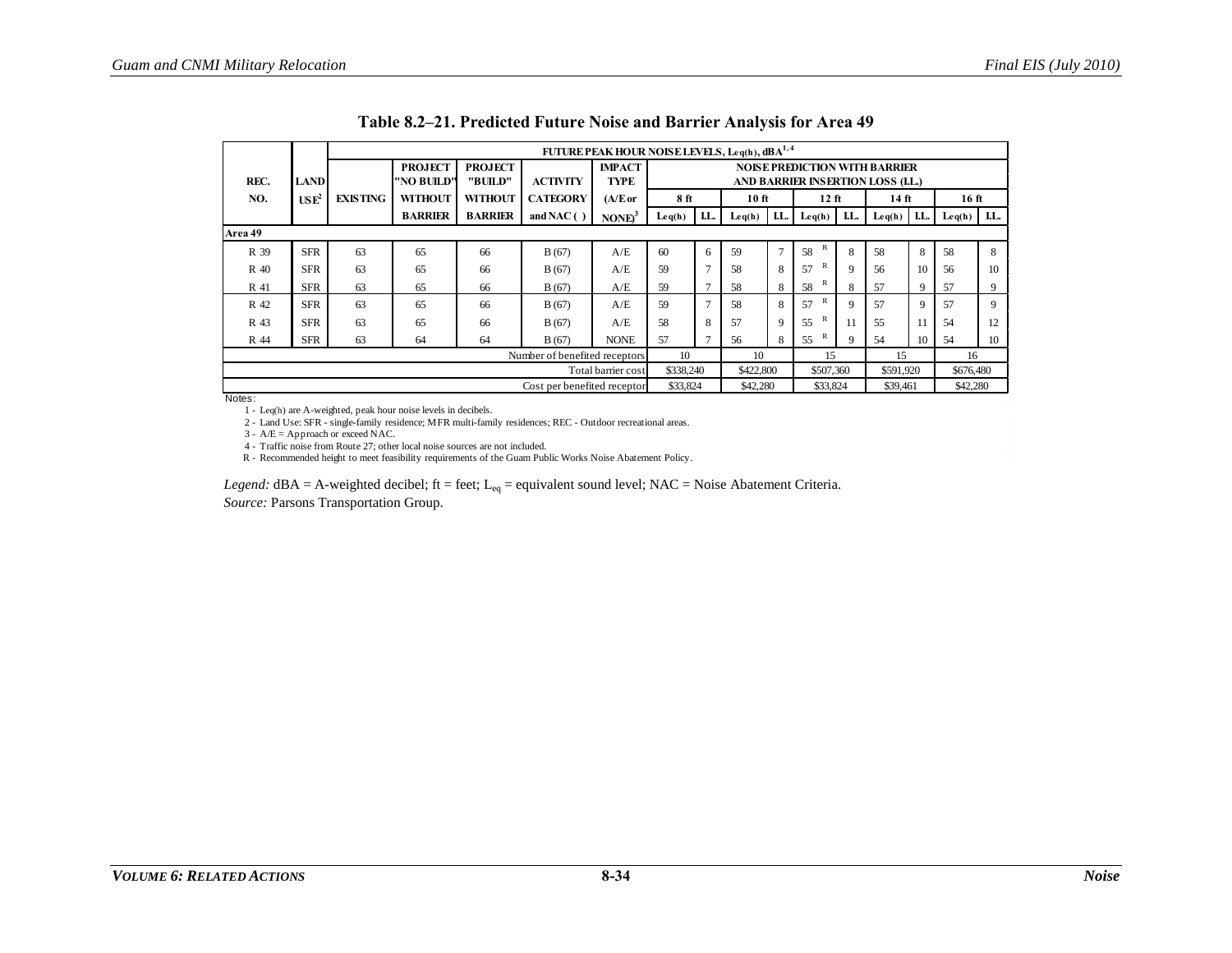|         |                  |                 |                |                |                               | FUTURE PEAK HOUR NOISE LEVELS, Leq(h), dBA <sup>1,4</sup> |           |     |                 |                |                                      |             |                 |              |                 |             |
|---------|------------------|-----------------|----------------|----------------|-------------------------------|-----------------------------------------------------------|-----------|-----|-----------------|----------------|--------------------------------------|-------------|-----------------|--------------|-----------------|-------------|
|         |                  |                 | <b>PROJECT</b> | <b>PROJECT</b> |                               | <b>IMPACT</b>                                             |           |     |                 |                | <b>NOISE PREDICTION WITH BARRIER</b> |             |                 |              |                 |             |
| REC.    | <b>LAND</b>      |                 | "NO BUILD"     | "BUILD"        | <b>ACTIVITY</b>               | TYPE                                                      |           |     |                 |                | AND BARRIER INSERTION LOSS (LL.)     |             |                 |              |                 |             |
| NO.     | USE <sup>2</sup> | <b>EXISTING</b> | <b>WITHOUT</b> | <b>WITHOUT</b> | <b>CATEGORY</b>               | $(A/E$ or                                                 | 8 ft      |     | 10ft            |                | $12$ ft                              |             | $14 \text{ ft}$ |              | 16 ft           |             |
|         |                  |                 | <b>BARRIER</b> | <b>BARRIER</b> | and NAC $( )$                 | $NONE3$                                                   | Leq(h)    | LL. | $\text{Leq}(h)$ | LL.            | $\mathbf{L}$ eq(h)                   | LL.         | $Leq(h)$ I.L.   |              | $\text{Leq}(h)$ | LL.         |
| Area 49 |                  |                 |                |                |                               |                                                           |           |     |                 |                |                                      |             |                 |              |                 |             |
| R 39    | <b>SFR</b>       | 63              | 65             | 66             | B(67)                         | A/E                                                       | 60        | 6   | 59              | $\overline{7}$ | R<br>58                              | 8           | 58              | 8            | 58              | 8           |
| R 40    | <b>SFR</b>       | 63              | 65             | 66             | B(67)                         | A/E                                                       | 59        |     | 58              | 8              | R<br>57                              | 9           | 56              | 10           | 56              | 10          |
| R 41    | <b>SFR</b>       | 63              | 65             | 66             | A/E                           | 59                                                        |           | 58  | 8               | R<br>58        | 8                                    | 57          | 9               | 57           | 9               |             |
| R 42    | <b>SFR</b>       | 63              | 65             | 66             | B(67)                         | A/E                                                       | 59        |     | 58              | 8              | R<br>57                              | $\mathbf Q$ | 57              | $\mathbf{Q}$ | 57              | $\mathbf Q$ |
| R 43    | <b>SFR</b>       | 63              | 65             | 66             | B(67)                         | A/E                                                       | 58        | 8   | 57              | 9              | R<br>55                              | 11          | 55              | 11           | 54              | 12          |
| R 44    | <b>SFR</b>       | 63              | 64             | 64             | B(67)                         | <b>NONE</b>                                               | 57        |     | 56              | 8              | R<br>55                              | $\mathbf Q$ | 54              | 10           | 54              | 10          |
|         |                  |                 |                |                | Number of benefited receptors | 10                                                        |           | 10  |                 | 15             |                                      | 15          |                 | 16           |                 |             |
|         |                  |                 |                |                |                               | Total barrier cost                                        | \$338,240 |     | \$422,800       |                | \$507,360                            |             | \$591,920       |              | \$676,480       |             |
|         |                  |                 |                |                | Cost per benefited receptor   |                                                           | \$33,824  |     | \$42,280        |                | \$33,824                             |             | \$39,461        |              | \$42,280        |             |
| Notes:  |                  |                 |                |                |                               |                                                           |           |     |                 |                |                                      |             |                 |              |                 |             |

|  |  | Table 8.2–21. Predicted Future Noise and Barrier Analysis for Area 49 |  |  |
|--|--|-----------------------------------------------------------------------|--|--|
|  |  |                                                                       |  |  |

<span id="page-33-0"></span>

1 - Leq(h) are A-weighted, peak hour noise levels in decibels. 2 - Land Use: SFR - single-family residence; MFR multi-family residences; REC - Outdoor recreational areas.

3 - A/E = Approach or exceed NAC.

4 - Traffic noise from Route 27; other local noise sources are not included.

R - Recommended height to meet feasibility requirements of the Guam Public Works Noise Abatement Policy.

*Legend:* dBA = A-weighted decibel; ft = feet; L<sub>eq</sub> = equivalent sound level; NAC = Noise Abatement Criteria.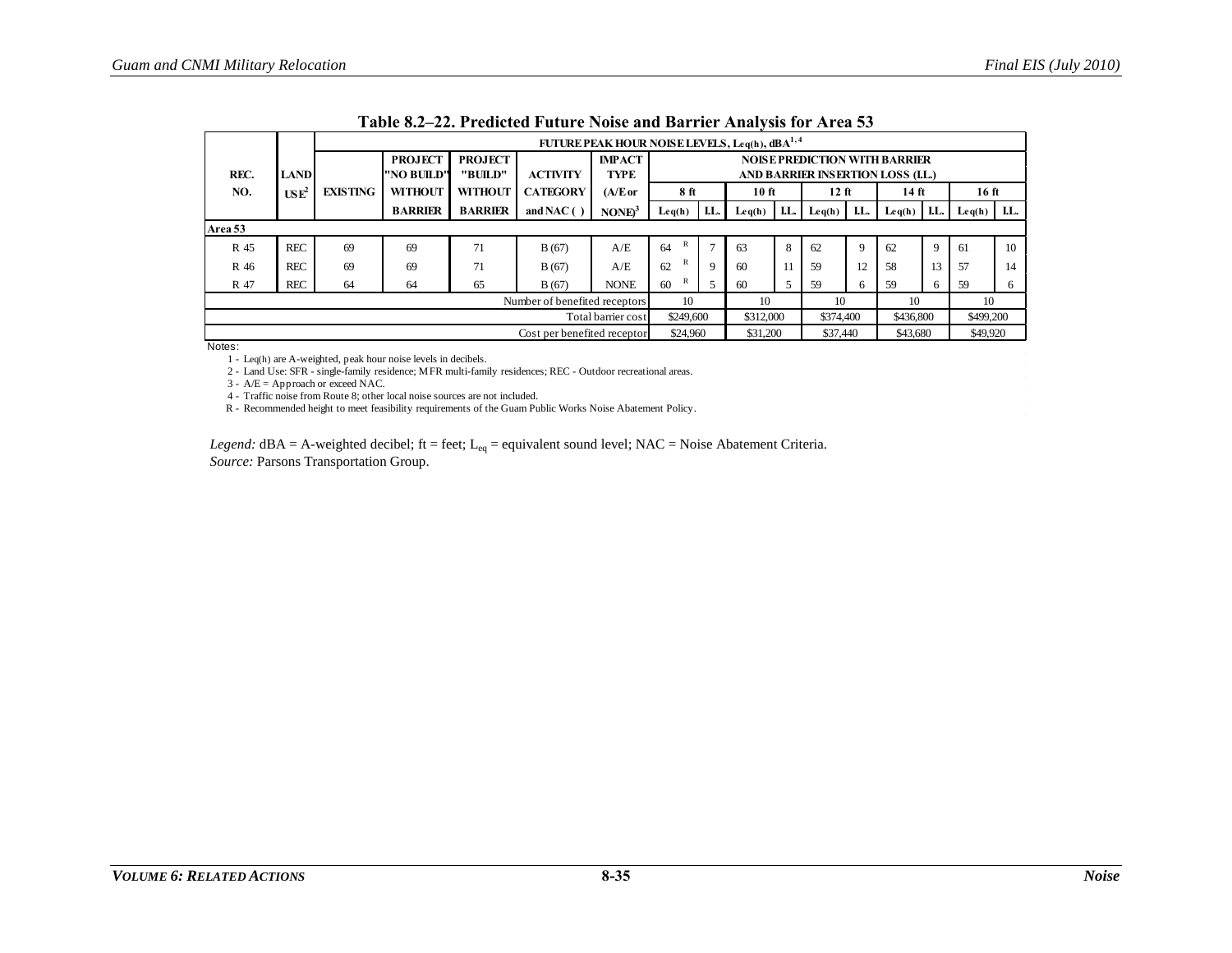|         |                  | FUTURE PEAK HOUR NOISE LEVELS, Leq(h), dBA <sup>1,4</sup> |                              |                           |                               |                              |                                                                          |               |          |     |                 |              |          |     |                  |     |
|---------|------------------|-----------------------------------------------------------|------------------------------|---------------------------|-------------------------------|------------------------------|--------------------------------------------------------------------------|---------------|----------|-----|-----------------|--------------|----------|-----|------------------|-----|
| REC.    | <b>LAND</b>      |                                                           | <b>PROJECT</b><br>"NO BUILD" | <b>PROJECT</b><br>"BUILD" | <b>ACTIVITY</b>               | <b>IMPACT</b><br><b>TYPE</b> | <b>NOISE PREDICTION WITH BARRIER</b><br>AND BARRIER INSERTION LOSS (LL.) |               |          |     |                 |              |          |     |                  |     |
| NO.     | USE <sup>2</sup> | <b>EXISTING</b>                                           | <b>WITHOUT</b>               | <b>WITHOUT</b>            | <b>CATEGORY</b>               | $(A/E$ or                    | 8ft                                                                      |               | 10 ft    |     | 12 ft           |              | $14$ ft  |     | 16 <sub>ft</sub> |     |
|         |                  |                                                           | <b>BARRIER</b>               | <b>BARRIER</b>            | and NAC $( )$                 | NONE <sup>3</sup>            | Leq(h)                                                                   | LL.           | Leq(h)   | LL. | $\text{Leq}(h)$ | LL.          | Leq(h)   | LL. | Leq(h)           | LL. |
| Area 53 |                  |                                                           |                              |                           |                               |                              |                                                                          |               |          |     |                 |              |          |     |                  |     |
| R 45    | <b>REC</b>       | 69                                                        | 69                           | 71                        | B(67)                         | A/E                          | R<br>64                                                                  | $\mathcal{I}$ | 63       | 8   | 62              |              | 62       | 9   | 61               | 10  |
| R 46    | <b>REC</b>       | 69                                                        | 69                           | 71                        | B(67)                         | A/E                          | R<br>62                                                                  | $\mathbf Q$   | 60       | 11  | 59              | 12           | 58       | 13  | 57               | 14  |
| R 47    | <b>REC</b>       | 64                                                        | 64                           | 65                        | B(67)                         | <b>NONE</b>                  | R<br>60                                                                  |               | 60       |     | 59              | <sub>6</sub> | 59       | 6   | 59               | 6   |
|         |                  |                                                           |                              |                           | Number of benefited receptors |                              | 10                                                                       |               | 10       |     | 10              |              | 10       |     | 10               |     |
|         |                  |                                                           |                              |                           |                               | Total barrier cost           | \$249,600<br>\$312,000<br>\$374,400<br>\$436,800<br>\$499,200            |               |          |     |                 |              |          |     |                  |     |
|         |                  |                                                           |                              |                           | Cost per benefited receptor   |                              | \$24,960                                                                 |               | \$31,200 |     | \$37,440        |              | \$43,680 |     | \$49,920         |     |

1 - Leq(h) are A-weighted, peak hour noise levels in decibels.

2 - Land Use: SFR - single-family residence; MFR multi-family residences; REC - Outdoor recreational areas.

 $3 - A/E =$  Approach or exceed NAC.

4 - Traffic noise from Route 8; other local noise sources are not included.

R - Recommended height to meet feasibility requirements of the Guam Public Works Noise Abatement Policy.

<span id="page-34-0"></span>*Legend:* dBA = A-weighted decibel; ft = feet; L<sub>eq</sub> = equivalent sound level; NAC = Noise Abatement Criteria. *Source:* Parsons Transportation Group.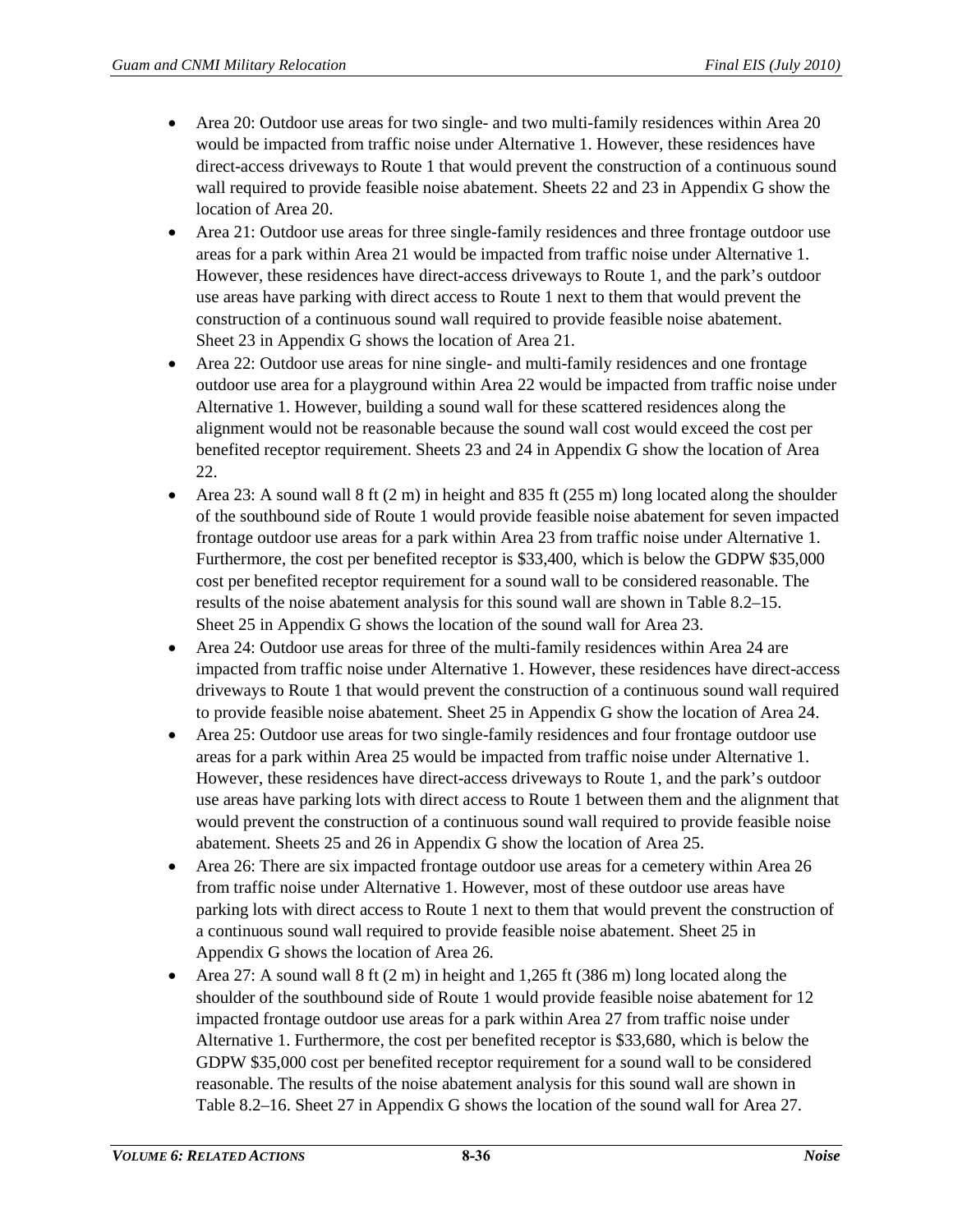- Area 20: Outdoor use areas for two single- and two multi-family residences within Area 20 would be impacted from traffic noise under Alternative 1. However, these residences have direct-access driveways to Route 1 that would prevent the construction of a continuous sound wall required to provide feasible noise abatement. Sheets 22 and 23 in Appendix G show the location of Area 20.
- Area 21: Outdoor use areas for three single-family residences and three frontage outdoor use areas for a park within Area 21 would be impacted from traffic noise under Alternative 1. However, these residences have direct-access driveways to Route 1, and the park's outdoor use areas have parking with direct access to Route 1 next to them that would prevent the construction of a continuous sound wall required to provide feasible noise abatement. Sheet 23 in Appendix G shows the location of Area 21.
- Area 22: Outdoor use areas for nine single- and multi-family residences and one frontage outdoor use area for a playground within Area 22 would be impacted from traffic noise under Alternative 1. However, building a sound wall for these scattered residences along the alignment would not be reasonable because the sound wall cost would exceed the cost per benefited receptor requirement. Sheets 23 and 24 in Appendix G show the location of Area 22.
- Area 23: A sound wall  $8$  ft (2 m) in height and 835 ft (255 m) long located along the shoulder of the southbound side of Route 1 would provide feasible noise abatement for seven impacted frontage outdoor use areas for a park within Area 23 from traffic noise under Alternative 1. Furthermore, the cost per benefited receptor is \$33,400, which is below the GDPW \$35,000 cost per benefited receptor requirement for a sound wall to be considered reasonable. The results of the noise abatement analysis for this sound wall are shown in [Table 8.2–15.](#page-27-0) Sheet 25 in Appendix G shows the location of the sound wall for Area 23.
- Area 24: Outdoor use areas for three of the multi-family residences within Area 24 are impacted from traffic noise under Alternative 1. However, these residences have direct-access driveways to Route 1 that would prevent the construction of a continuous sound wall required to provide feasible noise abatement. Sheet 25 in Appendix G show the location of Area 24.
- Area 25: Outdoor use areas for two single-family residences and four frontage outdoor use areas for a park within Area 25 would be impacted from traffic noise under Alternative 1. However, these residences have direct-access driveways to Route 1, and the park's outdoor use areas have parking lots with direct access to Route 1 between them and the alignment that would prevent the construction of a continuous sound wall required to provide feasible noise abatement. Sheets 25 and 26 in Appendix G show the location of Area 25.
- Area 26: There are six impacted frontage outdoor use areas for a cemetery within Area 26 from traffic noise under Alternative 1. However, most of these outdoor use areas have parking lots with direct access to Route 1 next to them that would prevent the construction of a continuous sound wall required to provide feasible noise abatement. Sheet 25 in Appendix G shows the location of Area 26.
- Area 27: A sound wall 8 ft (2 m) in height and 1,265 ft (386 m) long located along the shoulder of the southbound side of Route 1 would provide feasible noise abatement for 12 impacted frontage outdoor use areas for a park within Area 27 from traffic noise under Alternative 1. Furthermore, the cost per benefited receptor is \$33,680, which is below the GDPW \$35,000 cost per benefited receptor requirement for a sound wall to be considered reasonable. The results of the noise abatement analysis for this sound wall are shown in [Table 8.2–16.](#page-28-0) Sheet 27 in Appendix G shows the location of the sound wall for Area 27.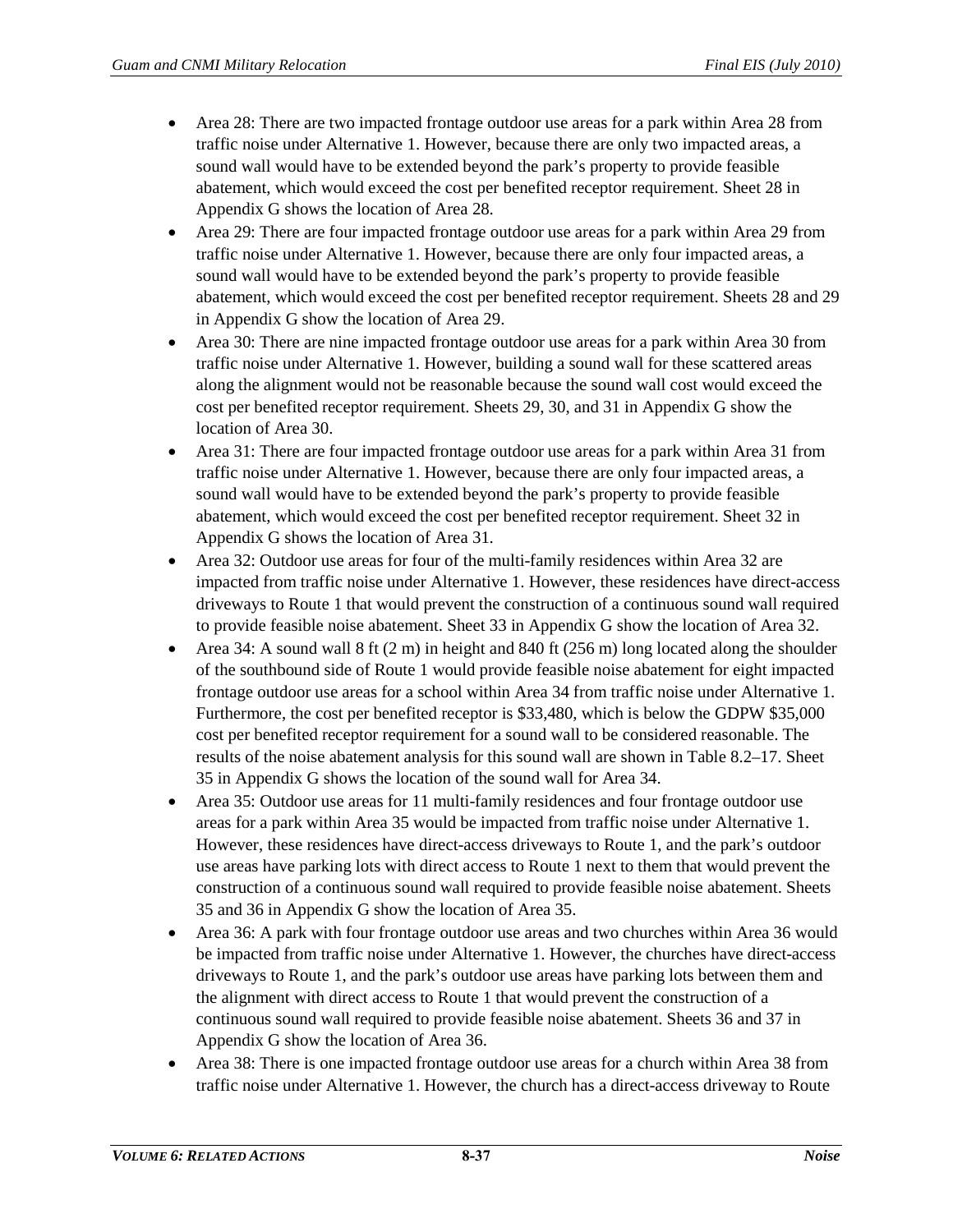- Area 28: There are two impacted frontage outdoor use areas for a park within Area 28 from traffic noise under Alternative 1. However, because there are only two impacted areas, a sound wall would have to be extended beyond the park's property to provide feasible abatement, which would exceed the cost per benefited receptor requirement. Sheet 28 in Appendix G shows the location of Area 28.
- Area 29: There are four impacted frontage outdoor use areas for a park within Area 29 from traffic noise under Alternative 1. However, because there are only four impacted areas, a sound wall would have to be extended beyond the park's property to provide feasible abatement, which would exceed the cost per benefited receptor requirement. Sheets 28 and 29 in Appendix G show the location of Area 29.
- Area 30: There are nine impacted frontage outdoor use areas for a park within Area 30 from traffic noise under Alternative 1. However, building a sound wall for these scattered areas along the alignment would not be reasonable because the sound wall cost would exceed the cost per benefited receptor requirement. Sheets 29, 30, and 31 in Appendix G show the location of Area 30.
- Area 31: There are four impacted frontage outdoor use areas for a park within Area 31 from traffic noise under Alternative 1. However, because there are only four impacted areas, a sound wall would have to be extended beyond the park's property to provide feasible abatement, which would exceed the cost per benefited receptor requirement. Sheet 32 in Appendix G shows the location of Area 31.
- Area 32: Outdoor use areas for four of the multi-family residences within Area 32 are impacted from traffic noise under Alternative 1. However, these residences have direct-access driveways to Route 1 that would prevent the construction of a continuous sound wall required to provide feasible noise abatement. Sheet 33 in Appendix G show the location of Area 32.
- Area 34: A sound wall  $8 \text{ ft } (2 \text{ m})$  in height and  $840 \text{ ft } (256 \text{ m})$  long located along the shoulder of the southbound side of Route 1 would provide feasible noise abatement for eight impacted frontage outdoor use areas for a school within Area 34 from traffic noise under Alternative 1. Furthermore, the cost per benefited receptor is \$33,480, which is below the GDPW \$35,000 cost per benefited receptor requirement for a sound wall to be considered reasonable. The results of the noise abatement analysis for this sound wall are shown i[n Table 8.2–17.](#page-29-0) Sheet 35 in Appendix G shows the location of the sound wall for Area 34.
- Area 35: Outdoor use areas for 11 multi-family residences and four frontage outdoor use areas for a park within Area 35 would be impacted from traffic noise under Alternative 1. However, these residences have direct-access driveways to Route 1, and the park's outdoor use areas have parking lots with direct access to Route 1 next to them that would prevent the construction of a continuous sound wall required to provide feasible noise abatement. Sheets 35 and 36 in Appendix G show the location of Area 35.
- Area 36: A park with four frontage outdoor use areas and two churches within Area 36 would be impacted from traffic noise under Alternative 1. However, the churches have direct-access driveways to Route 1, and the park's outdoor use areas have parking lots between them and the alignment with direct access to Route 1 that would prevent the construction of a continuous sound wall required to provide feasible noise abatement. Sheets 36 and 37 in Appendix G show the location of Area 36.
- Area 38: There is one impacted frontage outdoor use areas for a church within Area 38 from traffic noise under Alternative 1. However, the church has a direct-access driveway to Route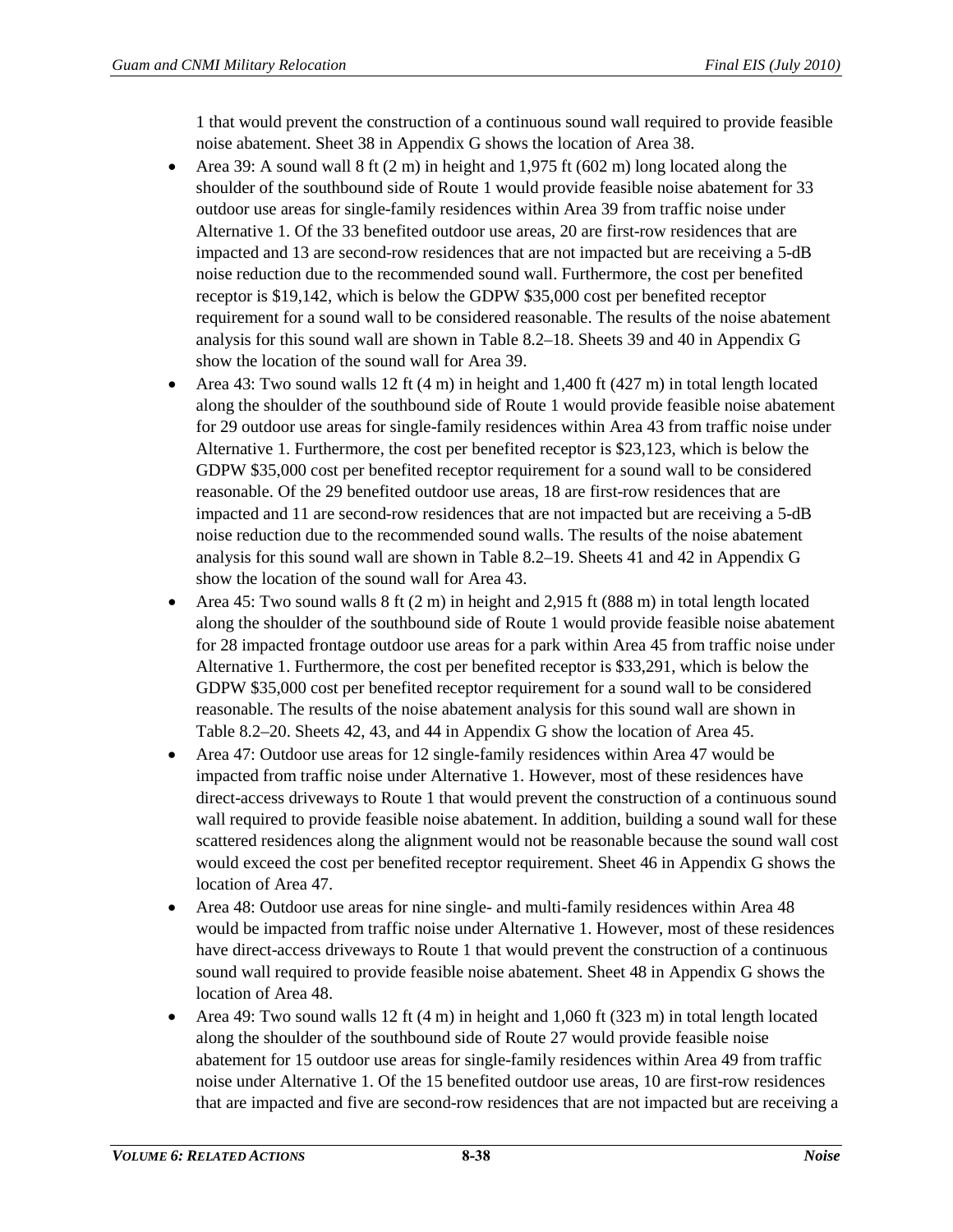1 that would prevent the construction of a continuous sound wall required to provide feasible noise abatement. Sheet 38 in Appendix G shows the location of Area 38.

- Area 39: A sound wall  $8 \text{ ft}$  (2 m) in height and 1,975 ft (602 m) long located along the shoulder of the southbound side of Route 1 would provide feasible noise abatement for 33 outdoor use areas for single-family residences within Area 39 from traffic noise under Alternative 1. Of the 33 benefited outdoor use areas, 20 are first-row residences that are impacted and 13 are second-row residences that are not impacted but are receiving a 5-dB noise reduction due to the recommended sound wall. Furthermore, the cost per benefited receptor is \$19,142, which is below the GDPW \$35,000 cost per benefited receptor requirement for a sound wall to be considered reasonable. The results of the noise abatement analysis for this sound wall are shown in [Table 8.2–18.](#page-30-0) Sheets 39 and 40 in Appendix G show the location of the sound wall for Area 39.
- Area 43: Two sound walls 12 ft  $(4 \text{ m})$  in height and 1,400 ft  $(427 \text{ m})$  in total length located along the shoulder of the southbound side of Route 1 would provide feasible noise abatement for 29 outdoor use areas for single-family residences within Area 43 from traffic noise under Alternative 1. Furthermore, the cost per benefited receptor is \$23,123, which is below the GDPW \$35,000 cost per benefited receptor requirement for a sound wall to be considered reasonable. Of the 29 benefited outdoor use areas, 18 are first-row residences that are impacted and 11 are second-row residences that are not impacted but are receiving a 5-dB noise reduction due to the recommended sound walls. The results of the noise abatement analysis for this sound wall are shown in [Table 8.2–19.](#page-31-0) Sheets 41 and 42 in Appendix G show the location of the sound wall for Area 43.
- Area 45: Two sound walls  $8 \text{ ft}$  (2 m) in height and 2,915 ft (888 m) in total length located along the shoulder of the southbound side of Route 1 would provide feasible noise abatement for 28 impacted frontage outdoor use areas for a park within Area 45 from traffic noise under Alternative 1. Furthermore, the cost per benefited receptor is \$33,291, which is below the GDPW \$35,000 cost per benefited receptor requirement for a sound wall to be considered reasonable. The results of the noise abatement analysis for this sound wall are shown in [Table 8.2–20.](#page-32-0) Sheets 42, 43, and 44 in Appendix G show the location of Area 45.
- Area 47: Outdoor use areas for 12 single-family residences within Area 47 would be impacted from traffic noise under Alternative 1. However, most of these residences have direct-access driveways to Route 1 that would prevent the construction of a continuous sound wall required to provide feasible noise abatement. In addition, building a sound wall for these scattered residences along the alignment would not be reasonable because the sound wall cost would exceed the cost per benefited receptor requirement. Sheet 46 in Appendix G shows the location of Area 47.
- Area 48: Outdoor use areas for nine single- and multi-family residences within Area 48 would be impacted from traffic noise under Alternative 1. However, most of these residences have direct-access driveways to Route 1 that would prevent the construction of a continuous sound wall required to provide feasible noise abatement. Sheet 48 in Appendix G shows the location of Area 48.
- Area 49: Two sound walls 12 ft  $(4 \text{ m})$  in height and 1,060 ft  $(323 \text{ m})$  in total length located along the shoulder of the southbound side of Route 27 would provide feasible noise abatement for 15 outdoor use areas for single-family residences within Area 49 from traffic noise under Alternative 1. Of the 15 benefited outdoor use areas, 10 are first-row residences that are impacted and five are second-row residences that are not impacted but are receiving a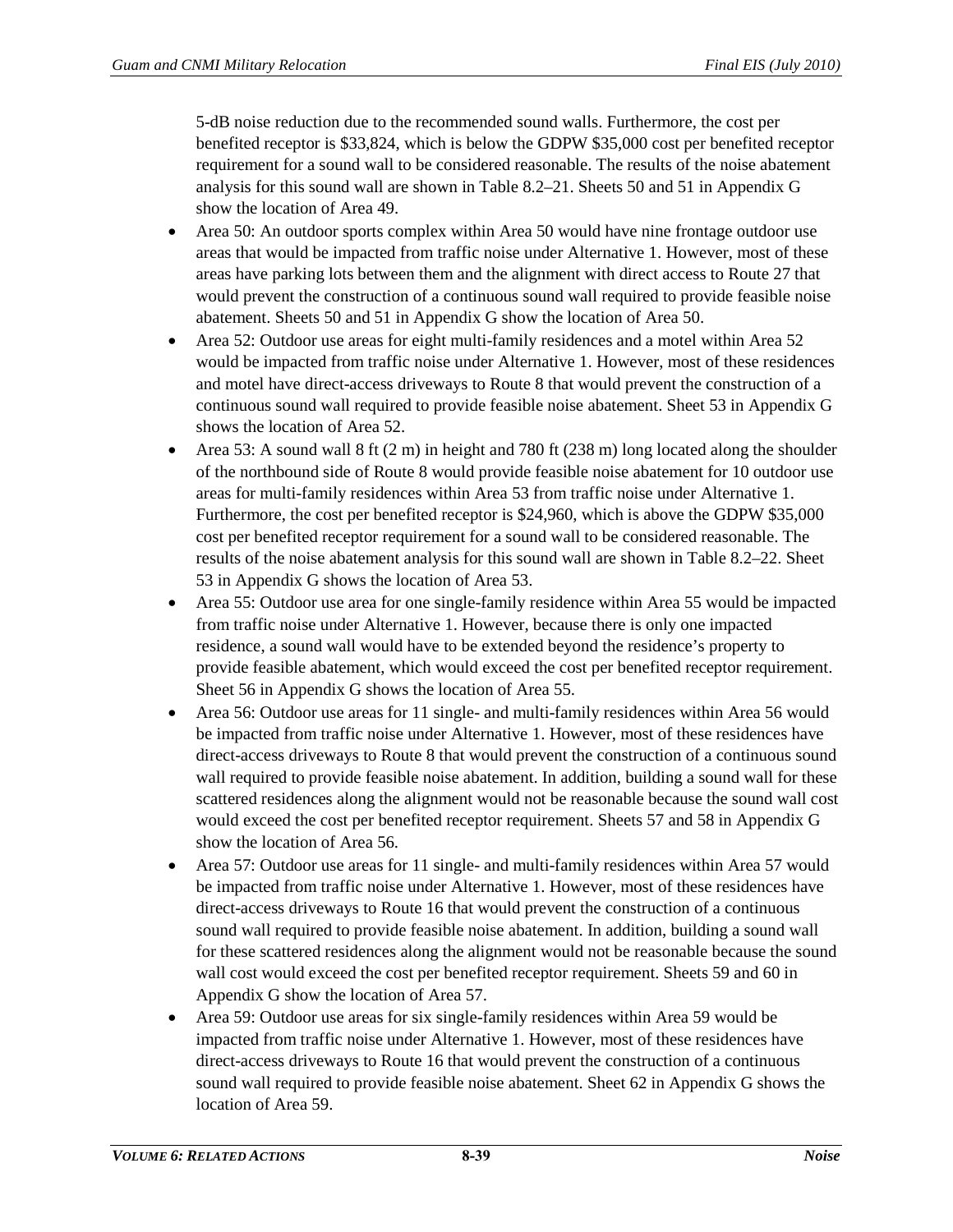5-dB noise reduction due to the recommended sound walls. Furthermore, the cost per benefited receptor is \$33,824, which is below the GDPW \$35,000 cost per benefited receptor requirement for a sound wall to be considered reasonable. The results of the noise abatement analysis for this sound wall are shown in [Table 8.2–21.](#page-33-0) Sheets 50 and 51 in Appendix G show the location of Area 49.

- Area 50: An outdoor sports complex within Area 50 would have nine frontage outdoor use areas that would be impacted from traffic noise under Alternative 1. However, most of these areas have parking lots between them and the alignment with direct access to Route 27 that would prevent the construction of a continuous sound wall required to provide feasible noise abatement. Sheets 50 and 51 in Appendix G show the location of Area 50.
- Area 52: Outdoor use areas for eight multi-family residences and a motel within Area 52 would be impacted from traffic noise under Alternative 1. However, most of these residences and motel have direct-access driveways to Route 8 that would prevent the construction of a continuous sound wall required to provide feasible noise abatement. Sheet 53 in Appendix G shows the location of Area 52.
- Area 53: A sound wall 8 ft  $(2 \text{ m})$  in height and 780 ft  $(238 \text{ m})$  long located along the shoulder of the northbound side of Route 8 would provide feasible noise abatement for 10 outdoor use areas for multi-family residences within Area 53 from traffic noise under Alternative 1. Furthermore, the cost per benefited receptor is \$24,960, which is above the GDPW \$35,000 cost per benefited receptor requirement for a sound wall to be considered reasonable. The results of the noise abatement analysis for this sound wall are shown in [Table 8.2–22.](#page-34-0) Sheet 53 in Appendix G shows the location of Area 53.
- Area 55: Outdoor use area for one single-family residence within Area 55 would be impacted from traffic noise under Alternative 1. However, because there is only one impacted residence, a sound wall would have to be extended beyond the residence's property to provide feasible abatement, which would exceed the cost per benefited receptor requirement. Sheet 56 in Appendix G shows the location of Area 55.
- Area 56: Outdoor use areas for 11 single- and multi-family residences within Area 56 would be impacted from traffic noise under Alternative 1. However, most of these residences have direct-access driveways to Route 8 that would prevent the construction of a continuous sound wall required to provide feasible noise abatement. In addition, building a sound wall for these scattered residences along the alignment would not be reasonable because the sound wall cost would exceed the cost per benefited receptor requirement. Sheets 57 and 58 in Appendix G show the location of Area 56.
- Area 57: Outdoor use areas for 11 single- and multi-family residences within Area 57 would be impacted from traffic noise under Alternative 1. However, most of these residences have direct-access driveways to Route 16 that would prevent the construction of a continuous sound wall required to provide feasible noise abatement. In addition, building a sound wall for these scattered residences along the alignment would not be reasonable because the sound wall cost would exceed the cost per benefited receptor requirement. Sheets 59 and 60 in Appendix G show the location of Area 57.
- Area 59: Outdoor use areas for six single-family residences within Area 59 would be impacted from traffic noise under Alternative 1. However, most of these residences have direct-access driveways to Route 16 that would prevent the construction of a continuous sound wall required to provide feasible noise abatement. Sheet 62 in Appendix G shows the location of Area 59.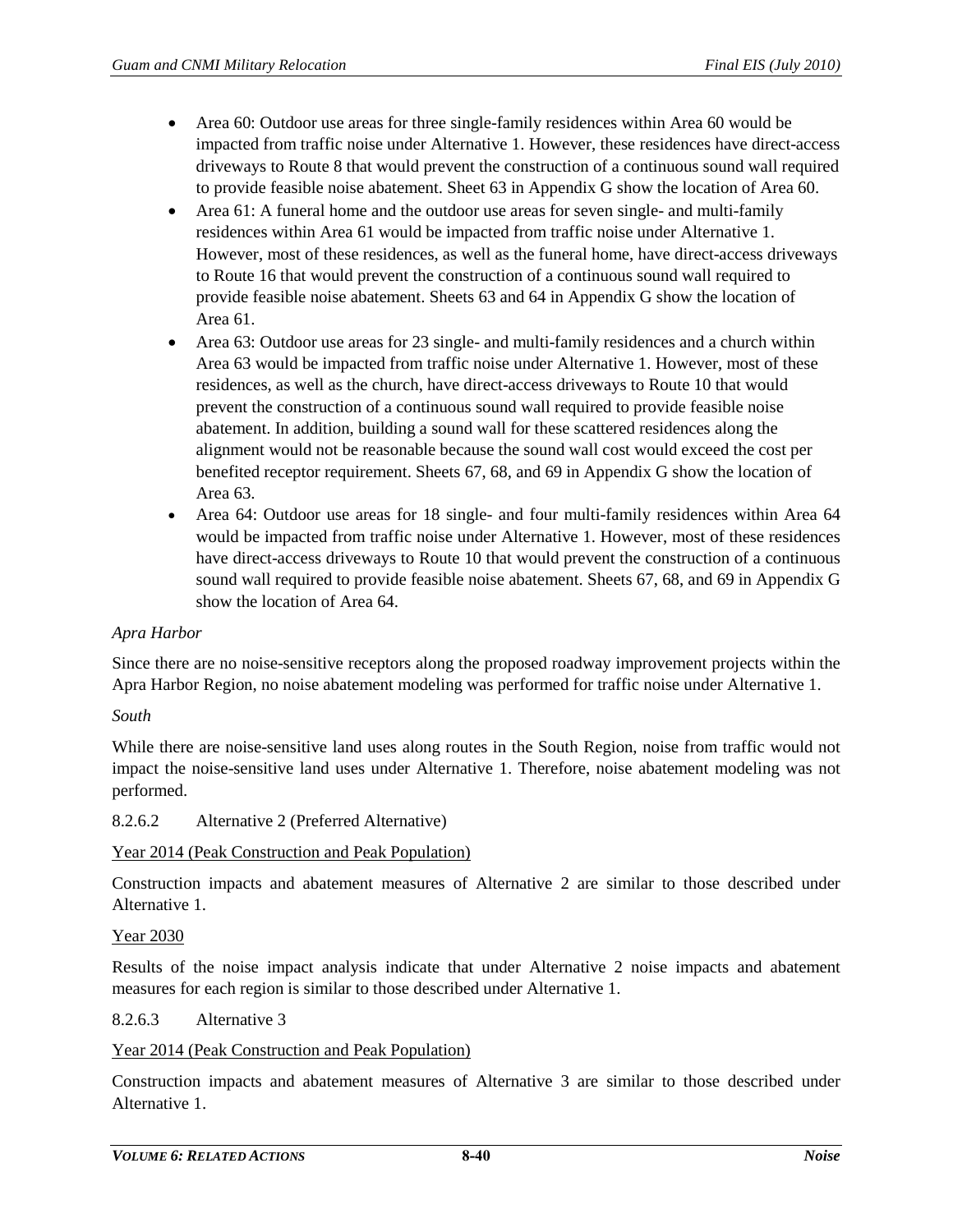- Area 60: Outdoor use areas for three single-family residences within Area 60 would be impacted from traffic noise under Alternative 1. However, these residences have direct-access driveways to Route 8 that would prevent the construction of a continuous sound wall required to provide feasible noise abatement. Sheet 63 in Appendix G show the location of Area 60.
- Area 61: A funeral home and the outdoor use areas for seven single- and multi-family residences within Area 61 would be impacted from traffic noise under Alternative 1. However, most of these residences, as well as the funeral home, have direct-access driveways to Route 16 that would prevent the construction of a continuous sound wall required to provide feasible noise abatement. Sheets 63 and 64 in Appendix G show the location of Area 61.
- Area 63: Outdoor use areas for 23 single- and multi-family residences and a church within Area 63 would be impacted from traffic noise under Alternative 1. However, most of these residences, as well as the church, have direct-access driveways to Route 10 that would prevent the construction of a continuous sound wall required to provide feasible noise abatement. In addition, building a sound wall for these scattered residences along the alignment would not be reasonable because the sound wall cost would exceed the cost per benefited receptor requirement. Sheets 67, 68, and 69 in Appendix G show the location of Area 63.
- Area 64: Outdoor use areas for 18 single- and four multi-family residences within Area 64 would be impacted from traffic noise under Alternative 1. However, most of these residences have direct-access driveways to Route 10 that would prevent the construction of a continuous sound wall required to provide feasible noise abatement. Sheets 67, 68, and 69 in Appendix G show the location of Area 64.

#### *Apra Harbor*

Since there are no noise-sensitive receptors along the proposed roadway improvement projects within the Apra Harbor Region, no noise abatement modeling was performed for traffic noise under Alternative 1.

#### *South*

While there are noise-sensitive land uses along routes in the South Region, noise from traffic would not impact the noise-sensitive land uses under Alternative 1. Therefore, noise abatement modeling was not performed.

#### 8.2.6.2 Alternative 2 (Preferred Alternative)

#### Year 2014 (Peak Construction and Peak Population)

Construction impacts and abatement measures of Alternative 2 are similar to those described under Alternative 1.

#### Year 2030

Results of the noise impact analysis indicate that under Alternative 2 noise impacts and abatement measures for each region is similar to those described under Alternative 1.

#### 8.2.6.3 Alternative 3

#### Year 2014 (Peak Construction and Peak Population)

Construction impacts and abatement measures of Alternative 3 are similar to those described under Alternative 1.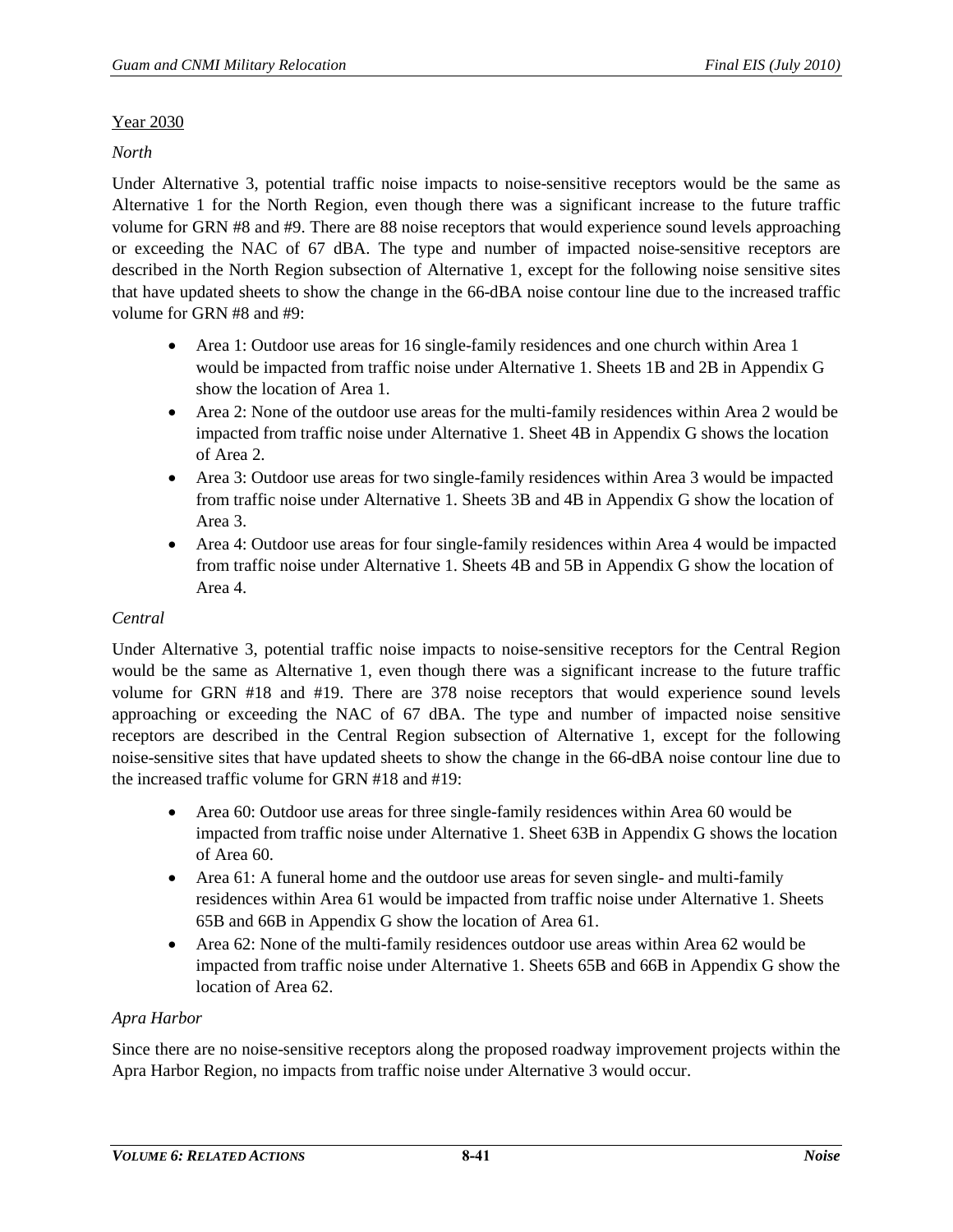## Year 2030

## *North*

Under Alternative 3, potential traffic noise impacts to noise-sensitive receptors would be the same as Alternative 1 for the North Region, even though there was a significant increase to the future traffic volume for GRN #8 and #9. There are 88 noise receptors that would experience sound levels approaching or exceeding the NAC of 67 dBA. The type and number of impacted noise-sensitive receptors are described in the North Region subsection of Alternative 1, except for the following noise sensitive sites that have updated sheets to show the change in the 66-dBA noise contour line due to the increased traffic volume for GRN #8 and #9:

- Area 1: Outdoor use areas for 16 single-family residences and one church within Area 1 would be impacted from traffic noise under Alternative 1. Sheets 1B and 2B in Appendix G show the location of Area 1.
- Area 2: None of the outdoor use areas for the multi-family residences within Area 2 would be impacted from traffic noise under Alternative 1. Sheet 4B in Appendix G shows the location of Area 2.
- Area 3: Outdoor use areas for two single-family residences within Area 3 would be impacted from traffic noise under Alternative 1. Sheets 3B and 4B in Appendix G show the location of Area 3.
- Area 4: Outdoor use areas for four single-family residences within Area 4 would be impacted from traffic noise under Alternative 1. Sheets 4B and 5B in Appendix G show the location of Area 4.

## *Central*

Under Alternative 3, potential traffic noise impacts to noise-sensitive receptors for the Central Region would be the same as Alternative 1, even though there was a significant increase to the future traffic volume for GRN #18 and #19. There are 378 noise receptors that would experience sound levels approaching or exceeding the NAC of 67 dBA. The type and number of impacted noise sensitive receptors are described in the Central Region subsection of Alternative 1, except for the following noise-sensitive sites that have updated sheets to show the change in the 66-dBA noise contour line due to the increased traffic volume for GRN #18 and #19:

- Area 60: Outdoor use areas for three single-family residences within Area 60 would be impacted from traffic noise under Alternative 1. Sheet 63B in Appendix G shows the location of Area 60.
- Area 61: A funeral home and the outdoor use areas for seven single- and multi-family residences within Area 61 would be impacted from traffic noise under Alternative 1. Sheets 65B and 66B in Appendix G show the location of Area 61.
- Area 62: None of the multi-family residences outdoor use areas within Area 62 would be impacted from traffic noise under Alternative 1. Sheets 65B and 66B in Appendix G show the location of Area 62.

# *Apra Harbor*

Since there are no noise-sensitive receptors along the proposed roadway improvement projects within the Apra Harbor Region, no impacts from traffic noise under Alternative 3 would occur.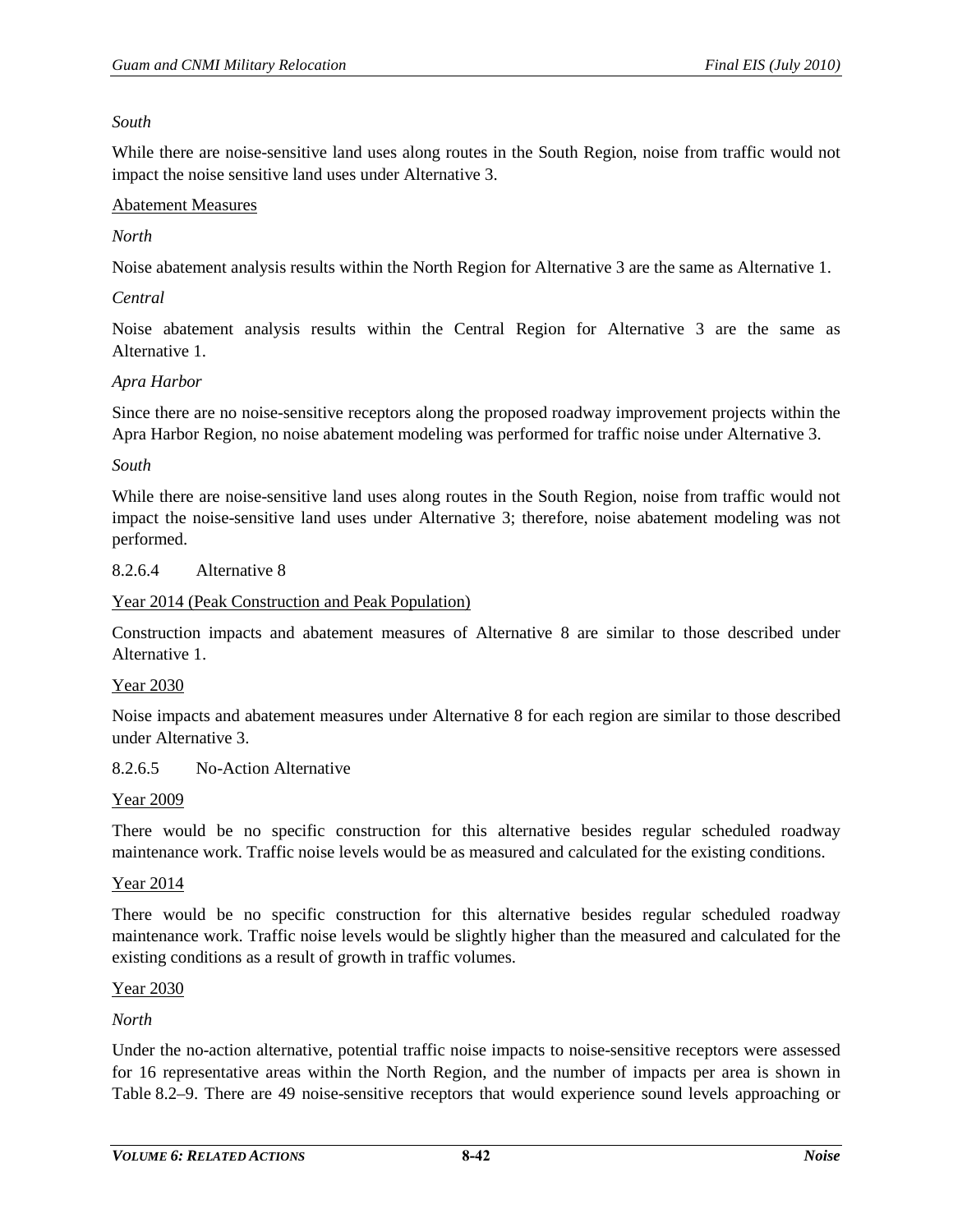#### *South*

While there are noise-sensitive land uses along routes in the South Region, noise from traffic would not impact the noise sensitive land uses under Alternative 3.

#### Abatement Measures

#### *North*

Noise abatement analysis results within the North Region for Alternative 3 are the same as Alternative 1.

#### *Central*

Noise abatement analysis results within the Central Region for Alternative 3 are the same as Alternative 1.

#### *Apra Harbor*

Since there are no noise-sensitive receptors along the proposed roadway improvement projects within the Apra Harbor Region, no noise abatement modeling was performed for traffic noise under Alternative 3.

#### *South*

While there are noise-sensitive land uses along routes in the South Region, noise from traffic would not impact the noise-sensitive land uses under Alternative 3; therefore, noise abatement modeling was not performed.

#### 8.2.6.4 Alternative 8

#### Year 2014 (Peak Construction and Peak Population)

Construction impacts and abatement measures of Alternative 8 are similar to those described under Alternative 1.

#### Year 2030

Noise impacts and abatement measures under Alternative 8 for each region are similar to those described under Alternative 3.

#### 8.2.6.5 No-Action Alternative

#### Year 2009

There would be no specific construction for this alternative besides regular scheduled roadway maintenance work. Traffic noise levels would be as measured and calculated for the existing conditions.

#### Year 2014

There would be no specific construction for this alternative besides regular scheduled roadway maintenance work. Traffic noise levels would be slightly higher than the measured and calculated for the existing conditions as a result of growth in traffic volumes.

#### Year 2030

#### *North*

Under the no-action alternative, potential traffic noise impacts to noise-sensitive receptors were assessed for 16 representative areas within the North Region, and the number of impacts per area is shown in [Table 8.2–9.](#page-13-0) There are 49 noise-sensitive receptors that would experience sound levels approaching or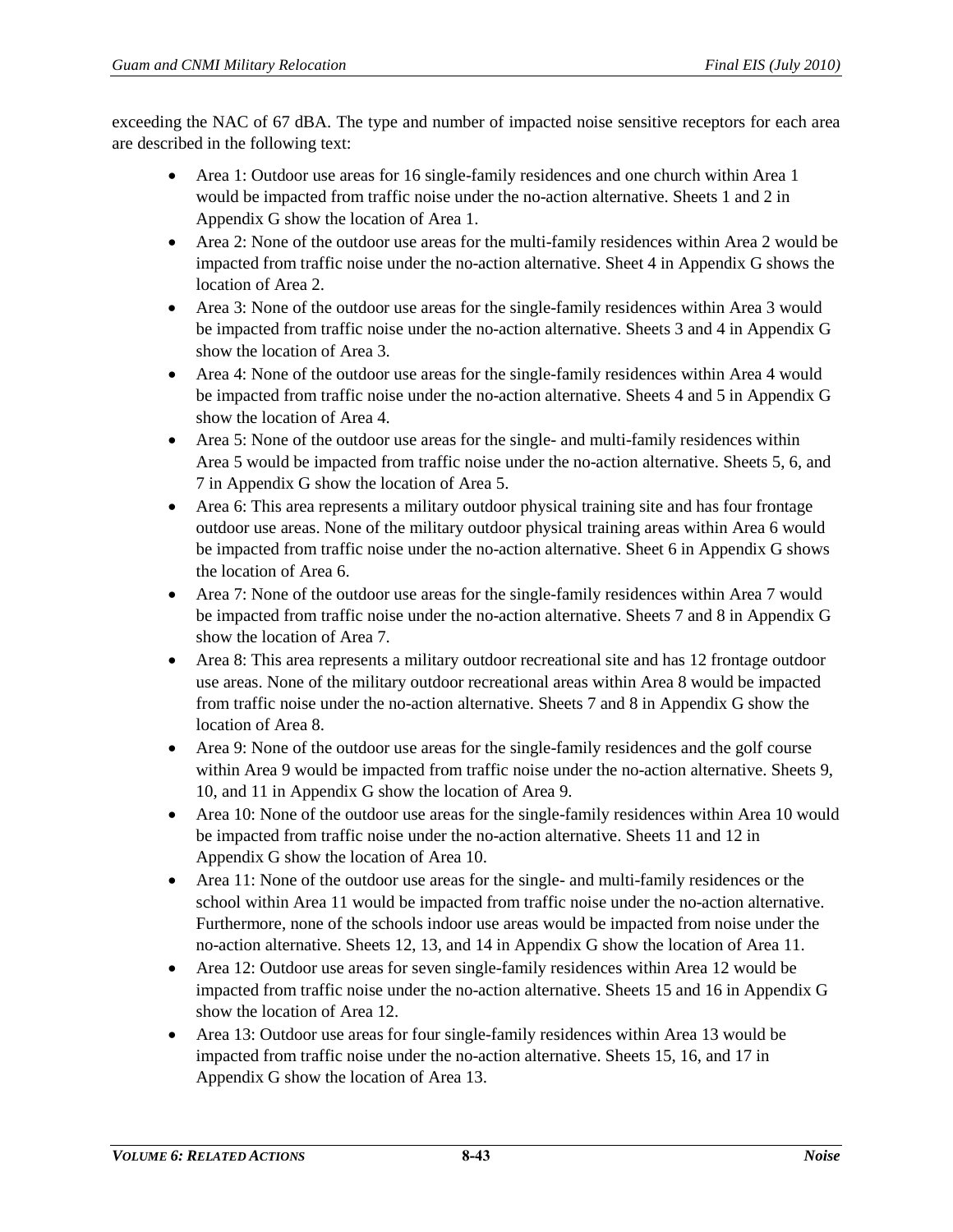exceeding the NAC of 67 dBA. The type and number of impacted noise sensitive receptors for each area are described in the following text:

- Area 1: Outdoor use areas for 16 single-family residences and one church within Area 1 would be impacted from traffic noise under the no-action alternative. Sheets 1 and 2 in Appendix G show the location of Area 1.
- Area 2: None of the outdoor use areas for the multi-family residences within Area 2 would be impacted from traffic noise under the no-action alternative. Sheet 4 in Appendix G shows the location of Area 2.
- Area 3: None of the outdoor use areas for the single-family residences within Area 3 would be impacted from traffic noise under the no-action alternative. Sheets 3 and 4 in Appendix G show the location of Area 3.
- Area 4: None of the outdoor use areas for the single-family residences within Area 4 would be impacted from traffic noise under the no-action alternative. Sheets 4 and 5 in Appendix G show the location of Area 4.
- Area 5: None of the outdoor use areas for the single- and multi-family residences within Area 5 would be impacted from traffic noise under the no-action alternative. Sheets 5, 6, and 7 in Appendix G show the location of Area 5.
- Area 6: This area represents a military outdoor physical training site and has four frontage outdoor use areas. None of the military outdoor physical training areas within Area 6 would be impacted from traffic noise under the no-action alternative. Sheet 6 in Appendix G shows the location of Area 6.
- Area 7: None of the outdoor use areas for the single-family residences within Area 7 would be impacted from traffic noise under the no-action alternative. Sheets 7 and 8 in Appendix G show the location of Area 7.
- Area 8: This area represents a military outdoor recreational site and has 12 frontage outdoor use areas. None of the military outdoor recreational areas within Area 8 would be impacted from traffic noise under the no-action alternative. Sheets 7 and 8 in Appendix G show the location of Area 8.
- Area 9: None of the outdoor use areas for the single-family residences and the golf course within Area 9 would be impacted from traffic noise under the no-action alternative. Sheets 9, 10, and 11 in Appendix G show the location of Area 9.
- Area 10: None of the outdoor use areas for the single-family residences within Area 10 would be impacted from traffic noise under the no-action alternative. Sheets 11 and 12 in Appendix G show the location of Area 10.
- Area 11: None of the outdoor use areas for the single- and multi-family residences or the school within Area 11 would be impacted from traffic noise under the no-action alternative. Furthermore, none of the schools indoor use areas would be impacted from noise under the no-action alternative. Sheets 12, 13, and 14 in Appendix G show the location of Area 11.
- Area 12: Outdoor use areas for seven single-family residences within Area 12 would be impacted from traffic noise under the no-action alternative. Sheets 15 and 16 in Appendix G show the location of Area 12.
- Area 13: Outdoor use areas for four single-family residences within Area 13 would be impacted from traffic noise under the no-action alternative. Sheets 15, 16, and 17 in Appendix G show the location of Area 13.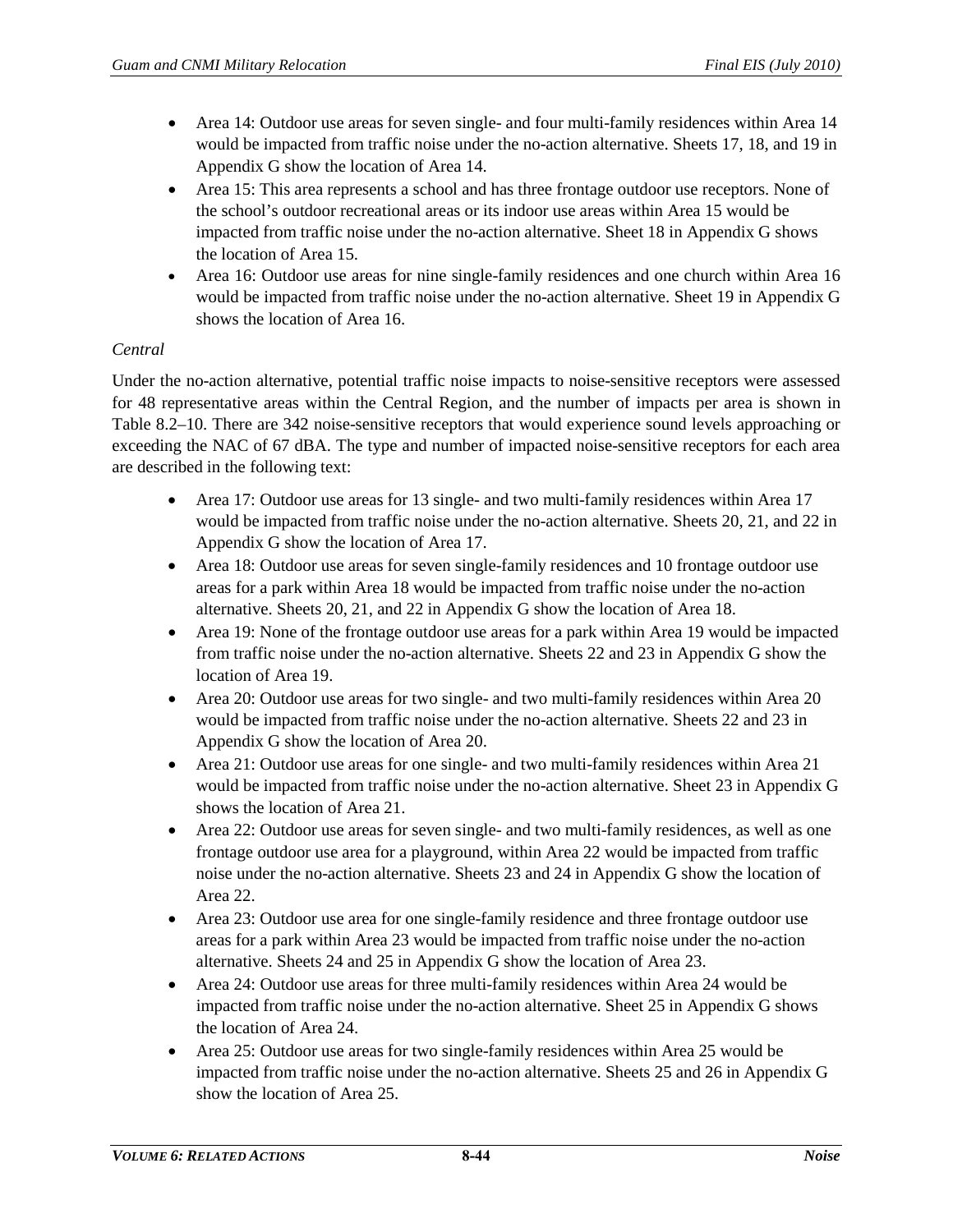- Area 14: Outdoor use areas for seven single- and four multi-family residences within Area 14 would be impacted from traffic noise under the no-action alternative. Sheets 17, 18, and 19 in Appendix G show the location of Area 14.
- Area 15: This area represents a school and has three frontage outdoor use receptors. None of the school's outdoor recreational areas or its indoor use areas within Area 15 would be impacted from traffic noise under the no-action alternative. Sheet 18 in Appendix G shows the location of Area 15.
- Area 16: Outdoor use areas for nine single-family residences and one church within Area 16 would be impacted from traffic noise under the no-action alternative. Sheet 19 in Appendix G shows the location of Area 16.

# *Central*

Under the no-action alternative, potential traffic noise impacts to noise-sensitive receptors were assessed for 48 representative areas within the Central Region, and the number of impacts per area is shown in [Table 8.2–10.](#page-16-0) There are 342 noise-sensitive receptors that would experience sound levels approaching or exceeding the NAC of 67 dBA. The type and number of impacted noise-sensitive receptors for each area are described in the following text:

- Area 17: Outdoor use areas for 13 single- and two multi-family residences within Area 17 would be impacted from traffic noise under the no-action alternative. Sheets 20, 21, and 22 in Appendix G show the location of Area 17.
- Area 18: Outdoor use areas for seven single-family residences and 10 frontage outdoor use areas for a park within Area 18 would be impacted from traffic noise under the no-action alternative. Sheets 20, 21, and 22 in Appendix G show the location of Area 18.
- Area 19: None of the frontage outdoor use areas for a park within Area 19 would be impacted from traffic noise under the no-action alternative. Sheets 22 and 23 in Appendix G show the location of Area 19.
- Area 20: Outdoor use areas for two single- and two multi-family residences within Area 20 would be impacted from traffic noise under the no-action alternative. Sheets 22 and 23 in Appendix G show the location of Area 20.
- Area 21: Outdoor use areas for one single- and two multi-family residences within Area 21 would be impacted from traffic noise under the no-action alternative. Sheet 23 in Appendix G shows the location of Area 21.
- Area 22: Outdoor use areas for seven single- and two multi-family residences, as well as one frontage outdoor use area for a playground, within Area 22 would be impacted from traffic noise under the no-action alternative. Sheets 23 and 24 in Appendix G show the location of Area 22.
- Area 23: Outdoor use area for one single-family residence and three frontage outdoor use areas for a park within Area 23 would be impacted from traffic noise under the no-action alternative. Sheets 24 and 25 in Appendix G show the location of Area 23.
- Area 24: Outdoor use areas for three multi-family residences within Area 24 would be impacted from traffic noise under the no-action alternative. Sheet 25 in Appendix G shows the location of Area 24.
- Area 25: Outdoor use areas for two single-family residences within Area 25 would be impacted from traffic noise under the no-action alternative. Sheets 25 and 26 in Appendix G show the location of Area 25.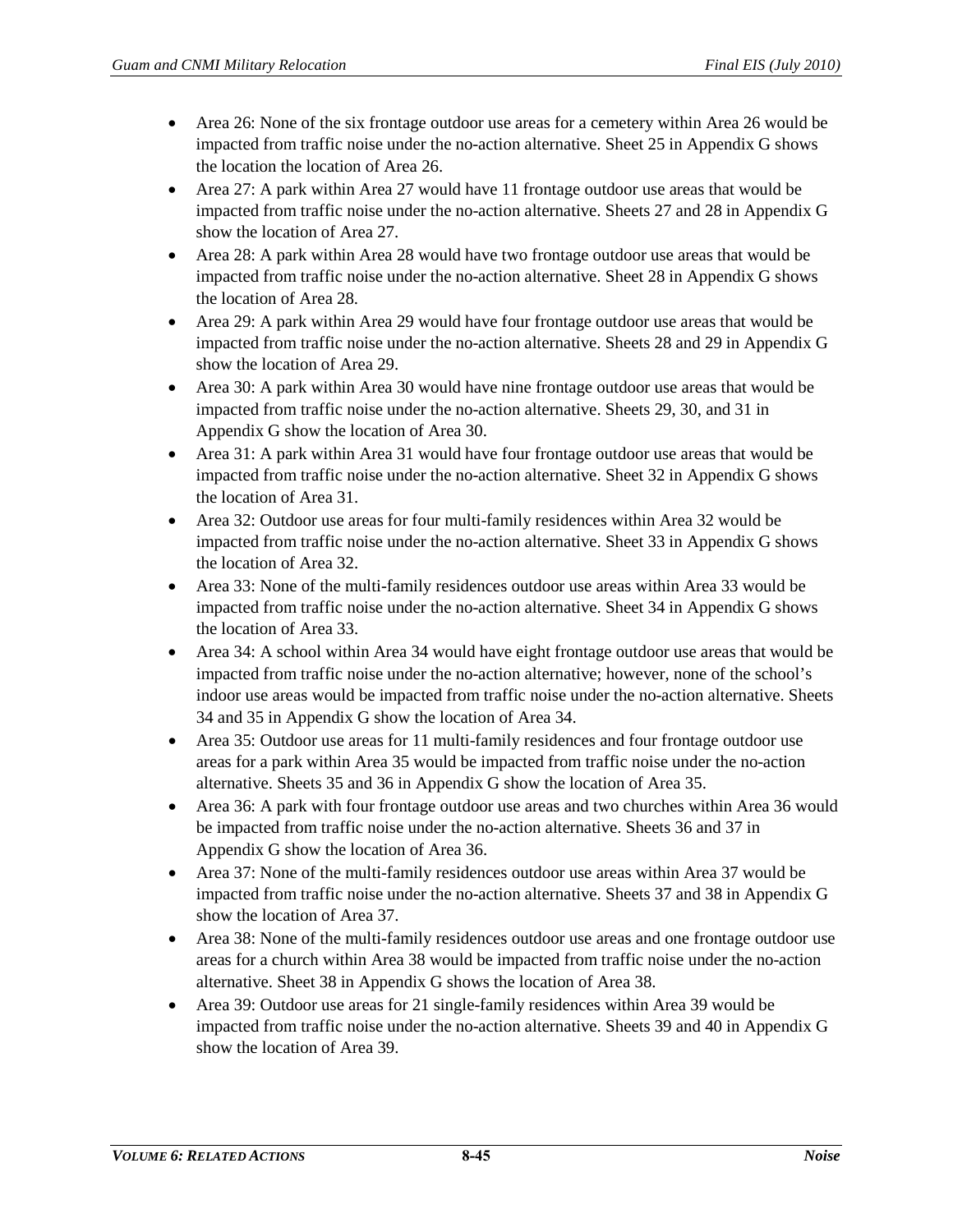- Area 26: None of the six frontage outdoor use areas for a cemetery within Area 26 would be impacted from traffic noise under the no-action alternative. Sheet 25 in Appendix G shows the location the location of Area 26.
- Area 27: A park within Area 27 would have 11 frontage outdoor use areas that would be impacted from traffic noise under the no-action alternative. Sheets 27 and 28 in Appendix G show the location of Area 27.
- Area 28: A park within Area 28 would have two frontage outdoor use areas that would be impacted from traffic noise under the no-action alternative. Sheet 28 in Appendix G shows the location of Area 28.
- Area 29: A park within Area 29 would have four frontage outdoor use areas that would be impacted from traffic noise under the no-action alternative. Sheets 28 and 29 in Appendix G show the location of Area 29.
- Area 30: A park within Area 30 would have nine frontage outdoor use areas that would be impacted from traffic noise under the no-action alternative. Sheets 29, 30, and 31 in Appendix G show the location of Area 30.
- Area 31: A park within Area 31 would have four frontage outdoor use areas that would be impacted from traffic noise under the no-action alternative. Sheet 32 in Appendix G shows the location of Area 31.
- Area 32: Outdoor use areas for four multi-family residences within Area 32 would be impacted from traffic noise under the no-action alternative. Sheet 33 in Appendix G shows the location of Area 32.
- Area 33: None of the multi-family residences outdoor use areas within Area 33 would be impacted from traffic noise under the no-action alternative. Sheet 34 in Appendix G shows the location of Area 33.
- Area 34: A school within Area 34 would have eight frontage outdoor use areas that would be impacted from traffic noise under the no-action alternative; however, none of the school's indoor use areas would be impacted from traffic noise under the no-action alternative. Sheets 34 and 35 in Appendix G show the location of Area 34.
- Area 35: Outdoor use areas for 11 multi-family residences and four frontage outdoor use areas for a park within Area 35 would be impacted from traffic noise under the no-action alternative. Sheets 35 and 36 in Appendix G show the location of Area 35.
- Area 36: A park with four frontage outdoor use areas and two churches within Area 36 would be impacted from traffic noise under the no-action alternative. Sheets 36 and 37 in Appendix G show the location of Area 36.
- Area 37: None of the multi-family residences outdoor use areas within Area 37 would be impacted from traffic noise under the no-action alternative. Sheets 37 and 38 in Appendix G show the location of Area 37.
- Area 38: None of the multi-family residences outdoor use areas and one frontage outdoor use areas for a church within Area 38 would be impacted from traffic noise under the no-action alternative. Sheet 38 in Appendix G shows the location of Area 38.
- Area 39: Outdoor use areas for 21 single-family residences within Area 39 would be impacted from traffic noise under the no-action alternative. Sheets 39 and 40 in Appendix G show the location of Area 39.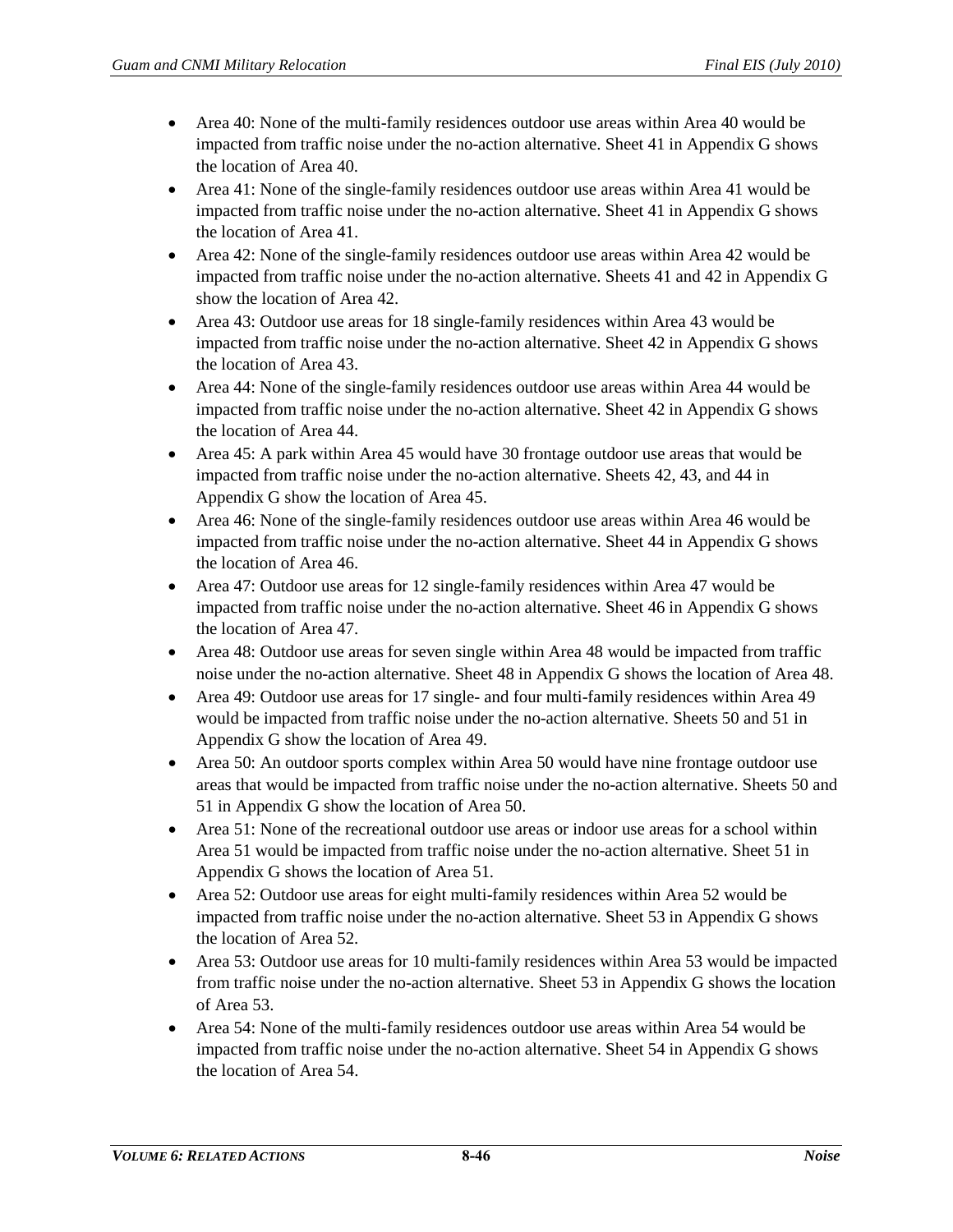- Area 40: None of the multi-family residences outdoor use areas within Area 40 would be impacted from traffic noise under the no-action alternative. Sheet 41 in Appendix G shows the location of Area 40.
- Area 41: None of the single-family residences outdoor use areas within Area 41 would be impacted from traffic noise under the no-action alternative. Sheet 41 in Appendix G shows the location of Area 41.
- Area 42: None of the single-family residences outdoor use areas within Area 42 would be impacted from traffic noise under the no-action alternative. Sheets 41 and 42 in Appendix G show the location of Area 42.
- Area 43: Outdoor use areas for 18 single-family residences within Area 43 would be impacted from traffic noise under the no-action alternative. Sheet 42 in Appendix G shows the location of Area 43.
- Area 44: None of the single-family residences outdoor use areas within Area 44 would be impacted from traffic noise under the no-action alternative. Sheet 42 in Appendix G shows the location of Area 44.
- Area 45: A park within Area 45 would have 30 frontage outdoor use areas that would be impacted from traffic noise under the no-action alternative. Sheets 42, 43, and 44 in Appendix G show the location of Area 45.
- Area 46: None of the single-family residences outdoor use areas within Area 46 would be impacted from traffic noise under the no-action alternative. Sheet 44 in Appendix G shows the location of Area 46.
- Area 47: Outdoor use areas for 12 single-family residences within Area 47 would be impacted from traffic noise under the no-action alternative. Sheet 46 in Appendix G shows the location of Area 47.
- Area 48: Outdoor use areas for seven single within Area 48 would be impacted from traffic noise under the no-action alternative. Sheet 48 in Appendix G shows the location of Area 48.
- Area 49: Outdoor use areas for 17 single- and four multi-family residences within Area 49 would be impacted from traffic noise under the no-action alternative. Sheets 50 and 51 in Appendix G show the location of Area 49.
- Area 50: An outdoor sports complex within Area 50 would have nine frontage outdoor use areas that would be impacted from traffic noise under the no-action alternative. Sheets 50 and 51 in Appendix G show the location of Area 50.
- Area 51: None of the recreational outdoor use areas or indoor use areas for a school within Area 51 would be impacted from traffic noise under the no-action alternative. Sheet 51 in Appendix G shows the location of Area 51.
- Area 52: Outdoor use areas for eight multi-family residences within Area 52 would be impacted from traffic noise under the no-action alternative. Sheet 53 in Appendix G shows the location of Area 52.
- Area 53: Outdoor use areas for 10 multi-family residences within Area 53 would be impacted from traffic noise under the no-action alternative. Sheet 53 in Appendix G shows the location of Area 53.
- Area 54: None of the multi-family residences outdoor use areas within Area 54 would be impacted from traffic noise under the no-action alternative. Sheet 54 in Appendix G shows the location of Area 54.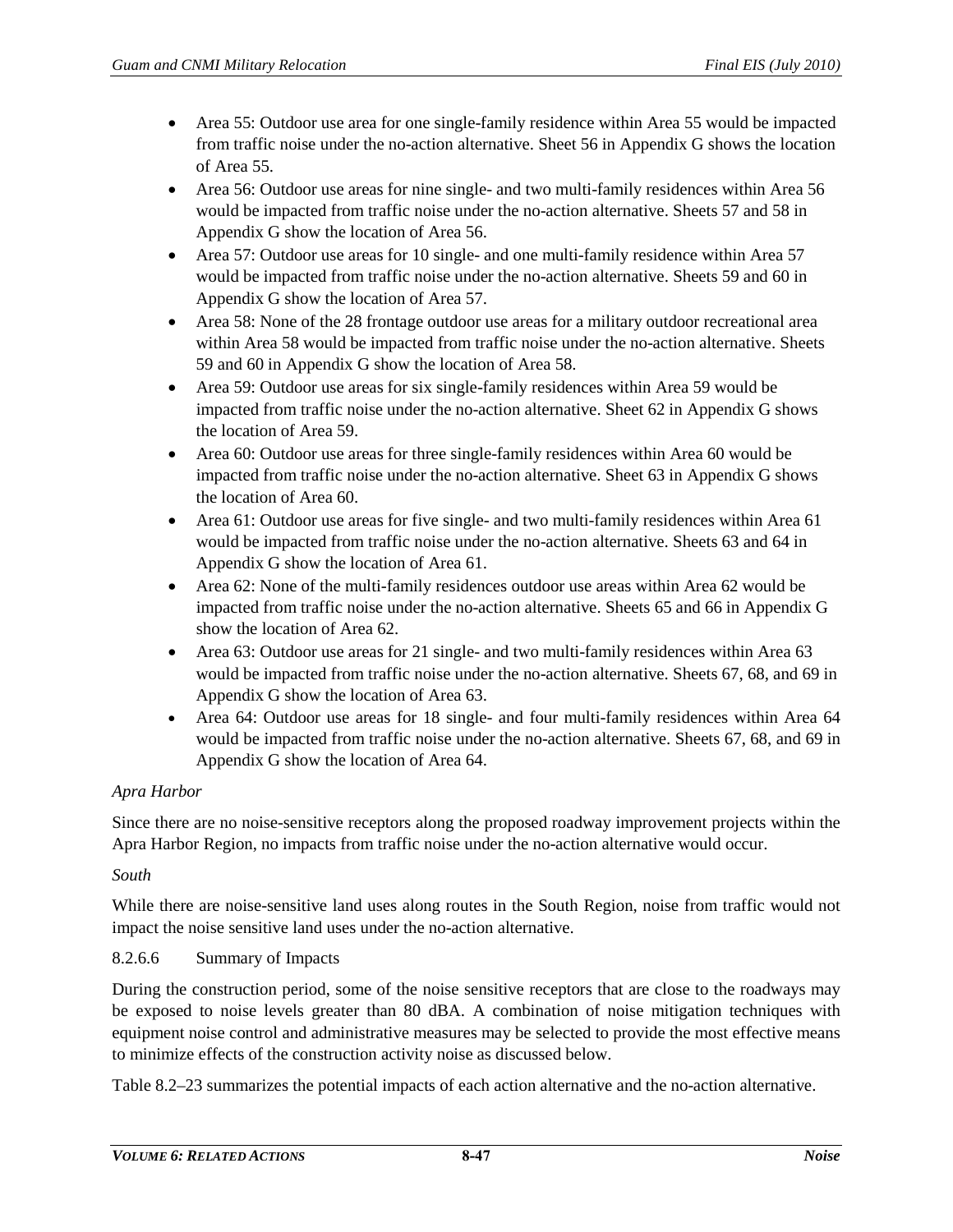- Area 55: Outdoor use area for one single-family residence within Area 55 would be impacted from traffic noise under the no-action alternative. Sheet 56 in Appendix G shows the location of Area 55.
- Area 56: Outdoor use areas for nine single- and two multi-family residences within Area 56 would be impacted from traffic noise under the no-action alternative. Sheets 57 and 58 in Appendix G show the location of Area 56.
- Area 57: Outdoor use areas for 10 single- and one multi-family residence within Area 57 would be impacted from traffic noise under the no-action alternative. Sheets 59 and 60 in Appendix G show the location of Area 57.
- Area 58: None of the 28 frontage outdoor use areas for a military outdoor recreational area within Area 58 would be impacted from traffic noise under the no-action alternative. Sheets 59 and 60 in Appendix G show the location of Area 58.
- Area 59: Outdoor use areas for six single-family residences within Area 59 would be impacted from traffic noise under the no-action alternative. Sheet 62 in Appendix G shows the location of Area 59.
- Area 60: Outdoor use areas for three single-family residences within Area 60 would be impacted from traffic noise under the no-action alternative. Sheet 63 in Appendix G shows the location of Area 60.
- Area 61: Outdoor use areas for five single- and two multi-family residences within Area 61 would be impacted from traffic noise under the no-action alternative. Sheets 63 and 64 in Appendix G show the location of Area 61.
- Area 62: None of the multi-family residences outdoor use areas within Area 62 would be impacted from traffic noise under the no-action alternative. Sheets 65 and 66 in Appendix G show the location of Area 62.
- Area 63: Outdoor use areas for 21 single- and two multi-family residences within Area 63 would be impacted from traffic noise under the no-action alternative. Sheets 67, 68, and 69 in Appendix G show the location of Area 63.
- Area 64: Outdoor use areas for 18 single- and four multi-family residences within Area 64 would be impacted from traffic noise under the no-action alternative. Sheets 67, 68, and 69 in Appendix G show the location of Area 64.

# *Apra Harbor*

Since there are no noise-sensitive receptors along the proposed roadway improvement projects within the Apra Harbor Region, no impacts from traffic noise under the no-action alternative would occur.

## *South*

While there are noise-sensitive land uses along routes in the South Region, noise from traffic would not impact the noise sensitive land uses under the no-action alternative.

## 8.2.6.6 Summary of Impacts

During the construction period, some of the noise sensitive receptors that are close to the roadways may be exposed to noise levels greater than 80 dBA. A combination of noise mitigation techniques with equipment noise control and administrative measures may be selected to provide the most effective means to minimize effects of the construction activity noise as discussed below.

[Table 8.2–23](#page-47-0) summarizes the potential impacts of each action alternative and the no-action alternative.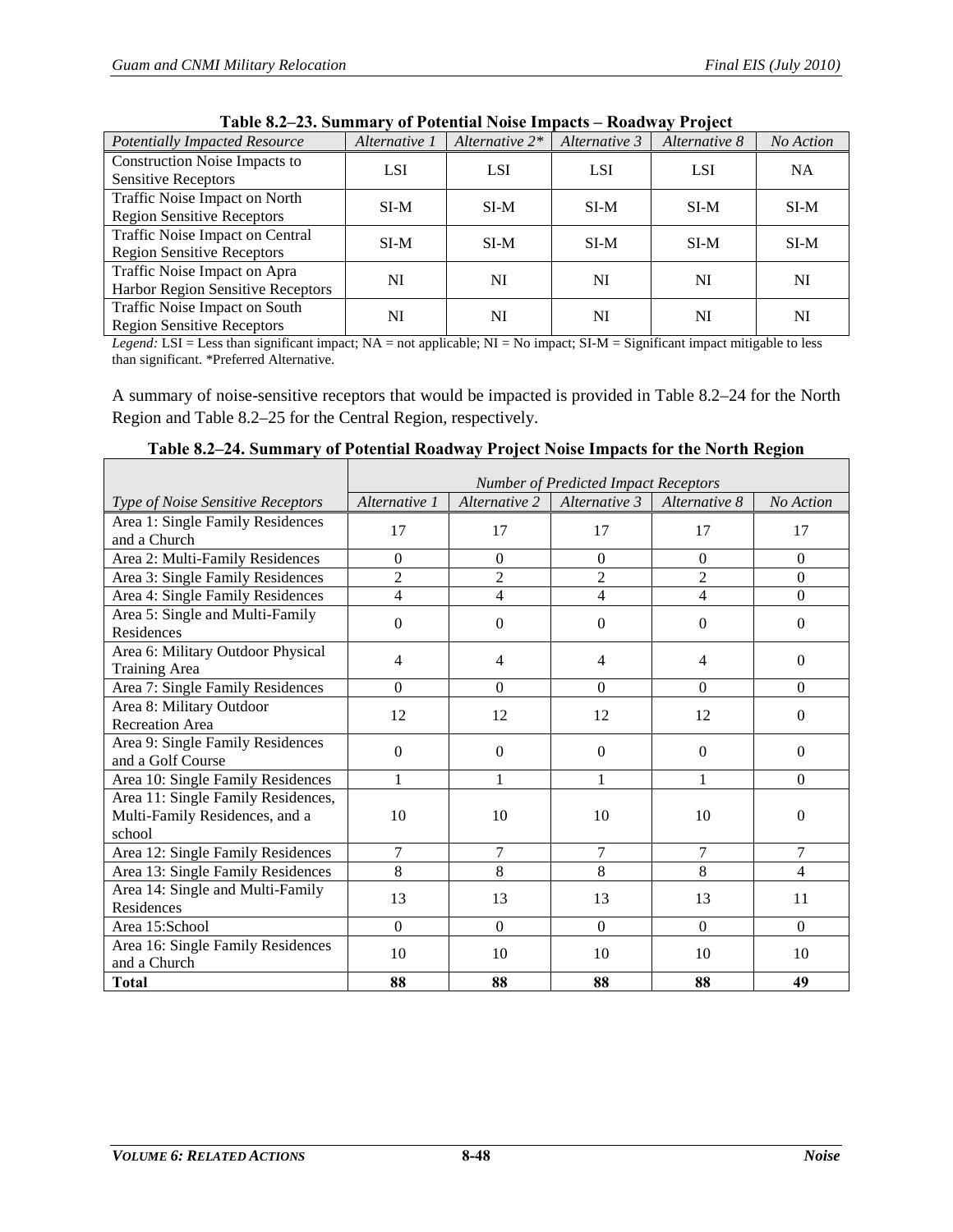<span id="page-47-0"></span>

| 1 apre 014 - 201 Summar , 01 1 ottimar 1 oldt miljatto<br>1101111111111101000 |               |                   |               |               |           |  |  |  |
|-------------------------------------------------------------------------------|---------------|-------------------|---------------|---------------|-----------|--|--|--|
| <b>Potentially Impacted Resource</b>                                          | Alternative 1 | Alternative $2^*$ | Alternative 3 | Alternative 8 | No Action |  |  |  |
| <b>Construction Noise Impacts to</b>                                          | <b>LSI</b>    | <b>LSI</b>        | <b>LSI</b>    | <b>LSI</b>    | <b>NA</b> |  |  |  |
| <b>Sensitive Receptors</b>                                                    |               |                   |               |               |           |  |  |  |
| Traffic Noise Impact on North                                                 | $SI-M$        | $SI-M$            | $SI-M$        | SI-M          | $SI-M$    |  |  |  |
| <b>Region Sensitive Receptors</b>                                             |               |                   |               |               |           |  |  |  |
| Traffic Noise Impact on Central                                               | $SI-M$        | $SI-M$            | $SI-M$        | $SI-M$        | $SI-M$    |  |  |  |
| <b>Region Sensitive Receptors</b>                                             |               |                   |               |               |           |  |  |  |
| Traffic Noise Impact on Apra                                                  | NI            | NI                | NI            | NI            | NI        |  |  |  |
| Harbor Region Sensitive Receptors                                             |               |                   |               |               |           |  |  |  |
| Traffic Noise Impact on South                                                 | NI            | NI                | NI            | NI            | NI        |  |  |  |
| <b>Region Sensitive Receptors</b>                                             |               |                   |               |               |           |  |  |  |

**Table 8.2–23. Summary of Potential Noise Impacts – Roadway Project** 

*Legend:* LSI = Less than significant impact; NA = not applicable; NI = No impact; SI-M = Significant impact mitigable to less than significant. \*Preferred Alternative.

A summary of noise-sensitive receptors that would be impacted is provided in [Table 8.2–24](#page-47-1) for the North Region and [Table 8.2–25](#page-48-0) for the Central Region, respectively.

<span id="page-47-1"></span>

|                                                                                | <b>Number of Predicted Impact Receptors</b> |                |                |                  |                |  |  |
|--------------------------------------------------------------------------------|---------------------------------------------|----------------|----------------|------------------|----------------|--|--|
| Type of Noise Sensitive Receptors                                              | Alternative 1                               | Alternative 2  | Alternative 3  | Alternative 8    | No Action      |  |  |
| Area 1: Single Family Residences<br>and a Church                               | 17                                          | 17             | 17             | 17               | 17             |  |  |
| Area 2: Multi-Family Residences                                                | $\theta$                                    | $\Omega$       | $\Omega$       | $\Omega$         | $\Omega$       |  |  |
| Area 3: Single Family Residences                                               | $\overline{2}$                              | $\overline{2}$ | $\overline{2}$ | $\overline{2}$   | $\overline{0}$ |  |  |
| Area 4: Single Family Residences                                               | $\overline{\mathcal{L}}$                    | $\overline{4}$ | $\overline{4}$ | 4                | $\Omega$       |  |  |
| Area 5: Single and Multi-Family<br>Residences                                  | $\Omega$                                    | $\Omega$       | $\Omega$       | $\boldsymbol{0}$ | $\theta$       |  |  |
| Area 6: Military Outdoor Physical<br><b>Training Area</b>                      | 4                                           | 4              | 4              | 4                | $\Omega$       |  |  |
| Area 7: Single Family Residences                                               | $\Omega$                                    | $\Omega$       | $\Omega$       | $\Omega$         | $\Omega$       |  |  |
| Area 8: Military Outdoor<br><b>Recreation Area</b>                             | 12                                          | 12             | 12             | 12               | $\Omega$       |  |  |
| Area 9: Single Family Residences<br>and a Golf Course                          | $\Omega$                                    | $\Omega$       | $\Omega$       | $\Omega$         | $\Omega$       |  |  |
| Area 10: Single Family Residences                                              | 1                                           | 1              | 1              | 1                | $\Omega$       |  |  |
| Area 11: Single Family Residences,<br>Multi-Family Residences, and a<br>school | 10                                          | 10             | 10             | 10               | $\mathbf{0}$   |  |  |
| Area 12: Single Family Residences                                              | $\overline{7}$                              | 7              | 7              | $\tau$           | 7              |  |  |
| Area 13: Single Family Residences                                              | 8                                           | 8              | 8              | 8                | $\overline{4}$ |  |  |
| Area 14: Single and Multi-Family<br>Residences                                 | 13                                          | 13             | 13             | 13               | 11             |  |  |
| Area 15:School                                                                 | $\Omega$                                    | $\Omega$       | $\Omega$       | $\Omega$         | $\Omega$       |  |  |
| Area 16: Single Family Residences<br>and a Church                              | 10                                          | 10             | 10             | 10               | 10             |  |  |
| <b>Total</b>                                                                   | 88                                          | 88             | 88             | 88               | 49             |  |  |

|  | Table 8.2-24. Summary of Potential Roadway Project Noise Impacts for the North Region |
|--|---------------------------------------------------------------------------------------|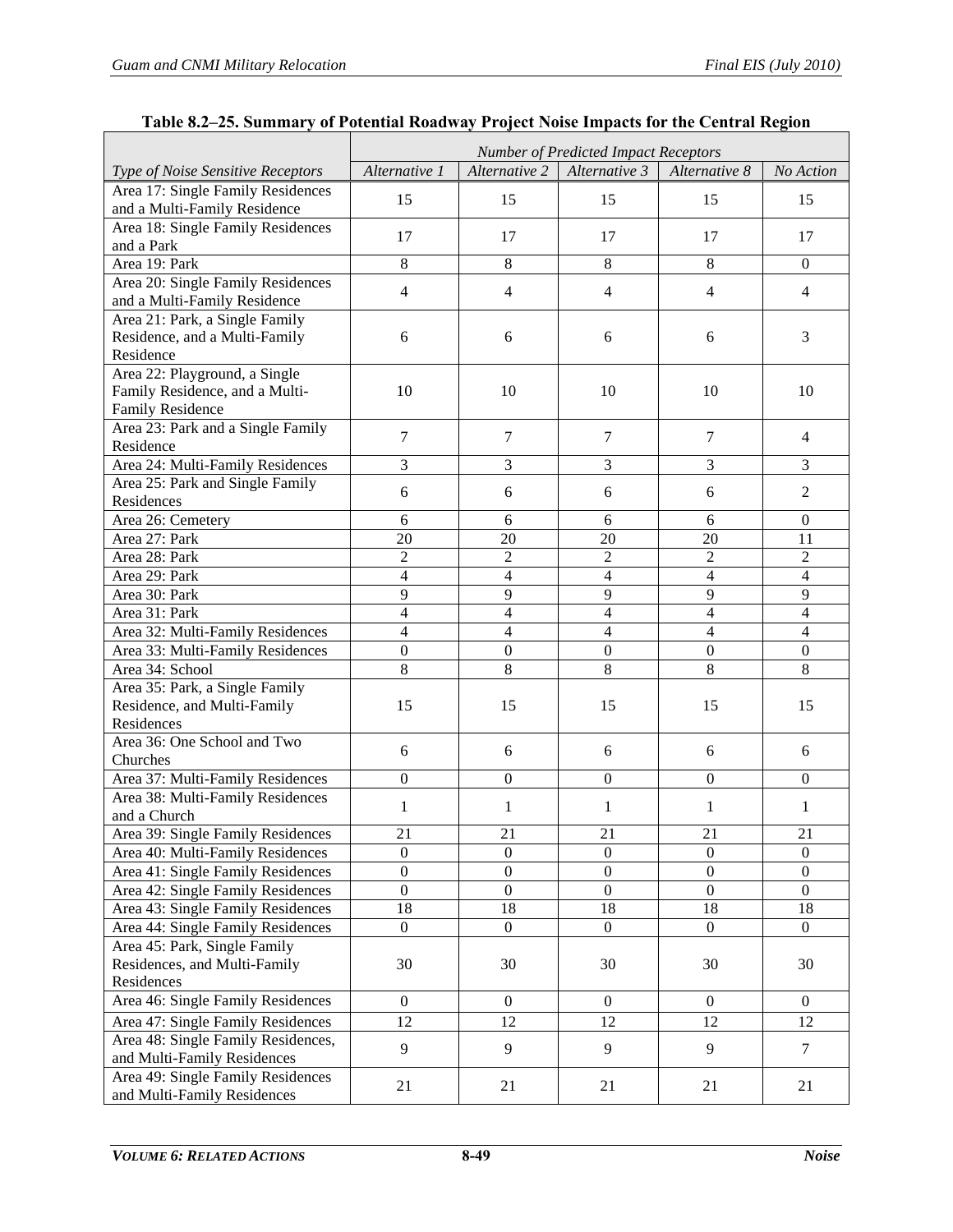<span id="page-48-0"></span> $\mathbf{r}$ 

|                                                                  | <b>Number of Predicted Impact Receptors</b> |                         |                  |                  |                  |  |  |  |
|------------------------------------------------------------------|---------------------------------------------|-------------------------|------------------|------------------|------------------|--|--|--|
| Type of Noise Sensitive Receptors                                | Alternative 1                               | Alternative 2           | Alternative 3    | Alternative 8    | No Action        |  |  |  |
| Area 17: Single Family Residences                                | 15                                          | 15                      | 15               | 15               | 15               |  |  |  |
| and a Multi-Family Residence                                     |                                             |                         |                  |                  |                  |  |  |  |
| Area 18: Single Family Residences                                | 17                                          | 17                      | 17               | 17               | 17               |  |  |  |
| and a Park                                                       |                                             |                         |                  |                  |                  |  |  |  |
| Area 19: Park                                                    | 8                                           | 8                       | 8                | 8                | $\overline{0}$   |  |  |  |
| Area 20: Single Family Residences                                | $\overline{4}$                              | $\overline{4}$          | $\overline{4}$   | $\overline{4}$   | $\overline{4}$   |  |  |  |
| and a Multi-Family Residence                                     |                                             |                         |                  |                  |                  |  |  |  |
| Area 21: Park, a Single Family                                   |                                             |                         |                  |                  |                  |  |  |  |
| Residence, and a Multi-Family                                    | 6                                           | 6                       | 6                | 6                | 3                |  |  |  |
| Residence                                                        |                                             |                         |                  |                  |                  |  |  |  |
| Area 22: Playground, a Single                                    |                                             |                         |                  |                  |                  |  |  |  |
| Family Residence, and a Multi-                                   | 10                                          | 10                      | 10               | 10               | 10               |  |  |  |
| <b>Family Residence</b>                                          |                                             |                         |                  |                  |                  |  |  |  |
| Area 23: Park and a Single Family<br>Residence                   | $\overline{7}$                              | $\tau$                  | $\overline{7}$   | $\tau$           | $\overline{4}$   |  |  |  |
| Area 24: Multi-Family Residences                                 | 3                                           | 3                       | 3                | 3                | 3                |  |  |  |
| Area 25: Park and Single Family                                  |                                             |                         |                  |                  |                  |  |  |  |
| Residences                                                       | 6                                           | 6                       | 6                | 6                | $\overline{2}$   |  |  |  |
| Area 26: Cemetery                                                | 6                                           | 6                       | 6                | 6                | $\boldsymbol{0}$ |  |  |  |
| Area 27: Park                                                    | 20                                          | 20                      | 20               | $\overline{20}$  | 11               |  |  |  |
| Area 28: Park                                                    | $\overline{2}$                              | $\overline{2}$          | $\overline{2}$   | $\overline{2}$   | $\boldsymbol{2}$ |  |  |  |
| Area 29: Park                                                    | $\overline{4}$                              | 4                       | $\overline{4}$   | $\overline{4}$   | $\overline{4}$   |  |  |  |
| Area 30: Park                                                    | $\overline{9}$                              | $\overline{9}$          | $\overline{9}$   | $\overline{9}$   | $\overline{9}$   |  |  |  |
| Area 31: Park                                                    | $\overline{4}$                              | $\overline{\mathbf{4}}$ | $\overline{4}$   | $\overline{4}$   | $\overline{4}$   |  |  |  |
| Area 32: Multi-Family Residences                                 | $\overline{4}$                              | 4                       | $\overline{4}$   | $\overline{4}$   | $\overline{4}$   |  |  |  |
| Area 33: Multi-Family Residences                                 | $\boldsymbol{0}$                            | $\boldsymbol{0}$        | $\boldsymbol{0}$ | $\boldsymbol{0}$ | $\boldsymbol{0}$ |  |  |  |
| Area 34: School                                                  | $\overline{8}$                              | $\overline{8}$          | $\overline{8}$   | $\overline{8}$   | $\overline{8}$   |  |  |  |
| Area 35: Park, a Single Family                                   |                                             |                         |                  |                  |                  |  |  |  |
| Residence, and Multi-Family                                      | 15                                          | 15                      | 15               | 15               | 15               |  |  |  |
| Residences                                                       |                                             |                         |                  |                  |                  |  |  |  |
| Area 36: One School and Two                                      | 6                                           | 6                       | 6                | 6                | 6                |  |  |  |
| Churches                                                         |                                             |                         |                  |                  |                  |  |  |  |
| Area 37: Multi-Family Residences                                 | $\overline{0}$                              | $\boldsymbol{0}$        | $\boldsymbol{0}$ | $\Omega$         | $\boldsymbol{0}$ |  |  |  |
| Area 38: Multi-Family Residences                                 | $\mathbf{1}$                                | 1                       | 1                | 1                | 1                |  |  |  |
| and a Church                                                     |                                             |                         |                  |                  |                  |  |  |  |
| Area 39: Single Family Residences                                | 21                                          | 21                      | 21               | 21               | 21               |  |  |  |
| Area 40: Multi-Family Residences                                 | $\boldsymbol{0}$                            | $\boldsymbol{0}$        | $\boldsymbol{0}$ | $\boldsymbol{0}$ | $\boldsymbol{0}$ |  |  |  |
| Area 41: Single Family Residences                                | $\boldsymbol{0}$                            | $\boldsymbol{0}$        | $\boldsymbol{0}$ | $\overline{0}$   | $\boldsymbol{0}$ |  |  |  |
| Area 42: Single Family Residences                                | $\boldsymbol{0}$                            | $\boldsymbol{0}$        | $\boldsymbol{0}$ | $\boldsymbol{0}$ | $\boldsymbol{0}$ |  |  |  |
| Area 43: Single Family Residences                                | 18                                          | 18                      | 18               | 18               | 18               |  |  |  |
| Area 44: Single Family Residences                                | $\boldsymbol{0}$                            | $\boldsymbol{0}$        | $\overline{0}$   | $\overline{0}$   | $\overline{0}$   |  |  |  |
| Area 45: Park, Single Family                                     |                                             |                         |                  |                  |                  |  |  |  |
| Residences, and Multi-Family                                     | 30                                          | 30                      | 30               | 30               | 30               |  |  |  |
| Residences                                                       |                                             |                         |                  |                  |                  |  |  |  |
| Area 46: Single Family Residences                                | $\boldsymbol{0}$                            | $\mathbf{0}$            | $\overline{0}$   | $\overline{0}$   | $\mathbf{0}$     |  |  |  |
| Area 47: Single Family Residences                                | 12                                          | 12                      | 12               | 12               | 12               |  |  |  |
| Area 48: Single Family Residences,                               | 9                                           | 9                       | 9                | 9                | $\tau$           |  |  |  |
| and Multi-Family Residences                                      |                                             |                         |                  |                  |                  |  |  |  |
| Area 49: Single Family Residences<br>and Multi-Family Residences | 21                                          | 21                      | 21               | 21               | 21               |  |  |  |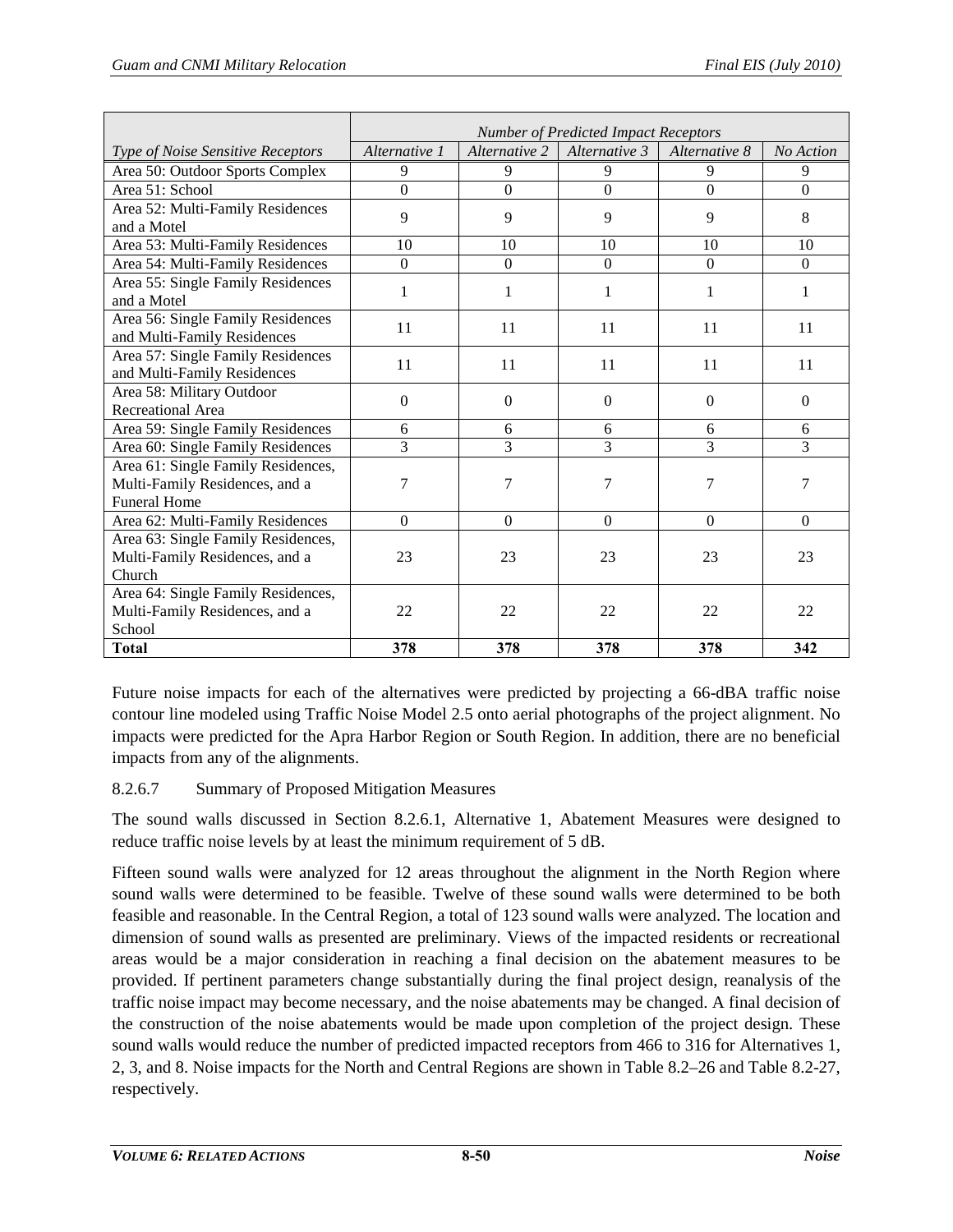|                                                                                             | <b>Number of Predicted Impact Receptors</b> |                  |                |                |           |  |  |
|---------------------------------------------------------------------------------------------|---------------------------------------------|------------------|----------------|----------------|-----------|--|--|
| Type of Noise Sensitive Receptors                                                           | Alternative 1                               | Alternative 2    | Alternative 3  | Alternative 8  | No Action |  |  |
| Area 50: Outdoor Sports Complex                                                             | 9                                           | 9                | 9              | 9              | 9         |  |  |
| Area 51: School                                                                             | $\Omega$                                    | $\theta$         | $\Omega$       | $\Omega$       | $\Omega$  |  |  |
| Area 52: Multi-Family Residences<br>and a Motel                                             | 9                                           | 9                | 9              | 9              | 8         |  |  |
| Area 53: Multi-Family Residences                                                            | 10                                          | 10               | 10             | 10             | 10        |  |  |
| Area 54: Multi-Family Residences                                                            | $\theta$                                    | $\Omega$         | $\Omega$       | $\Omega$       | $\Omega$  |  |  |
| Area 55: Single Family Residences<br>and a Motel                                            | 1                                           | 1                | 1              | 1              | 1         |  |  |
| Area 56: Single Family Residences<br>and Multi-Family Residences                            | 11                                          | 11               | 11             | 11             | 11        |  |  |
| Area 57: Single Family Residences<br>and Multi-Family Residences                            | 11                                          | 11               | 11             | 11             | 11        |  |  |
| Area 58: Military Outdoor<br>Recreational Area                                              | $\overline{0}$                              | $\Omega$         | $\Omega$       | $\Omega$       | $\Omega$  |  |  |
| Area 59: Single Family Residences                                                           | 6                                           | 6                | 6              | 6              | 6         |  |  |
| Area 60: Single Family Residences                                                           | $\overline{3}$                              | 3                | 3              | 3              | 3         |  |  |
| Area 61: Single Family Residences,<br>Multi-Family Residences, and a<br><b>Funeral Home</b> | 7                                           | $\overline{7}$   | $\overline{7}$ | $\overline{7}$ | 7         |  |  |
| Area 62: Multi-Family Residences                                                            | $\Omega$                                    | $\boldsymbol{0}$ | $\mathbf{0}$   | $\Omega$       | $\Omega$  |  |  |
| Area 63: Single Family Residences,<br>Multi-Family Residences, and a<br>Church              | 23                                          | 23               | 23             | 23             | 23        |  |  |
| Area 64: Single Family Residences,<br>Multi-Family Residences, and a<br>School              | 22                                          | 22               | 22             | 22             | 22        |  |  |
| <b>Total</b>                                                                                | 378                                         | 378              | 378            | 378            | 342       |  |  |

Future noise impacts for each of the alternatives were predicted by projecting a 66-dBA traffic noise contour line modeled using Traffic Noise Model 2.5 onto aerial photographs of the project alignment. No impacts were predicted for the Apra Harbor Region or South Region. In addition, there are no beneficial impacts from any of the alignments.

## 8.2.6.7 Summary of Proposed Mitigation Measures

The sound walls discussed in Section [8.2.6.1,](#page-11-1) Alternative 1, Abatement Measures were designed to reduce traffic noise levels by at least the minimum requirement of 5 dB.

Fifteen sound walls were analyzed for 12 areas throughout the alignment in the North Region where sound walls were determined to be feasible. Twelve of these sound walls were determined to be both feasible and reasonable. In the Central Region, a total of 123 sound walls were analyzed. The location and dimension of sound walls as presented are preliminary. Views of the impacted residents or recreational areas would be a major consideration in reaching a final decision on the abatement measures to be provided. If pertinent parameters change substantially during the final project design, reanalysis of the traffic noise impact may become necessary, and the noise abatements may be changed. A final decision of the construction of the noise abatements would be made upon completion of the project design. These sound walls would reduce the number of predicted impacted receptors from 466 to 316 for Alternatives 1, 2, 3, and 8. Noise impacts for the North and Central Regions are shown in [Table 8.2–26](#page-50-0) and [Table 8.2-27,](#page-51-0) respectively.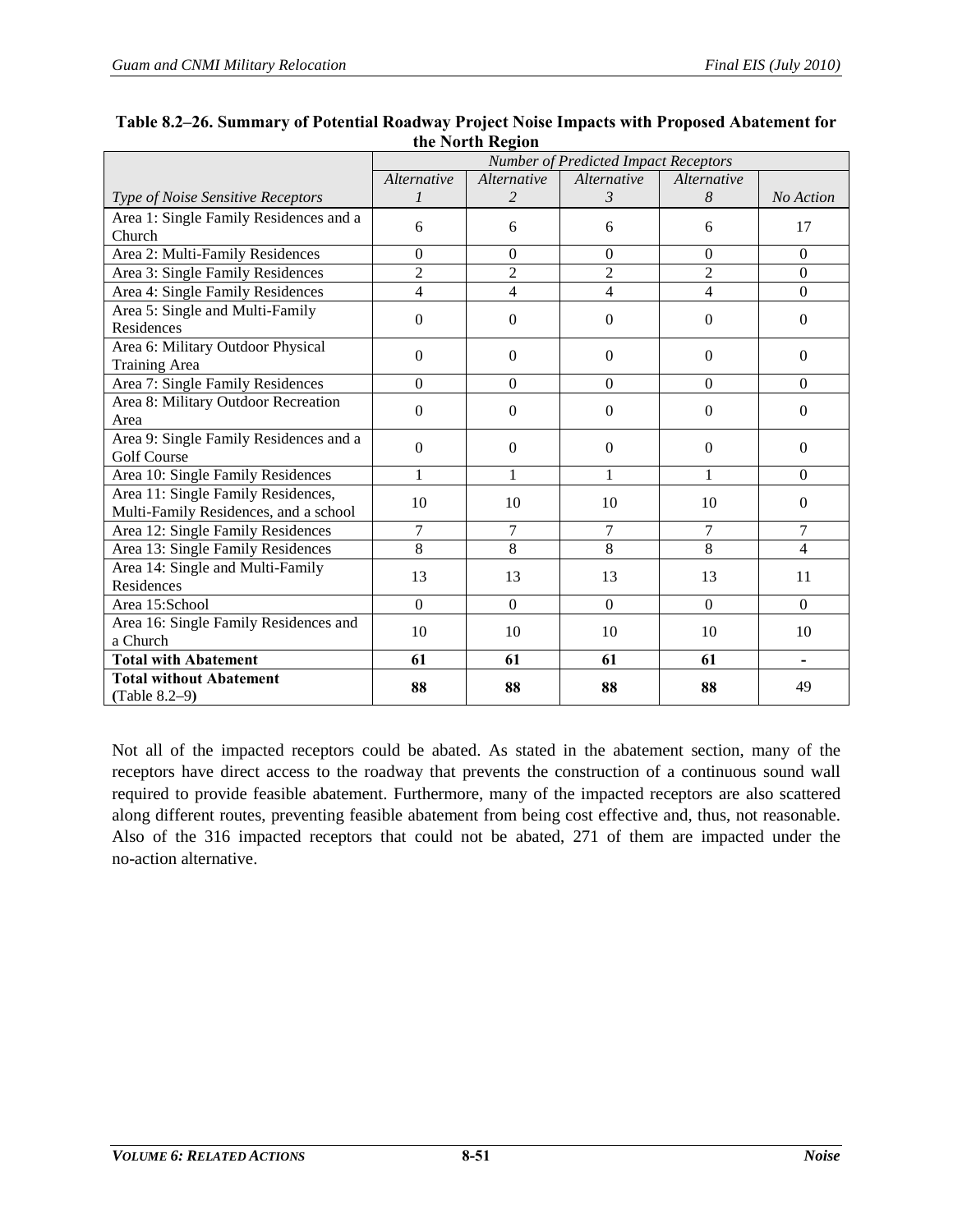|                                                           | Number of Predicted Impact Receptors |                    |                  |                  |                  |  |  |
|-----------------------------------------------------------|--------------------------------------|--------------------|------------------|------------------|------------------|--|--|
|                                                           | <i>Alternative</i>                   | <i>Alternative</i> | Alternative      | Alternative      |                  |  |  |
| Type of Noise Sensitive Receptors                         |                                      | $\overline{2}$     | $\mathcal{E}$    | 8                | No Action        |  |  |
| Area 1: Single Family Residences and a                    | 6                                    | 6                  | 6                | 6                | 17               |  |  |
| Church                                                    |                                      |                    |                  |                  |                  |  |  |
| Area 2: Multi-Family Residences                           | $\overline{0}$                       | $\Omega$           | $\boldsymbol{0}$ | $\mathbf{0}$     | $\mathbf{0}$     |  |  |
| Area 3: Single Family Residences                          | $\overline{c}$                       | $\overline{2}$     | 2                | $\overline{2}$   | $\boldsymbol{0}$ |  |  |
| Area 4: Single Family Residences                          | $\overline{4}$                       | $\overline{4}$     | $\overline{4}$   | $\overline{4}$   | $\boldsymbol{0}$ |  |  |
| Area 5: Single and Multi-Family<br>Residences             | $\Omega$                             | $\Omega$           | $\Omega$         | $\Omega$         | $\mathbf{0}$     |  |  |
| Area 6: Military Outdoor Physical<br><b>Training Area</b> | $\Omega$                             | $\Omega$           | $\Omega$         | $\mathbf{0}$     | $\Omega$         |  |  |
| Area 7: Single Family Residences                          | $\Omega$                             | $\Omega$           | $\Omega$         | $\Omega$         | $\Omega$         |  |  |
| Area 8: Military Outdoor Recreation                       | $\Omega$                             | $\Omega$           | $\theta$         | $\Omega$         | $\boldsymbol{0}$ |  |  |
| Area                                                      |                                      |                    |                  |                  |                  |  |  |
| Area 9: Single Family Residences and a                    | $\Omega$                             | $\Omega$           | $\Omega$         | $\Omega$         | $\mathbf{0}$     |  |  |
| <b>Golf Course</b>                                        |                                      |                    |                  |                  |                  |  |  |
| Area 10: Single Family Residences                         | 1                                    | 1                  | 1                | $\mathbf{1}$     | $\Omega$         |  |  |
| Area 11: Single Family Residences,                        | 10                                   | 10                 | 10               | 10               | $\mathbf{0}$     |  |  |
| Multi-Family Residences, and a school                     |                                      |                    |                  |                  |                  |  |  |
| Area 12: Single Family Residences                         | 7                                    | 7                  | 7                | 7                | 7                |  |  |
| Area 13: Single Family Residences                         | 8                                    | 8                  | 8                | 8                | $\overline{4}$   |  |  |
| Area 14: Single and Multi-Family                          | 13                                   | 13                 | 13               | 13               | 11               |  |  |
| Residences                                                |                                      |                    |                  |                  |                  |  |  |
| Area 15:School                                            | $\Omega$                             | $\Omega$           | $\boldsymbol{0}$ | $\boldsymbol{0}$ | $\boldsymbol{0}$ |  |  |
| Area 16: Single Family Residences and<br>a Church         | 10                                   | 10                 | 10               | 10               | 10               |  |  |
| <b>Total with Abatement</b>                               | 61                                   | 61                 | 61               | 61               | ۰                |  |  |
| <b>Total without Abatement</b><br>(Table $8.2-9$ )        | 88                                   | 88                 | 88               | 88               | 49               |  |  |

#### <span id="page-50-0"></span>**Table 8.2–26. Summary of Potential Roadway Project Noise Impacts with Proposed Abatement for the North Region**

Not all of the impacted receptors could be abated. As stated in the abatement section, many of the receptors have direct access to the roadway that prevents the construction of a continuous sound wall required to provide feasible abatement. Furthermore, many of the impacted receptors are also scattered along different routes, preventing feasible abatement from being cost effective and, thus, not reasonable. Also of the 316 impacted receptors that could not be abated, 271 of them are impacted under the no-action alternative.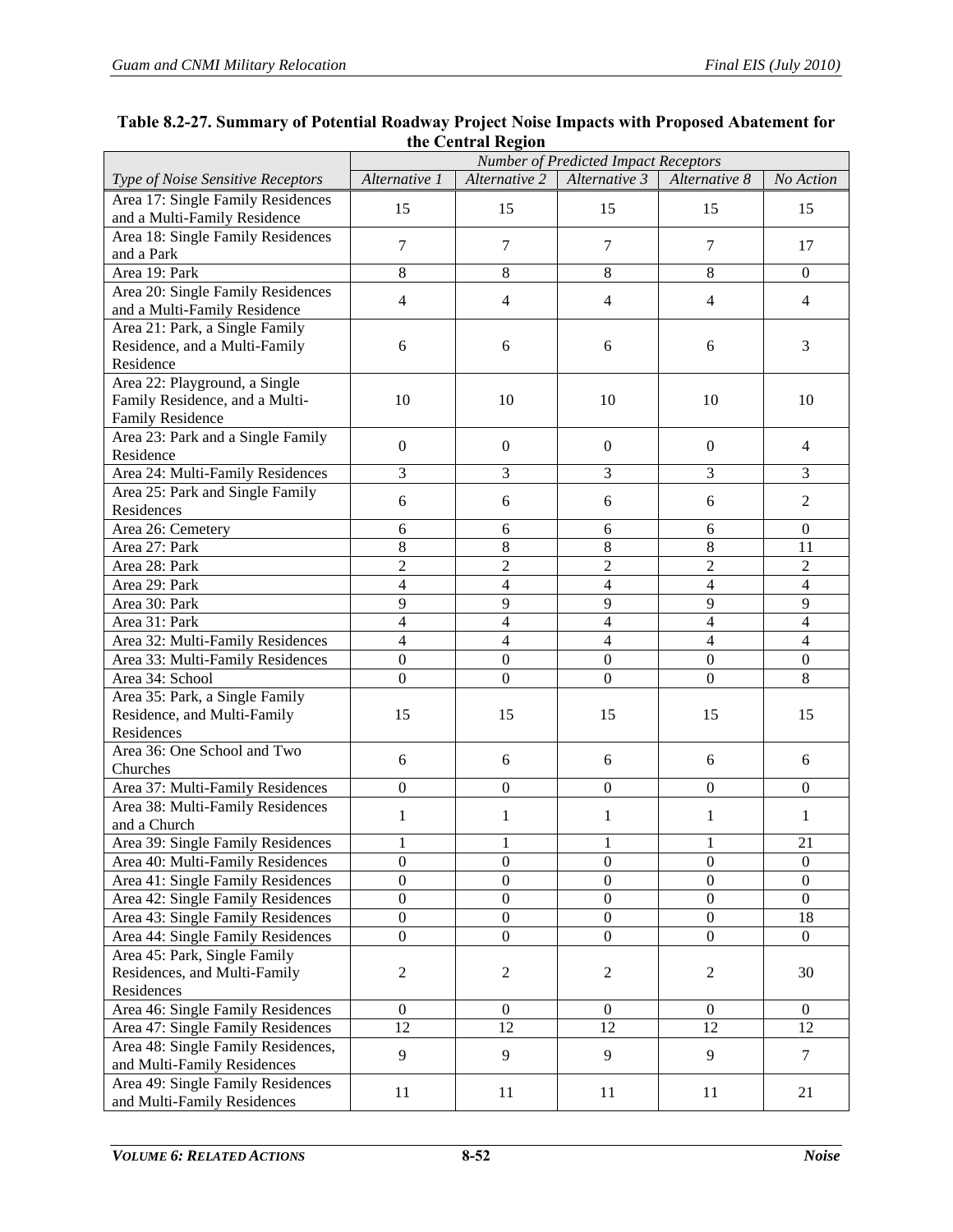|                                                                                            | Number of Predicted Impact Receptors |                  |                  |                  |                          |  |  |  |
|--------------------------------------------------------------------------------------------|--------------------------------------|------------------|------------------|------------------|--------------------------|--|--|--|
| Type of Noise Sensitive Receptors                                                          | Alternative 1                        | Alternative 2    | Alternative 3    | Alternative 8    | No Action                |  |  |  |
| Area 17: Single Family Residences                                                          | 15                                   | 15               | 15               | 15               | 15                       |  |  |  |
| and a Multi-Family Residence                                                               |                                      |                  |                  |                  |                          |  |  |  |
| Area 18: Single Family Residences<br>and a Park                                            | $\tau$                               | $\tau$           | $\tau$           | $\tau$           | 17                       |  |  |  |
| Area 19: Park                                                                              | 8                                    | $\,8\,$          | 8                | 8                | $\mathbf{0}$             |  |  |  |
| Area 20: Single Family Residences                                                          |                                      |                  |                  |                  |                          |  |  |  |
| and a Multi-Family Residence                                                               | $\overline{4}$                       | $\overline{4}$   | $\overline{4}$   | $\overline{4}$   | $\overline{4}$           |  |  |  |
| Area 21: Park, a Single Family<br>Residence, and a Multi-Family<br>Residence               | 6                                    | 6                | 6                | 6                | 3                        |  |  |  |
| Area 22: Playground, a Single<br>Family Residence, and a Multi-<br><b>Family Residence</b> | 10                                   | 10               | 10               | 10               | 10                       |  |  |  |
| Area 23: Park and a Single Family<br>Residence                                             | $\overline{0}$                       | $\mathbf{0}$     | $\overline{0}$   | $\boldsymbol{0}$ | 4                        |  |  |  |
| Area 24: Multi-Family Residences                                                           | 3                                    | 3                | 3                | $\overline{3}$   | 3                        |  |  |  |
| Area 25: Park and Single Family                                                            | 6                                    | 6                | 6                | 6                | $\overline{2}$           |  |  |  |
| Residences                                                                                 |                                      |                  |                  |                  |                          |  |  |  |
| Area 26: Cemetery                                                                          | 6                                    | 6                | 6                | 6                | $\mathbf{0}$             |  |  |  |
| Area 27: Park                                                                              | 8                                    | 8                | 8                | 8                | 11                       |  |  |  |
| Area 28: Park                                                                              | $\overline{c}$                       | $\mathfrak 2$    | $\overline{c}$   | $\overline{c}$   | $\overline{c}$           |  |  |  |
| Area 29: Park                                                                              | $\overline{4}$                       | $\overline{4}$   | $\overline{4}$   | $\overline{4}$   | $\overline{\mathcal{L}}$ |  |  |  |
| Area 30: Park                                                                              | 9                                    | 9                | 9                | 9                | 9                        |  |  |  |
| Area 31: Park                                                                              | $\overline{\mathcal{L}}$             | 4                | $\overline{4}$   | $\overline{4}$   | 4                        |  |  |  |
| Area 32: Multi-Family Residences                                                           | $\overline{4}$                       | $\overline{4}$   | $\overline{4}$   | $\overline{4}$   | 4                        |  |  |  |
| Area 33: Multi-Family Residences                                                           | $\boldsymbol{0}$                     | $\boldsymbol{0}$ | $\boldsymbol{0}$ | $\boldsymbol{0}$ | $\boldsymbol{0}$         |  |  |  |
| Area 34: School                                                                            | $\overline{0}$                       | $\boldsymbol{0}$ | $\overline{0}$   | $\overline{0}$   | 8                        |  |  |  |
| Area 35: Park, a Single Family<br>Residence, and Multi-Family<br>Residences                | 15                                   | 15               | 15               | 15               | 15                       |  |  |  |
| Area 36: One School and Two<br>Churches                                                    | 6                                    | 6                | 6                | 6                | 6                        |  |  |  |
| Area 37: Multi-Family Residences                                                           | $\boldsymbol{0}$                     | $\mathbf{0}$     | $\overline{0}$   | $\Omega$         | $\mathbf{0}$             |  |  |  |
| Area 38: Multi-Family Residences<br>and a Church                                           | $\mathbf{1}$                         | $\mathbf{1}$     | 1                | 1                | 1                        |  |  |  |
| Area 39: Single Family Residences                                                          |                                      |                  |                  |                  | 21                       |  |  |  |
| Area 40: Multi-Family Residences                                                           | 0                                    | $\boldsymbol{0}$ | $\boldsymbol{0}$ | $\boldsymbol{0}$ | $\boldsymbol{0}$         |  |  |  |
| Area 41: Single Family Residences                                                          | $\boldsymbol{0}$                     | $\boldsymbol{0}$ | $\boldsymbol{0}$ | $\boldsymbol{0}$ | $\overline{0}$           |  |  |  |
| Area 42: Single Family Residences                                                          | $\boldsymbol{0}$                     | $\boldsymbol{0}$ | $\boldsymbol{0}$ | $\boldsymbol{0}$ | $\boldsymbol{0}$         |  |  |  |
| Area 43: Single Family Residences                                                          | $\boldsymbol{0}$                     | $\boldsymbol{0}$ | $\boldsymbol{0}$ | $\boldsymbol{0}$ | 18                       |  |  |  |
| Area 44: Single Family Residences                                                          | $\boldsymbol{0}$                     | $\boldsymbol{0}$ | $\boldsymbol{0}$ | $\overline{0}$   | $\Omega$                 |  |  |  |
| Area 45: Park, Single Family<br>Residences, and Multi-Family                               | 2                                    | $\sqrt{2}$       | $\overline{2}$   | $\overline{c}$   | 30                       |  |  |  |
| Residences                                                                                 |                                      |                  |                  |                  |                          |  |  |  |
| Area 46: Single Family Residences                                                          | $\boldsymbol{0}$                     | $\boldsymbol{0}$ | $\boldsymbol{0}$ | $\boldsymbol{0}$ | $\boldsymbol{0}$         |  |  |  |
| Area 47: Single Family Residences                                                          | 12                                   | 12               | 12               | 12               | 12                       |  |  |  |
| Area 48: Single Family Residences,<br>and Multi-Family Residences                          | 9                                    | 9                | 9                | 9                | 7                        |  |  |  |
| Area 49: Single Family Residences<br>and Multi-Family Residences                           | 11                                   | 11               | 11               | 11               | 21                       |  |  |  |

#### <span id="page-51-0"></span>**Table 8.2-27. Summary of Potential Roadway Project Noise Impacts with Proposed Abatement for the Central Region**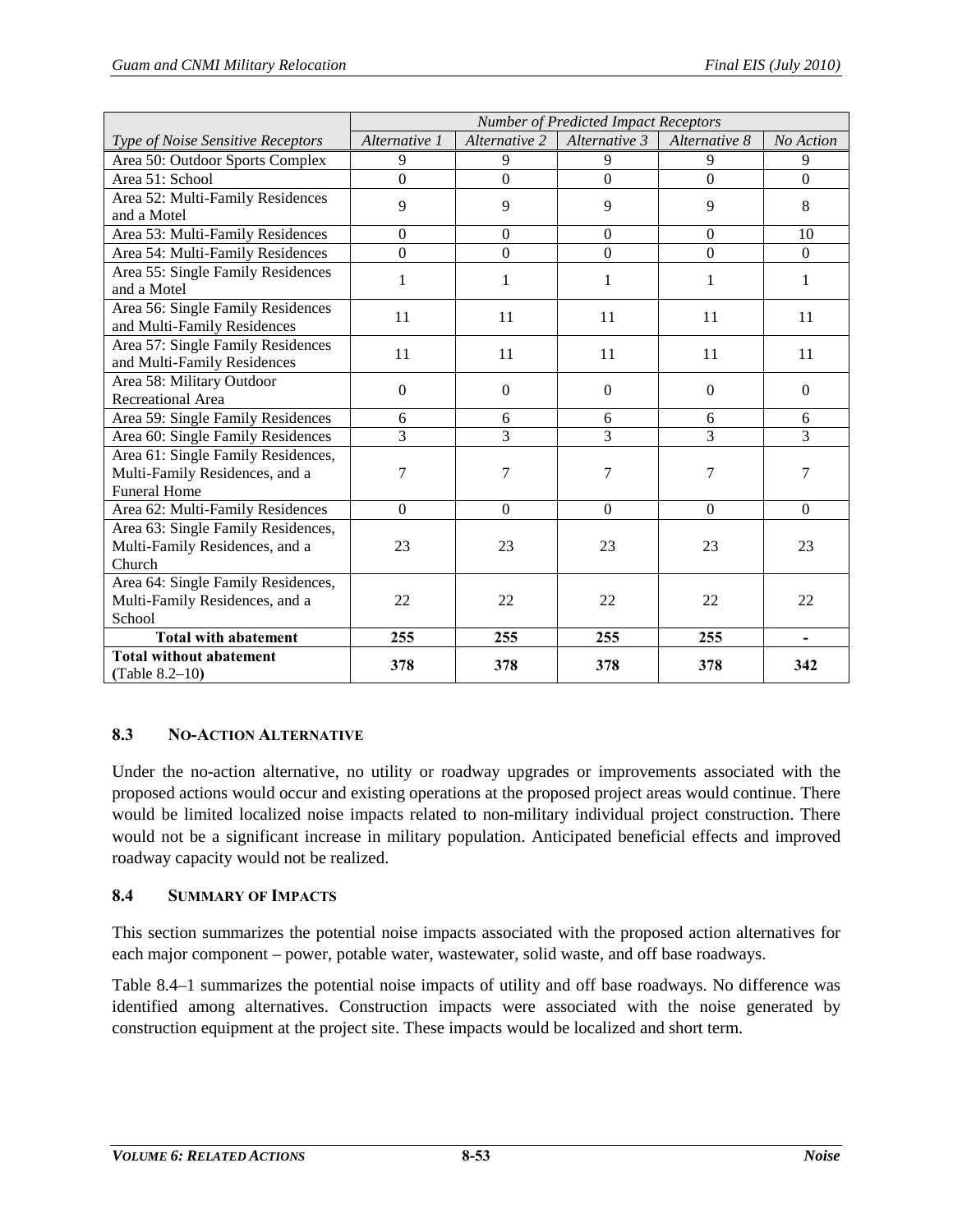|                                                     | <b>Number of Predicted Impact Receptors</b> |                  |                |               |                |  |  |
|-----------------------------------------------------|---------------------------------------------|------------------|----------------|---------------|----------------|--|--|
| Type of Noise Sensitive Receptors                   | Alternative 1                               | Alternative 2    | Alternative 3  | Alternative 8 | No Action      |  |  |
| Area 50: Outdoor Sports Complex                     | 9                                           | 9                | 9              | 9             | 9              |  |  |
| Area 51: School                                     | $\overline{0}$                              | $\overline{0}$   | $\overline{0}$ | $\Omega$      | $\overline{0}$ |  |  |
| Area 52: Multi-Family Residences                    | 9                                           | 9                | 9              | 9             | 8              |  |  |
| and a Motel                                         |                                             |                  |                |               |                |  |  |
| Area 53: Multi-Family Residences                    | $\boldsymbol{0}$                            | $\boldsymbol{0}$ | $\mathbf{0}$   | $\Omega$      | 10             |  |  |
| Area 54: Multi-Family Residences                    | $\theta$                                    | $\overline{0}$   | $\overline{0}$ | $\Omega$      | $\Omega$       |  |  |
| Area 55: Single Family Residences                   | 1                                           | $\mathbf{1}$     | 1              | 1             | 1              |  |  |
| and a Motel                                         |                                             |                  |                |               |                |  |  |
| Area 56: Single Family Residences                   | 11                                          | 11               | 11             | 11            | 11             |  |  |
| and Multi-Family Residences                         |                                             |                  |                |               |                |  |  |
| Area 57: Single Family Residences                   | 11                                          | 11               | 11             | 11            | 11             |  |  |
| and Multi-Family Residences                         |                                             |                  |                |               |                |  |  |
| Area 58: Military Outdoor                           | $\Omega$                                    | $\boldsymbol{0}$ | $\Omega$       | $\Omega$      | $\Omega$       |  |  |
| <b>Recreational Area</b>                            |                                             |                  |                |               |                |  |  |
| Area 59: Single Family Residences                   | 6                                           | 6                | 6              | 6             | 6              |  |  |
| Area 60: Single Family Residences                   | 3                                           | $\overline{3}$   | 3              | 3             | $\overline{3}$ |  |  |
| Area 61: Single Family Residences,                  |                                             |                  |                |               |                |  |  |
| Multi-Family Residences, and a                      | 7                                           | $\boldsymbol{7}$ | 7              | 7             | 7              |  |  |
| <b>Funeral Home</b>                                 |                                             |                  |                |               |                |  |  |
| Area 62: Multi-Family Residences                    | $\Omega$                                    | $\boldsymbol{0}$ | $\overline{0}$ | $\Omega$      | $\Omega$       |  |  |
| Area 63: Single Family Residences,                  |                                             |                  |                |               |                |  |  |
| Multi-Family Residences, and a                      | 23                                          | 23               | 23             | 23            | 23             |  |  |
| Church                                              |                                             |                  |                |               |                |  |  |
| Area 64: Single Family Residences,                  |                                             |                  |                |               |                |  |  |
| Multi-Family Residences, and a                      | 22                                          | 22               | 22             | 22            | 22             |  |  |
| School                                              |                                             |                  |                |               |                |  |  |
| <b>Total with abatement</b>                         | 255                                         | 255              | 255            | 255           |                |  |  |
| <b>Total without abatement</b><br>(Table $8.2-10$ ) | 378                                         | 378              | 378            | 378           | 342            |  |  |

# **8.3 NO-ACTION ALTERNATIVE**

Under the no-action alternative, no utility or roadway upgrades or improvements associated with the proposed actions would occur and existing operations at the proposed project areas would continue. There would be limited localized noise impacts related to non-military individual project construction. There would not be a significant increase in military population. Anticipated beneficial effects and improved roadway capacity would not be realized.

## **8.4 SUMMARY OF IMPACTS**

This section summarizes the potential noise impacts associated with the proposed action alternatives for each major component – power, potable water, wastewater, solid waste, and off base roadways.

[Table 8.4–1](#page-53-0) summarizes the potential noise impacts of utility and off base roadways. No difference was identified among alternatives. Construction impacts were associated with the noise generated by construction equipment at the project site. These impacts would be localized and short term.